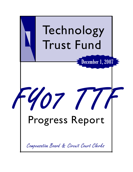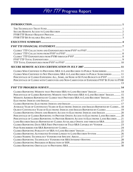| CLERKS WHO CERTIFIED TO PROVIDING SRA TO LAND RECORDS TO PUBLIC SUBSCRIBERS  11<br>CLERKS WHO CERTIFIED TO NOT PROVIDING SRA TO LAND RECORDS TO PUBLIC SUBSCRIBERS  11<br>PERCENTAGE OF CLERKS EXPENDING ALL, SOME, OR NONE OF \$1 FUND BUDGETS IN FY07  12<br>PERCENTAGE OF CLERKS WITH CARRYOVER AND NON-CARRYOVER OF EXPENDED FY07 \$1 FUND TO FY08                                                                                                                                                                                                                                                       |  |
|--------------------------------------------------------------------------------------------------------------------------------------------------------------------------------------------------------------------------------------------------------------------------------------------------------------------------------------------------------------------------------------------------------------------------------------------------------------------------------------------------------------------------------------------------------------------------------------------------------------|--|
|                                                                                                                                                                                                                                                                                                                                                                                                                                                                                                                                                                                                              |  |
| CLERKS REPORTING WEBSITE THAT PROVIDES SRA TO LAND RECORDS' IMAGES  14<br>PERCENTAGE OF CLERKS REPORTING WEBSITE THAT PROVIDES SRA TO LAND RECORDS' IMAGES 15<br>WEBSITE ADDRESS REPORTED BY CLERKS THAT PROVIDES SRA TO LAND RECORDS' IMAGES 16                                                                                                                                                                                                                                                                                                                                                             |  |
|                                                                                                                                                                                                                                                                                                                                                                                                                                                                                                                                                                                                              |  |
| AVERAGE YEAR OF CONTINUOUS YEARS OF ELECTRONIC INDICES AND IMAGES REPORTED BY CLERKS 18<br>OLDEST CONTINUOUS YEAR OF ELECTRONIC INDICES AND IMAGES REPORTED BY CLERKS  19<br>CLERKS REPORTING ONSITE AND REMOTE ACCESS TO ELECTRONIC INDICES AND IMAGES  20<br>PERCENTAGE OF CLERKS REPORTING TO PROVIDE ONSITE ACCESS TO ELECTRONIC LAND RECORDS  20<br>PERCENTAGE OF CLERKS REPORTING TO PROVIDE REMOTE ACCESS TO ELECTRONIC LAND RECORDS  21<br>LAND RECORDS IMAGES REPORTED BY CLERKS AVAILABLE ONSITE AND THROUGH SRA  22<br>CLERKS REPORTING DATE SRA FIRST PROVIDED OR TOLD SRA CAPABLE BY VENDOR  23 |  |
|                                                                                                                                                                                                                                                                                                                                                                                                                                                                                                                                                                                                              |  |
|                                                                                                                                                                                                                                                                                                                                                                                                                                                                                                                                                                                                              |  |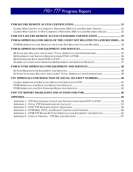| CLERKS WHO CERTIFY TO CURRENTLY PROVIDING SRA TO LAND RECORDS' IMAGES  32<br>CLERKS WHO CERTIFY TO NOT CURRENTLY PROVIDING SRA TO LAND RECORDS' IMAGES  32  |  |
|-------------------------------------------------------------------------------------------------------------------------------------------------------------|--|
|                                                                                                                                                             |  |
| FY08 \$4 APPROVALS FOR AREAS OF THE COURT NOT RELATED TO LAND RECORDS 34                                                                                    |  |
| FY08 \$4 APPROVALS FOR AREAS OF THE COURT NOT RELATED TO LAND RECORDS 34                                                                                    |  |
|                                                                                                                                                             |  |
|                                                                                                                                                             |  |
|                                                                                                                                                             |  |
| \$1 FUND AVAILABLE BALANCE AND CLERKS' TOTAL APPROVALS AND EXPENDITURES  39                                                                                 |  |
|                                                                                                                                                             |  |
|                                                                                                                                                             |  |
|                                                                                                                                                             |  |
|                                                                                                                                                             |  |
| APPENDIX 1 - TTF NON-GENERAL FUND CASH TRANSACTIONS FROM FY97 TO FY07  50<br>APPENDIX 5 - FY08 TTF \$4 AND \$1 FUND APPROVALS FOR EQUIPMENT AND SERVICES 62 |  |
|                                                                                                                                                             |  |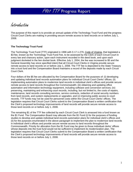<span id="page-3-0"></span>Introduction

The purpose of this report is to provide an annual update of the Technology Trust Fund and the progress Circuit Court Clerks are making in providing secure remote access to land records on or before July 1, 2008.

#### **The Technology Trust Fund**

The Technology Trust Fund (TTF) originated in 1996 with § 17.1-279, Code of Virginia, that legislated a \$3 fee, known as the Technology Trust Fund Fee, to be assessed by the Clerk of each Circuit Court in every law and chancery action, upon each instrument recorded in the deed book, and upon each judgment docketed in the lien docket book. Effective July 1, 2004, the fee was increased to \$5 and the General Assembly has since specified intent that all Circuit Court Clerks in Virginia provide secure remote access to land records on or before July 1, 2008. The TTF fee is deposited to the State Treasury into a trust fund and the Compensation Board maintains a record of the deposits made by each Circuit Court Clerk.

Four dollars of the \$5 fee are allocated by the Compensation Board for the purposes of: (i) developing and updating individual land records automation plans for individual Circuit Court Clerks' offices; (ii) implementing automation plans to modernize land records in individual clerk's offices and provide secure remote access to land records throughout the Commonwealth; (iii) obtaining and updating office automation and information technology equipment, including software and conversion services; (iv) preserving, maintaining and enhancing court records, including, but not limited to, the costs of repairs, maintenance, land records consulting services, service contracts, redaction of social security numbers from land records, and system replacements or upgrades; and (v) improving public access to court records. TTF funds may not be used for personnel costs within the Circuit Court Clerks' offices. The legislation requires that Circuit Court Clerks submit to the Compensation Board a written certification that the Clerk's proposed technology improvements of land records will provide secure remote access to those land records on or before July 1, 2008.

The remaining \$1 of the TTF fee collected by each Circuit Court Clerk is amassed into a fund known as the \$1 Fund. The Compensation Board may allocate from the \$1 Fund (i) for the purposes of funding studies to develop and update individual land-records automation plans for individual clerk's offices and (ii) for the purposes enumerated in the above paragraph to implement the plan to modernize land records in individual clerk's offices and provide secure remote access to land records throughout the Commonwealth. Priority for allocation from the \$1 Fund may be given to those individual clerks' offices whose deposits into the trust fund would not be sufficient to implement its modernization plan. The legislation requires that Circuit Court Clerks submit to the Compensation Board a written certification that the Clerk's proposed technology improvements of land records will provide secure remote access to those land records on or before July 1, 2008.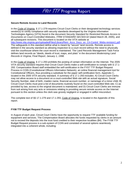### <span id="page-4-0"></span>**Secure Remote Access to Land Records**

In the Code of Virginia, § 17.1-279 requires Circuit Court Clerks or their designated technology services vendor(s) to certify compliance with security standards developed by the Virginia Information Technologies Agency (VITA) found in the document *Security Standard for Restricted Remote Access to Documents on Court-Controlled Websites, ITRM STANDARD SEC503-02* (dated March 28, 2005), and all subsequent revisions. This document is located on the VITA website at [http://www.vita.virginia.gov/uploadedFiles/Library/Rem\\_Accs\\_Docs\\_on\\_Crt-Contrd\\_Webs-revision1.pdf](http://www.vita.virginia.gov/uploadedFiles/Library/Rem_Accs_Docs_on_Crt-Contrd_Webs-revision1.pdf). The safeguards in this standard define what is meant by "secure" land records. Remote access is defined in the security standard as allowing inspection to a court record without the need to physically visit the courthouse where the court record is maintained. The Land Records Management Task Force defines land records as "deeds, deeds of trust, maps, and plats" in the document *Modernizing Land Records in Virginia, Final Report, January 1, 1998.* 

In the Code of Virginia, § 17.1-293 prohibits the posting of certain information on the Internet. The 2005 VITA security standard requires that Circuit Court Clerks make a self-certification to comply with § 17.1- 293. Compensation Board staff embedded the self-certification in the FY07 TTF Budget Request Process in COIN (Constitutional Officers Information Network), an online financial management tool for Constitutional Officers, thus providing a substitute for the paper self-certification form, Appendix C, located in the 2005 VITA security standard. A summary of § 17.1-293 includes: A) Circuit Court Clerks may not allow access to a document on a court-controlled Web site with an actual signature, Social Security Number, date of birth, maiden name, financial account number, or name/age of a minor child; B) Circuit Court Clerks must post a list of documents routinely found on the court-controlled Web site; C) as provided by law, access to the original document is maintained; and D) Circuit Court Clerks are immune from suit arising from any acts or omissions relating to providing secure remote access on the Internet pursuant to this section unless the clerk was grossly negligent or engaged in willful misconduct.

The complete text of §§ 17.1-279 and 17.1-293, Code of Virginia, is located in the Appendix of this report.

### **FY08 TTF Budget Request Process**

In August of each year, Circuit Court Clerks have the opportunity to request TTF available funding for equipment and services. The Compensation Board allocates the funds requested by clerks in an amount not to exceed the deposits into the trust fund credited to their respective localities (\$4). The FY08 TTF Budget Request process is a sub-system of COIN and consisted of several options seamlessly integrated into a coherent whole, including: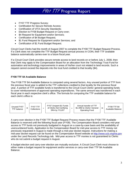- <span id="page-5-0"></span>• FY07 TTF Progress Survey;
- Certification for Secure Remote Access;
- Certification of VITA Security Standards;
- Election to FY08 Budget Request or Carry-over;
- \$4 Request for Equipment and/or Services;
- Certification of \$4 Budget Request;
- \$1 Fund Request for Equipment and/or Services; and
- Certification of \$1 Fund Budget Request.

Circuit Court Clerks had the month of August 2007 to complete the FY08 TTF Budget Request Process. If a Clerk does not complete the TTF Budget Request annual process in COIN, their TTF available balance automatically carries-over to a future fiscal year.

If a Circuit Court Clerk provides secure remote access to land records on or before July 1, 2008, then that Clerk may apply to the Compensation Board for an allocation from the Technology Trust Fund for automation and technology improvements in areas of his/her court not related to land records. Such a request cannot exceed the deposits into the trust fund credited to that locality (\$4).

### **FY08 TTF \$4 Available Balance**

The FY08 TTF \$4 Available Balance is computed using several factors. Any unused portion of TTF from the previous fiscal year is added to the TTF collections credited to that locality for the previous fiscal year. A portion of TTF available funds is transferred to the Circuit Court Clerks' general operating funds to cover reimbursement of approved operating expenditures. The same amount was transferred in each fiscal year in each respective clerk's office. The formula for computing the TTF available balance for each clerk's office is:



A carry-over election in the FY08 TTF Budget Request Process means that the FY08 TTF Available Balance is reserved until the following fiscal year (FY09). The Compensation Board considers mid-year access to TTF funds not previously budgeted in August on a case-by-case basis and the availability of unencumbered funds. Application to the Compensation Board for mid-year access to TTF money not previously requested in August is made through a mid-year docket request. Instructions for making a mid-year docket request can be found on the Compensation Board website at [http://www.scb.virginia.gov](http://www.scb.virginia.gov/) under the Land Records Technology tab. Mid-year access to TTF monies is not guaranteed to Clerks who do not submit a budget request in August.

A budget election and carry-over election are mutually exclusive. A Circuit Court Clerk must choose to either make a budget request for equipment and/or services or carry-over their TTF \$4 Available Balance.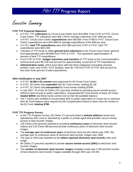<span id="page-6-0"></span>Executive Summary

#### **FY07 TTF Financial Statement**

- In FY07, TTF **collections** by Circuit Court Clerks were \$10.95M. From FY97 to FY07, Circuit Court Clerks' TTF collections were \$84.17M for average collections of \$7.65M per year.
- In FY07, Circuit Court Clerks' **expenditures** were \$8.63M. From FY98 to FY07, Circuit Court Clerks' expenditures were \$43.48M for average expenditures of \$4.35M per year.
- In FY07, **total TTF expenditures** were \$10.28M and from FY97 to FY07, total TTF expenditures were \$64.23M.
- Transfers of TTF funds to offset **general fund reductions** to the Circuit Court Clerks' general fund appropriation were \$9.86M from FY97 to FY07. This represents approximately 15 percent of total TTF expenditures.
- From FY97 to FY07, **budget reductions and transfers** of TTF funds to the Commonwealth's General fund were \$9.11M and account for approximately 14 percent of TTF expenditures.
- **Administrative costs**, which have been split into three categories (consulting services, position costs, and COIN / VITA Studies), were \$1.77M from FY97 to FY07 and account for less than three percent of total expenditures.

#### **SRA Certification in July 2007**

- In FY07, **\$2.8M in \$1 monies** were approved for 60 Circuit Court Clerks.
- In FY07, 28 Clerks fully **expended** their \$1 Fund monies, totaling \$2.1M.
- In FY07, 32 Clerks had **unexpended** \$1 Fund monies totaling \$769K.
- In July 2007, 25 of the 32 Clerks (78.1 percent) certified to providing secure remote access (SRA) to land records to public subscribers. Unexpended \$1 Fund monies of these 25 Clerks **totaled \$691K** and these funds carried over to their \$4 available balance.
- The 7 Clerks who certified to not providing SRA to public subscribers or chose not to carryover their \$1 Fund balance were required by the Compensation Board to return their \$1 monies to the \$1 Fund, **totaling \$78K**.

### **FY07 TTF Progress Survey**

- In the TTF Progress Survey, 85 Clerks (71 percent) listed a **website address** owned and operated by their court or operated by a public or private agent that provides secure remote access to land records' images.
- 120 Clerks (100 percent) reported to providing **continuous years** of electronic land records indices and 119 Clerks (99 percent) provide continuous years of electronic land records' images.
- The **average year of continuous years** of electronic land records indices was 1967; the average year of continuous years of electronic land records' images was 1958.
- The year of 1653 was reported as the **oldest reported electronic land records** index and image.
- 86 Clerks (72 percent) reported to provide **secure remote access (SRA)** to electronic land records' images.
- The **number of electronic land records' images** available onsite was 172M and the number of land electronic land records' images available through SRA was 129.2M.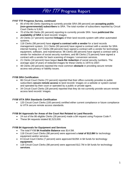### **FY07 TTF Progress Survey, continued**

- 85 of the 86 Clerks reporting to currently provide SRA (99 percent) are **accepting public (non-governmental) subscribers** to SRA. The total number of subscribers reported by Circuit Court Clerks is 5,910.
- 70 of the 86 Clerks (81 percent) reporting to currently provide SRA have **publicized the availability of SRA** to land records' images.
- 20 Clerks (17 percent) reported **linkages** of their land records system with other automated systems.
- 118 Clerks (98 percent) have **signed a contract with a vendor** for a land records management system; 111 Clerks (93 percent) have signed a contract with a vendor for SRA internet hosting; 117 Clerks (98 percent) have signed a contract with a vendor for technology equipment, software, and maintenance; 96 Clerks (80 percent) have signed a contract with a vendor for redaction of social security numbers; and 88 Clerks (73 percent) have signed a contract with a vendor for back scanning of images / conversion services.
- 21 Clerks (18 percent) have begun **back-file redaction** of social security numbers. The average span of years of redacted images for these Clerks is 1970 to 2007.
- 48 Clerks (40 percent) reported the most common **obstacle** in providing secure remote access was privacy or liability issues.

### **FY08 SRA Certification**

- 86 Circuit Court Clerks (72 percent) reported that their office currently provides to public subscribers **secure remote access** to land records' images on a website or system owned and operated by their court or operated by a public or private agent.
- 34 Circuit Court Clerks (28 percent) reported that they do not currently provide secure remote access land records' images.

### **FY08 VITA SRA Standards Certification**

• 120 Circuit Court Clerks (100 percent) certified either current compliance or future compliance to VITA secure remote access standards.

### **FY08 \$4 Approvals for Areas of the Court Not Related to Land Records**

- 24 out of the 86 eligible Clerks (28 percent) made a \$4 request using Purpose Code F.
- These \$4 requests totaled \$2,523,000.

### **FY08 \$4 Approvals for Equipment and Services**

- The total FY08 **\$4 Available Balance** was \$14.5M.
- 118 Circuit Court Clerks (98 percent) were approved a **total of \$12.8M** for technology equipment and/or services.
- 8 Circuit Court Clerks (7 percent) were approved \$105K in \$4 funds for technology **equipment**.
- 118 Circuit Court Clerks (98 percent) were approved \$12.7M in \$4 funds for technology **services**.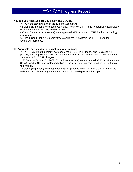### **FY08 \$1 Fund Approvals for Equipment and Services**

- In FY08, the total available in the \$1 Fund was **\$2.5M.**
- 63 Clerks (53 percent) were approved money from the \$1 TTF Fund for additional technology equipment and/or services, **totaling \$1.6M**.
- 4 Circuit Court Clerks (3 percent) were approved \$15K from the \$1 TTF Fund for technology **equipment**.
- 63 Circuit Court Clerks (53 percent) were approved \$1.6M from the \$1 TTF Fund for technology **services**.

### **TTF Approvals for Redaction of Social Security Numbers**

- In FY07, 3 Clerks (2.5 percent) were approved \$45,501 in \$4 money and 22 Clerks (18.3 percent) were approved \$1.3M in \$1 Fund money for the redaction of social security numbers for a total of 34,477,491 images.
- In FY08, as of October 31, 2007, 81 Clerks (68 percent) were approved \$2.4M in \$4 funds and \$354K from the \$1 Fund for the redaction of social security numbers for a total of 75M **backfile** images.
- 12 Clerks (10 percent) were approved \$33K in \$4 funds and \$12K from the \$1 Fund for the redaction of social security numbers for a total of 1.8M **day-forward** images.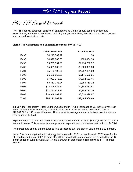<span id="page-9-0"></span>FY07 TTF Financial Statement

The TTF financial statement consists of data regarding Clerks' annual cash collections and expenditures, and total expenditures, including budget reductions, transfers to the Clerks' general fund, and administrative costs.

#### **Clerks' TTF Collections and Expenditures from FY97 to FY07**

|                  | <b>Cash Collections</b> | Expenditures*   |
|------------------|-------------------------|-----------------|
| FY97             | \$4,243,367.42          | \$0             |
| <b>FY98</b>      | \$4,822,885.65          | \$886,404.38    |
| <b>FY99</b>      | \$5,768,994.81          | \$2,214,766.32  |
| FY <sub>00</sub> | \$5,051,605.90          | \$2,526,303.63  |
| FY01             | \$5,122,196.96          | \$4,757,461.69  |
| <b>FY02</b>      | \$6,586,856.51          | \$5,141,600.61  |
| FY03             | \$7,921,175.89          | \$4,802,609.45  |
| FY04             | \$8,512,088.24          | \$3,384,769.22  |
| FY05             | \$12,404,426.50         | \$4,385,882.67  |
| FY06             | \$12,787,943.26         | \$6,755,771.76  |
| <b>FY07</b>      | \$10,949,662.12         | \$8,630,099.87  |
| Total            | \$84,171,203.26         | \$43,485,669.60 |

In FY97, the Technology Trust Fund fee was \$3 and in FY05 it increased to \$5. In the eleven-year period between FY97 and FY07, collections from the TTF fee increased from \$4,243,367 to \$10,949,662, a 158 percent increase. This represents average annual collections over the elevenyear period of \$7.65M.

Expenditures of Circuit Court Clerks increased from \$886,404 in FY98 to \$8,630,100 in FY07, a 874 percent increase. This represents average annual expenditures over the ten-year period of \$4.35M.

The percentage of total expenditures to total collections over the eleven-year period is 52 percent.

\*Note: Due to a budget reduction strategy implemented in FY02, expenditures in FY02 were for the 11-month period of July 2001 through May 2002. Since FY03, expenditures are reported for the 12 month period of June through May. This is a change in presentation from previous TTF Progress Reports.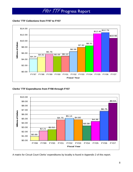<span id="page-10-0"></span>**Clerks' TTF Collections from FY97 to FY07** 



**Clerks' TTF Expenditures from FY98 through FY07** 



A matrix for Circuit Court Clerks' expenditures by locality is found in Appendix 2 of this report.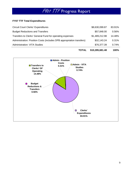### <span id="page-11-0"></span>**FY07 TTF Total Expenditures**

| <b>Administration: VITA Studies</b>                                   | \$76,377.39    | 0.74%  |
|-----------------------------------------------------------------------|----------------|--------|
| Administration: Position Costs (includes DPB appropriation transfers) | \$32,143.24    | 0.31%  |
| Transfers to Clerks' General Fund for operating expenses              | \$1,489,212.98 | 14.48% |
| <b>Budget Reductions and Transfers</b>                                | \$57,848.00    | 0.56%  |
| <b>Circuit Court Clerks' Expenditures</b>                             | \$8,630,099.87 | 83.91% |



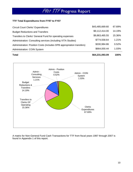### <span id="page-12-0"></span>**TTF Total Expenditures from FY97 to FY07**

| <b>Circuit Court Clerks' Expenditures</b>                             | \$43,485,669.60 | 67.69% |
|-----------------------------------------------------------------------|-----------------|--------|
| <b>Budget Reductions and Transfers</b>                                | \$9,112,414.00  | 14.19% |
| Transfers to Clerks' General Fund for operating expenses              | \$9,863,465.55  | 15.36% |
| Administration: Consulting services (including VITA Studies)          | \$774,558.64    | 1.21%  |
| Administration: Position Costs (includes DPB appropriation transfers) | \$330,984.86    | 0.52%  |
| <b>Administration: COIN System</b>                                    | \$664,000.44    | 1.03%  |

**Total \$64,231,093.09 100%**



A matrix for Non-General Fund Cash Transactions for TTF from fiscal years 1997 through 2007 is found in Appendix 1 of this report.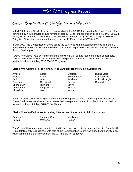<span id="page-13-0"></span>Secure Remote Access Certification in July 2007

In FY07, 60 Circuit Court Clerks were approved a total of \$2,849,653 from the \$1 Fund. These Clerks certified they would provide secure remote access (SRA) to land records on or before July 1, 2007. In FY07, 28 out of the 60 Clerks fully expended their money from the \$1 Fund, totaling \$2,080,638.47. Thirty-two Clerks had unexpended money from the \$1 Fund, totaling \$769,014.53.

In July 2007, the Compensation Board asked the 32 Clerks with unexpended monies from the \$1 Fund to certify the status of SRA to land records in their respective courts. All 32 Clerks responded to the certification process.

Twenty-five Clerks (78.1 percent) certified to providing SRA to land records to public subscribers. These Clerks were allowed to carry over their unexpended monies from the \$1 Fund to their \$4 available balance, totaling \$690,964.99. They were:

#### **Clerks Who Certified to Providing SRA to Land Records to Public Subscribers**

| Amelia              | Essex       | Madison       | Buena V  |
|---------------------|-------------|---------------|----------|
| Appomatox           | Floyd       | Northampton   | Chesape  |
| <b>Bath</b>         | Giles       | Powhatan      | Colonial |
| <b>Buchanan</b>     | Greensville | Pulaski       | Radford  |
| <b>Charles City</b> | Highland    | Smyth         |          |
| Cumberland          | King George | <b>Sussex</b> |          |
| Dinwiddie           | Lee         | Wythe         |          |

**Buena Vista Chesapeake Colonial Heights** 

Six of 32 Clerks (18.8 percent) certified to not providing SRA to land records to public subscribers. These Clerks were not allowed to carry over their unexpended monies from the \$1 Fund to their \$4 available balance, totaling \$78,026.54. They were:

#### **Clerks Who Certified to Not Providing SRA to Land Records to Public Subscribers**

| Campbell       | King and Queen | Middlesex     |
|----------------|----------------|---------------|
| <b>Halifax</b> | Mathews        | <b>Nelson</b> |

The Clerk of Waynesboro was not interested in the carry over of its unexpended monies from the \$1 Fund, totaling only \$23. Contact with staff of the Compensation Board was made but no certification was submitted and their money from the \$1 Fund did not carryover.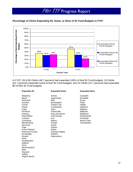### <span id="page-14-0"></span>**Percentage of Clerks Expending All, Some, or None of \$1 Fund Budgets in FY07**



In FY07, 28 of 60 Clerks (46.7 percent) had expended 100% of their \$1 Fund budgets; 19 Clerks (31.7 percent) expended some of their \$1 Fund budgets; and 13 Clerks (21.7 percent) had expended \$0 of their \$1 Fund budgets.

| <b>Expended All</b>                                                                                                                                                                                                                                                                                                                                                        | <b>Expended Some</b>                                                                                                                                                                                                                                               | <b>Expended None</b>                                                                                                                                             |
|----------------------------------------------------------------------------------------------------------------------------------------------------------------------------------------------------------------------------------------------------------------------------------------------------------------------------------------------------------------------------|--------------------------------------------------------------------------------------------------------------------------------------------------------------------------------------------------------------------------------------------------------------------|------------------------------------------------------------------------------------------------------------------------------------------------------------------|
| Alleghany<br>Bland<br><b>Buchanan</b><br>Caroline<br>Carroll<br>Clarke<br>Craig<br>Fluvanna<br>Grayson<br>King William<br>Loudoun<br>Lunenburg<br>Mecklenburg<br>New Kent<br>Page<br><b>Prince Edward</b><br><b>Richmond County</b><br>Rockbridge<br>Russell<br>Scott<br>Southampton<br>Stafford<br>Surry<br>Westmoreland<br>Wise<br>Staunton<br>Suffolk<br>Virginia Beach | Amelia<br>Appomattox<br>Bath<br><b>Buckingham</b><br><b>Charles City</b><br>Cumberland<br>Giles<br>Greensville<br>King and Queen<br>King George<br>Lee<br>Nelson<br>Pulaski<br>Smyth<br><b>Sussex</b><br>Wythe<br><b>Colonial Heights</b><br>Radford<br>Waynesboro | Campbell<br>Dinwiddie<br>Essex<br>Floyd<br>Halifax<br>Highland<br>Madison<br><b>Mathews</b><br>Middlesex<br>Northampton<br>Powhatan<br>Buena Vista<br>Chesapeake |
|                                                                                                                                                                                                                                                                                                                                                                            |                                                                                                                                                                                                                                                                    |                                                                                                                                                                  |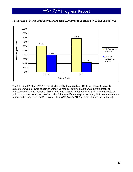### <span id="page-15-0"></span>**Percentage of Clerks with Carryover and Non-Carryover of Expended FY07 \$1 Fund to FY08**



The 25 of the 32 Clerks (78.1 percent) who certified to providing SRA to land records to public subscribers were allowed to carryover their \$1 monies, totaling \$690,964.99 (89.9 percent of unexpended \$1 Fund monies). The 6 Clerks who certified to not providing SRA to land records to public subscribers (and the one Clerk who did not certify one way or the other, 21.9 percent) were not approved to carryover their \$1 monies, totaling \$78,049.54 (10.1 percent of unexpended funds).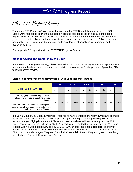<span id="page-16-0"></span>FY07 TTF Progress Survey

The annual TTF Progress Survey was integrated into the TTF Budget Request process in COIN. Clerks were required to answer 60 questions in order to proceed to the \$4 and \$1 Fund budget request screens. Survey topics included the website owned and operated by the court, continuous years of electronic indices and images, onsite access and secure remote access, SRA subscriptions and publicity for SRA service, technology vendors, redaction of social security numbers, and obstacles to SRA.

See Appendix 3 for questions in the FY07 TTF Progress Survey.

#### **Website Owned and Operated by the Court**

In the FY07 TTF Progress Survey, Clerks were asked to confirm providing a website or system owned and operated by their court or operated by a public or private agent for the purpose of providing SRA to land records' images.

| <b>Clerks with SRA Website</b>                                                                                                                                                                                                | <b>FY03</b><br><b>FY04</b> |     |    | <b>FY05</b>   |    | <b>FY06</b> |    | <b>FY07</b> |    |     |
|-------------------------------------------------------------------------------------------------------------------------------------------------------------------------------------------------------------------------------|----------------------------|-----|----|---------------|----|-------------|----|-------------|----|-----|
|                                                                                                                                                                                                                               | n                          | %   | n  | $\frac{0}{0}$ | n  | $\%$        | n  | %           | n  | %   |
| In FY07, the question was posed as: a<br>website that provides SRA to land records'<br>images<br>From FY03 to FY06, the question was posed<br>as: a website that provides up-to-date public<br>notice of land records' images | 26                         | 22% | 30 | 25%           | 15 | 13%         | 59 | 49%         | 86 | 72% |

#### **Clerks Reporting Website that Provides SRA to Land Records' Images**

In FY07, 95 out of 120 Clerks (79 percent) reported to have a website or system owned and operated by the the court or operated by a public or private agent for the purpose of providing SRA to land records' images. Eighty-five of the 95 Clerks who listed a website address currently provide SRA to land records' images. One additional Clerk, Newport News, reported that in their county SRA to land records was not web-based but will be by July 31, 2008 and for that reason did not list an internet address. Nine of the 95 Clerks who listed a website address also reported to not currently providing SRA to land records' images. They are: Campbell, Chesterfield, Henry, King and Queen, Lunenburg, Mecklenburg, Tazewell, Hopewell, and Salem.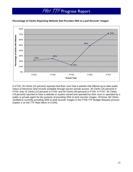

### <span id="page-17-0"></span>**Percentage of Clerks Reporting Website that Provides SRA to Land Records' Images**

In FY03, 26 Clerks (22 percent) reported that their court had a website that offered up-to-date public notice of electronic land records available through secure remote access; 30 Clerks (25 percent) in FY04; only 15 Clerks (13 percent) in FY05; and 59 Clerks (49 percent) in FY06. In FY07, 95 Clerks (79 percent) reported to have a website or system owned and operated by their court or operated by a public or private agent for the purpose of providing SRA to land records' images. Of those, 86 Clerks certified to currently providing SRA to land records' images in the FY08 TTF Budget Request process (Option 2 on the TTF Main Menu in COIN).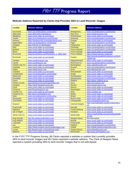### <span id="page-18-0"></span>**Website Address Reported by Clerks that Provides SRA to Land Records' Images**

| <b>Accomack</b><br><b>Montgomery</b><br>www.csa.landsystems.com/lronline<br>www.csa.landsystems.com/Ironline<br><b>Albemarle</b><br>www.albemarle.org/landrecs<br><b>New Kent</b><br>www.newkentvacocc.org<br>Northampton<br>www.courts.state.va.us/rmsweb<br>Alleghany<br>www.courts.state.va.us/rmsweb<br>https://csa.landsystems.com/lronline<br>Nottoway<br>www.csa.landsystems.com/Ironline<br>Amelia<br><b>Amherst</b><br>https://landreocrds.countyofamherst.com/<br>Orange<br>www.courts.state.va.us/rmsweb<br>www.csa.landsystems.com/Ironline<br>Page<br>www.csa.landsystems.com/Ironline<br><b>Appomattox</b><br>Arlington<br>http://158.59.15.28/arlington<br>Pittsylvania<br>www.courts.state.va.us/rmsweb<br><b>Bath</b><br>Powhatan<br>www.courts.state.va.us/rmsweb<br>www.csa.landsystems.com/Ironline<br><b>Bedford</b><br><b>Prince Edward</b><br>www.csa.landsystems.com/lronline<br>www.courts.state.va.us/rmsweb<br><b>Bland</b><br><b>Prince George</b><br>www.courts.state.va.us/rmsweb<br>www.courts.state.va.us/rmsweb<br>www.brunswickco.com/html/clerk_s_office.html<br><b>Prince William</b><br><b>Brunswick</b><br>https://www3.pwcgov.org/panet<br>http://records.pulaskicircuitcourt.com/icris<br><b>Buchanan</b><br>Pulaski<br>www.courts.state.va.us/rmsweb<br>/splash.jsp<br>www.courts.state.va.us/rmsweb<br>Caroline<br>www.carolinevacocc.org<br>Rappahannock<br>Carroll<br>www.carrollvacocc.org<br><b>Richmond Co</b><br>www.csa.landsystems.com/Ironline<br><b>Charles City Co</b><br>www.uslandrecords.com<br>www.courts.state.va.us/rmsweb<br>Rockingham<br>www.csa.landsystems.com/Ironline<br><b>Charlotte</b><br><b>Russell</b><br>www.courts.state.va.us/rmsweb<br><b>Clarke</b><br><b>Scott</b><br>www.clarkevacocc.org<br>www.titlesearcher.com |
|--------------------------------------------------------------------------------------------------------------------------------------------------------------------------------------------------------------------------------------------------------------------------------------------------------------------------------------------------------------------------------------------------------------------------------------------------------------------------------------------------------------------------------------------------------------------------------------------------------------------------------------------------------------------------------------------------------------------------------------------------------------------------------------------------------------------------------------------------------------------------------------------------------------------------------------------------------------------------------------------------------------------------------------------------------------------------------------------------------------------------------------------------------------------------------------------------------------------------------------------------------------------------------------------------------------------------------------------------------------------------------------------------------------------------------------------------------------------------------------------------------------------------------------------------------------------------------------------------------------------------------------------------------------------------------------------------------------------------------------------------------------------------------------------------|
|                                                                                                                                                                                                                                                                                                                                                                                                                                                                                                                                                                                                                                                                                                                                                                                                                                                                                                                                                                                                                                                                                                                                                                                                                                                                                                                                                                                                                                                                                                                                                                                                                                                                                                                                                                                                  |
|                                                                                                                                                                                                                                                                                                                                                                                                                                                                                                                                                                                                                                                                                                                                                                                                                                                                                                                                                                                                                                                                                                                                                                                                                                                                                                                                                                                                                                                                                                                                                                                                                                                                                                                                                                                                  |
|                                                                                                                                                                                                                                                                                                                                                                                                                                                                                                                                                                                                                                                                                                                                                                                                                                                                                                                                                                                                                                                                                                                                                                                                                                                                                                                                                                                                                                                                                                                                                                                                                                                                                                                                                                                                  |
|                                                                                                                                                                                                                                                                                                                                                                                                                                                                                                                                                                                                                                                                                                                                                                                                                                                                                                                                                                                                                                                                                                                                                                                                                                                                                                                                                                                                                                                                                                                                                                                                                                                                                                                                                                                                  |
|                                                                                                                                                                                                                                                                                                                                                                                                                                                                                                                                                                                                                                                                                                                                                                                                                                                                                                                                                                                                                                                                                                                                                                                                                                                                                                                                                                                                                                                                                                                                                                                                                                                                                                                                                                                                  |
|                                                                                                                                                                                                                                                                                                                                                                                                                                                                                                                                                                                                                                                                                                                                                                                                                                                                                                                                                                                                                                                                                                                                                                                                                                                                                                                                                                                                                                                                                                                                                                                                                                                                                                                                                                                                  |
|                                                                                                                                                                                                                                                                                                                                                                                                                                                                                                                                                                                                                                                                                                                                                                                                                                                                                                                                                                                                                                                                                                                                                                                                                                                                                                                                                                                                                                                                                                                                                                                                                                                                                                                                                                                                  |
|                                                                                                                                                                                                                                                                                                                                                                                                                                                                                                                                                                                                                                                                                                                                                                                                                                                                                                                                                                                                                                                                                                                                                                                                                                                                                                                                                                                                                                                                                                                                                                                                                                                                                                                                                                                                  |
|                                                                                                                                                                                                                                                                                                                                                                                                                                                                                                                                                                                                                                                                                                                                                                                                                                                                                                                                                                                                                                                                                                                                                                                                                                                                                                                                                                                                                                                                                                                                                                                                                                                                                                                                                                                                  |
|                                                                                                                                                                                                                                                                                                                                                                                                                                                                                                                                                                                                                                                                                                                                                                                                                                                                                                                                                                                                                                                                                                                                                                                                                                                                                                                                                                                                                                                                                                                                                                                                                                                                                                                                                                                                  |
|                                                                                                                                                                                                                                                                                                                                                                                                                                                                                                                                                                                                                                                                                                                                                                                                                                                                                                                                                                                                                                                                                                                                                                                                                                                                                                                                                                                                                                                                                                                                                                                                                                                                                                                                                                                                  |
|                                                                                                                                                                                                                                                                                                                                                                                                                                                                                                                                                                                                                                                                                                                                                                                                                                                                                                                                                                                                                                                                                                                                                                                                                                                                                                                                                                                                                                                                                                                                                                                                                                                                                                                                                                                                  |
|                                                                                                                                                                                                                                                                                                                                                                                                                                                                                                                                                                                                                                                                                                                                                                                                                                                                                                                                                                                                                                                                                                                                                                                                                                                                                                                                                                                                                                                                                                                                                                                                                                                                                                                                                                                                  |
|                                                                                                                                                                                                                                                                                                                                                                                                                                                                                                                                                                                                                                                                                                                                                                                                                                                                                                                                                                                                                                                                                                                                                                                                                                                                                                                                                                                                                                                                                                                                                                                                                                                                                                                                                                                                  |
|                                                                                                                                                                                                                                                                                                                                                                                                                                                                                                                                                                                                                                                                                                                                                                                                                                                                                                                                                                                                                                                                                                                                                                                                                                                                                                                                                                                                                                                                                                                                                                                                                                                                                                                                                                                                  |
|                                                                                                                                                                                                                                                                                                                                                                                                                                                                                                                                                                                                                                                                                                                                                                                                                                                                                                                                                                                                                                                                                                                                                                                                                                                                                                                                                                                                                                                                                                                                                                                                                                                                                                                                                                                                  |
|                                                                                                                                                                                                                                                                                                                                                                                                                                                                                                                                                                                                                                                                                                                                                                                                                                                                                                                                                                                                                                                                                                                                                                                                                                                                                                                                                                                                                                                                                                                                                                                                                                                                                                                                                                                                  |
| Shenandoah<br>www.courts.state.va.us/rmsweb<br><b>Culpeper</b><br>www.courts.state.va.us/rmsweb                                                                                                                                                                                                                                                                                                                                                                                                                                                                                                                                                                                                                                                                                                                                                                                                                                                                                                                                                                                                                                                                                                                                                                                                                                                                                                                                                                                                                                                                                                                                                                                                                                                                                                  |
| Cumberland<br>www.csa.landsystems.com/Ironline<br><b>Smyth</b><br>www.courts.state.va.us/rmsweb                                                                                                                                                                                                                                                                                                                                                                                                                                                                                                                                                                                                                                                                                                                                                                                                                                                                                                                                                                                                                                                                                                                                                                                                                                                                                                                                                                                                                                                                                                                                                                                                                                                                                                  |
| Southampton<br><b>Dickenson</b><br>www.courts.state.va.us/rmsweb<br>www.courts.state.va.us/rmsweb                                                                                                                                                                                                                                                                                                                                                                                                                                                                                                                                                                                                                                                                                                                                                                                                                                                                                                                                                                                                                                                                                                                                                                                                                                                                                                                                                                                                                                                                                                                                                                                                                                                                                                |
| <b>Dinwiddie</b><br>www.courts.state.va.us/rmsweb<br>www.csa.landsystems.com/lronline<br>Spotsylvania                                                                                                                                                                                                                                                                                                                                                                                                                                                                                                                                                                                                                                                                                                                                                                                                                                                                                                                                                                                                                                                                                                                                                                                                                                                                                                                                                                                                                                                                                                                                                                                                                                                                                            |
| <b>Stafford</b><br>http://online.stafford.va.us<br><b>Essex</b><br>www.courts.state.va.us/rmsweb                                                                                                                                                                                                                                                                                                                                                                                                                                                                                                                                                                                                                                                                                                                                                                                                                                                                                                                                                                                                                                                                                                                                                                                                                                                                                                                                                                                                                                                                                                                                                                                                                                                                                                 |
| <b>Fairfax County</b><br>www.fairfaxcounty.gov/cpan/index.cfm<br><b>Surry</b><br>www.surryvacocc.org                                                                                                                                                                                                                                                                                                                                                                                                                                                                                                                                                                                                                                                                                                                                                                                                                                                                                                                                                                                                                                                                                                                                                                                                                                                                                                                                                                                                                                                                                                                                                                                                                                                                                             |
| <b>Sussex</b><br>https://clerk.fauguiercounty.gov<br><b>Fauguier</b><br>www.sussexvacocc.org                                                                                                                                                                                                                                                                                                                                                                                                                                                                                                                                                                                                                                                                                                                                                                                                                                                                                                                                                                                                                                                                                                                                                                                                                                                                                                                                                                                                                                                                                                                                                                                                                                                                                                     |
| www.courts.state.va.us/rmsweb<br><b>Floyd</b><br>www.courts.state.va.us/rmsweb<br><b>Warren</b>                                                                                                                                                                                                                                                                                                                                                                                                                                                                                                                                                                                                                                                                                                                                                                                                                                                                                                                                                                                                                                                                                                                                                                                                                                                                                                                                                                                                                                                                                                                                                                                                                                                                                                  |
| Fluvanna<br>www.fluvannavacocc.org<br>Washington<br>www.courts.state.va.us/rmsweb                                                                                                                                                                                                                                                                                                                                                                                                                                                                                                                                                                                                                                                                                                                                                                                                                                                                                                                                                                                                                                                                                                                                                                                                                                                                                                                                                                                                                                                                                                                                                                                                                                                                                                                |
| <b>Franklin Co</b><br>www.courts.state.va.us/rmsweb<br><b>Wise</b><br>www.courtbar.org                                                                                                                                                                                                                                                                                                                                                                                                                                                                                                                                                                                                                                                                                                                                                                                                                                                                                                                                                                                                                                                                                                                                                                                                                                                                                                                                                                                                                                                                                                                                                                                                                                                                                                           |
| Wythe<br><b>Frederick Co</b><br>http://www.winfredclerk.com<br>www.courts.state.va.us/rmsweb                                                                                                                                                                                                                                                                                                                                                                                                                                                                                                                                                                                                                                                                                                                                                                                                                                                                                                                                                                                                                                                                                                                                                                                                                                                                                                                                                                                                                                                                                                                                                                                                                                                                                                     |
| <b>Bristol</b><br><b>Giles</b><br>www.csa.landsystems.com/Ironline<br>www.courts.state.va.us/rmsweb                                                                                                                                                                                                                                                                                                                                                                                                                                                                                                                                                                                                                                                                                                                                                                                                                                                                                                                                                                                                                                                                                                                                                                                                                                                                                                                                                                                                                                                                                                                                                                                                                                                                                              |
| Gloucester<br><b>Buena Vista</b><br>www.courts.state.va.us/rmsweb<br>www.courts.state.va.us/rmsweb                                                                                                                                                                                                                                                                                                                                                                                                                                                                                                                                                                                                                                                                                                                                                                                                                                                                                                                                                                                                                                                                                                                                                                                                                                                                                                                                                                                                                                                                                                                                                                                                                                                                                               |
| Goochland<br>Chesapeake<br>www.courts.state.va.us/rmsweb<br>www.chespeakeccland.org                                                                                                                                                                                                                                                                                                                                                                                                                                                                                                                                                                                                                                                                                                                                                                                                                                                                                                                                                                                                                                                                                                                                                                                                                                                                                                                                                                                                                                                                                                                                                                                                                                                                                                              |
| http://colonialheights.landrecordsonline.c<br><b>Colonial Heights</b><br>Grayson<br>www.courts.state.va.us/rmsweb<br><b>om</b>                                                                                                                                                                                                                                                                                                                                                                                                                                                                                                                                                                                                                                                                                                                                                                                                                                                                                                                                                                                                                                                                                                                                                                                                                                                                                                                                                                                                                                                                                                                                                                                                                                                                   |
| <b>Danville</b><br><b>Greensville</b><br>www.courts.state.va.us/rmsweb<br>www.courts.state.va.us/rmsweb                                                                                                                                                                                                                                                                                                                                                                                                                                                                                                                                                                                                                                                                                                                                                                                                                                                                                                                                                                                                                                                                                                                                                                                                                                                                                                                                                                                                                                                                                                                                                                                                                                                                                          |
| Fredericksburg<br><b>Highland</b><br>www.courts.state.va.us/rmsweb<br>www.courts.state.va.us/rmsweb                                                                                                                                                                                                                                                                                                                                                                                                                                                                                                                                                                                                                                                                                                                                                                                                                                                                                                                                                                                                                                                                                                                                                                                                                                                                                                                                                                                                                                                                                                                                                                                                                                                                                              |
| Hampton<br><b>Isle of Wight</b><br>www.courts.state.va.us/rmsweb<br>www.courts.state.va.us/rmsweb                                                                                                                                                                                                                                                                                                                                                                                                                                                                                                                                                                                                                                                                                                                                                                                                                                                                                                                                                                                                                                                                                                                                                                                                                                                                                                                                                                                                                                                                                                                                                                                                                                                                                                |
| www.ci.martinsville.va.us/circuitclerk/defa<br><b>James City Co</b><br><b>Martinsville</b><br>www.courts.state.va.us/rmsweb<br>ult.htm                                                                                                                                                                                                                                                                                                                                                                                                                                                                                                                                                                                                                                                                                                                                                                                                                                                                                                                                                                                                                                                                                                                                                                                                                                                                                                                                                                                                                                                                                                                                                                                                                                                           |
| Not web-based<br><b>King George</b><br>http://kg.landrecordsonline.com/<br><b>Newport News</b>                                                                                                                                                                                                                                                                                                                                                                                                                                                                                                                                                                                                                                                                                                                                                                                                                                                                                                                                                                                                                                                                                                                                                                                                                                                                                                                                                                                                                                                                                                                                                                                                                                                                                                   |
| <b>King William</b><br><b>Norfolk</b><br>www.courts.state.va.us/rmsweb<br>www.courts.state.va.us/rmsweb                                                                                                                                                                                                                                                                                                                                                                                                                                                                                                                                                                                                                                                                                                                                                                                                                                                                                                                                                                                                                                                                                                                                                                                                                                                                                                                                                                                                                                                                                                                                                                                                                                                                                          |
| Portsmouth<br>www.courts.state.va.us/rmsweb<br>www.courts.state.va.us/rmsweb<br>Lancaster                                                                                                                                                                                                                                                                                                                                                                                                                                                                                                                                                                                                                                                                                                                                                                                                                                                                                                                                                                                                                                                                                                                                                                                                                                                                                                                                                                                                                                                                                                                                                                                                                                                                                                        |
| Lee<br>Radford<br>www.csa.landsystems.com/Ironline<br>www.courts.state.va.us/rmsweb                                                                                                                                                                                                                                                                                                                                                                                                                                                                                                                                                                                                                                                                                                                                                                                                                                                                                                                                                                                                                                                                                                                                                                                                                                                                                                                                                                                                                                                                                                                                                                                                                                                                                                              |
| https://liswe.loudoun.gov/recpublic/logon.asp<br>Loudoun<br><b>Suffolk</b><br>http://suffolk.landrecordsonline.com/                                                                                                                                                                                                                                                                                                                                                                                                                                                                                                                                                                                                                                                                                                                                                                                                                                                                                                                                                                                                                                                                                                                                                                                                                                                                                                                                                                                                                                                                                                                                                                                                                                                                              |
| Louisa<br>http://landrecords.countyoflouisa.com/<br><b>Virginia Beach</b><br>www.vblandrecords.com                                                                                                                                                                                                                                                                                                                                                                                                                                                                                                                                                                                                                                                                                                                                                                                                                                                                                                                                                                                                                                                                                                                                                                                                                                                                                                                                                                                                                                                                                                                                                                                                                                                                                               |
| Winchester<br><b>Madison</b><br>www.courts.state.va.us/rmsweb<br>http://www.winfredclerk.com                                                                                                                                                                                                                                                                                                                                                                                                                                                                                                                                                                                                                                                                                                                                                                                                                                                                                                                                                                                                                                                                                                                                                                                                                                                                                                                                                                                                                                                                                                                                                                                                                                                                                                     |

In the FY07 TTF Progress Survey, 86 Clerks reported a website or system that currently provides SRA to land records' images and 85 Clerks reported a website address. The Clerk of Newport News reported a system providing SRA to land records' images that is not web-based.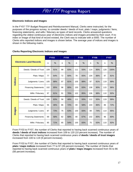### <span id="page-19-0"></span>**Electronic Indices and Images**

In the FY07 TTF Budget Request and Reimbursement Manual, Clerks were instructed, for the purposes of the progress survey, to consider deeds / deeds of trust, plats / maps, judgments / liens, financing statements, and wills / fiduciary as types of land records. Clerks answered questions regarding the oldest continuous year of electronic indices and images provided by their court. If no index or image of that kind of record existed, the Clerk was to indicate with a 0000. The number of Clerks who reported indices and images is shown below. The average year of indices and images is shown in the following matrix.

| <b>Electronic Land Records</b> |                             | <b>FY03</b> |     | <b>FY04</b> |     | <b>FY05</b> |      | <b>FY06</b> |     | <b>FY07</b> |      |
|--------------------------------|-----------------------------|-------------|-----|-------------|-----|-------------|------|-------------|-----|-------------|------|
|                                |                             | n           | %   | n           | %   | n           | $\%$ | n           | %   | n           | $\%$ |
|                                | Deeds / Deeds of Trust      | 109         | 91% | 99          | 83% | 111         | 93%  | 114         | 95% | 120         | 100% |
|                                | Plats / Maps                | 77          | 64% | 72          | 60% | 78          | 65%  | 104         | 86% | 97          | 81%  |
| Indices                        | Judgments / Liens           | 105         | 88% | 97          | 81% | 105         | 88%  | 97          | 81% | 119         | 99%  |
|                                | <b>Financing Statements</b> | 102         | 85% | 96          | 80% | 100         | 83%  | 108         | 90% | 115         | 96%  |
|                                | Wills / Fiduciary           | 97          | 81% | 91          | 76% | 102         | 85%  | 106         | 88% | 110         | 92%  |
|                                | Deeds / Deeds of Trust      | 100         | 83% | 58          | 48% | 111         | 93%  | 112         | 93% | 119         | 99%  |
|                                | Plats / Maps                | 55          | 46% | 86          | 72% | 69          | 58%  | 103         | 86% | 86          | 72%  |
| <b>Images</b>                  | Judgments / Liens           | 87          | 73% | 75          | 63% | 100         | 83%  | 89          | 74% | 114         | 95%  |
|                                | <b>Financing Statements</b> | 69          | 58% | 82          | 68% | 80          | 67%  | 102         | 85% | 96          | 80%  |
|                                | Wills / Fiduciary           | 85          | 71% | 65          | 54% | 100         | 83%  | 75          | 63% | 110         | 92%  |

#### **Clerks Reporting Electronic Indices and Images**

From FY03 to FY07, the number of Clerks that reported to having back scanned continuous years of **deeds / deeds of trust indices** increased from 109 to 120 (10 percent increase). The number of Clerks that reported to having back scanned continuous years of **deeds / deeds of trust images**  increased from 100 to 119 (9 percent increase).

From FY03 to FY07, the number of Clerks that reported to having back scanned continuous years of **plats / maps indices** increased from 77 to 97 (26 percent increase). The number of Clerks that reported to having back scanned continuous years of **plats / maps images** increased from 55 to 86 (56 percent increase).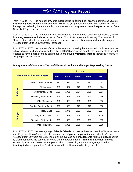<span id="page-20-0"></span>From FY03 to FY07, the number of Clerks that reported to having back scanned continuous years of **judgments / liens indices** increased from 105 to 119 (13 percent increase). The number of Clerks that reported to having back scanned continuous years of **judgments / liens images** increased from 87 to 114 (31 percent increase).

From FY03 to FY07, the number of Clerks that reported to having back scanned continuous years of **financing statements indices** increased from 102 to 115 (13 percent increase). The number of Clerks that reported to having back scanned continuous years of **financing statements images**  increased from 69 to 96 (39 percent increase).

From FY03 to FY07, the number of Clerks that reported to having back scanned continuous years of **wills / fiduciary indices** increased from 97 to 110 (13 percent increase). The number of Clerks that reported to having back scanned continuous years of **wills / fiduciary images** increased from 85 to 110 (29 percent increase).

|               |                                      | <b>Average</b> |             |             |             |             |  |  |  |
|---------------|--------------------------------------|----------------|-------------|-------------|-------------|-------------|--|--|--|
|               | <b>Electronic Indices and Images</b> | <b>FY03</b>    | <b>FY04</b> | <b>FY05</b> | <b>FY06</b> | <b>FY07</b> |  |  |  |
|               | Deeds / Deeds of Trust               | 1982           | 1976        | 1977        | 1972        | 1967        |  |  |  |
|               | Plats / Maps                         | 1983           | 1977        | 1978        | 1988        | 1974        |  |  |  |
| Indices       | Judgments / Liens                    | 1989           | 1991        | 1994        | 1988        | 1993        |  |  |  |
|               | <b>Financing Statements</b>          | 1994           | 1993        | 1996        | 1993        | 1996        |  |  |  |
|               | Wills / Fiduciary                    | 1986           | 1988        | 1990        | 1996        | 1986        |  |  |  |
|               | Deeds / Deeds of Trust               | 1990           | 1978        | 1978        | 1976        | 1958        |  |  |  |
|               | Plats / Maps                         | 1987           | 1971        | 1963        | 1992        | 1997        |  |  |  |
| <b>Images</b> | Judgments / Liens                    | 1997           | 1998        | 1998        | 1991        | 2000        |  |  |  |
|               | <b>Financing Statements</b>          | 1999           | 1999        | 1999        | 1998        | 1985        |  |  |  |
|               | Wills / Fiduciary                    | 1997           | 1991        | 1995        | 1999        | 1985        |  |  |  |

### **Average Year of Continuous Years of Electronic Indices and Images Reported by Clerks**

From FY03 to FY07, the average age of **deeds / deeds of trust indices** reported by Clerks increased from 21 years old to 40 years old; the average age of **plats / maps indices** reported by Clerks increased from 20 years old to 33 years old; the average age of **judgments / liens indices** reported by Clerks remained the same at 14 years old; the average age of **financing statement indices**  reported by Clerks increased from 9 years old to 11 years old; and the average age of **wills / fiduciary indices** reported by Clerks increased from 17 years old to 21 years old.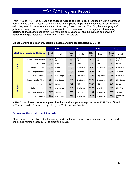<span id="page-21-0"></span>From FY03 to FY07, the average age of **deeds / deeds of trust images** reported by Clerks increased from 13 years old to 49 years old; the average age of **plats / maps images** decreased from 16 years old to 10 years old (because the number of reporting Clerks rose from 55 to 86); the average age of **judgment images** increased from six years old to seven years old; the average age of **financing statement images** increased from four years old to 22 years old; and the average age of **wills / fiduciary images** increased from six years old to 22 years old.

|                                      |                             |                | <b>FY04</b>       |                | <b>FY05</b>       |                | <b>FY06</b>       |                | <b>FY07</b>       |  |
|--------------------------------------|-----------------------------|----------------|-------------------|----------------|-------------------|----------------|-------------------|----------------|-------------------|--|
| <b>Electronic Indices and Images</b> |                             | Oldest<br>Year | Locality          | Oldest<br>Year | Locality          | Oldest<br>Year | Locality          | Oldest<br>Year | Locality          |  |
|                                      | Deeds / Deeds of Trust      | 1653           | Westmore-<br>land | 1653           | Westmore-<br>land | 1653           | Westmore-<br>land | 1653           | Westmore-<br>land |  |
|                                      | Plats / Maps                | 1815           | Scott             | 1742           | Fairfax           | 1742           | Fairfax           | 1742           | Fairfax           |  |
| Indices                              | Judgments / Liens           | 1838           | Greene            | 1939           | Chesterfield      | 1939           | Chesterfield      | 1939           | Chesterfield      |  |
|                                      | <b>Financing Statements</b> | 1838           | Greene            | 1985           | Alexandria        | 1984           | Scott             | 1985           | Alexandria        |  |
|                                      | Wills / Fiduciary           | 1726           | King George       | 1726           | King George       | 1726           | King George       | 1749           | Chesterfield      |  |
|                                      | Deeds / Deeds of Trust      | 1721           | King George       | 1721           | King George       | 1721           | King George       | 1721           | King George       |  |
|                                      | Plats / Maps                | 1742           | Fairfax           | 1742           | Fairfax           | 1742           | Fairfax           | 1742           | Fairfax           |  |
| Images                               | Judgments / Liens           | 1981           | Southampton       | 1980           | King George       | 1979           | Russell           | 1979           | King George       |  |
|                                      | <b>Financing Statements</b> | 1987           | Tazewell          | 1987           | Tazewell          | 1984           | King George       | 1987           | Tazewell          |  |
|                                      | Wills / Fiduciary           | 1726           | King George       | 1726           | King George       | 1726           | King George       | 1653           | Westmore-<br>land |  |

### **Oldest Continuous Year of Electronic Indices and Images Reported by Clerks**

In FY07, the **oldest continuous year of indices and images** was reported to be 1653 (Deed / Deed of Trust and Wills / Fiduciary, respectively) in Westmoreland County.

### **Access to Electronic Land Records**

Clerks answered questions about providing onsite and remote access for electronic indices and onsite and secure remote access (SRA) to electronic images.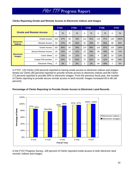|                                     |                      |     | <b>FY03</b> |    | <b>FY04</b> |                | <b>FY05</b>   |     | <b>FY06</b>   |     | <b>FY07</b> |
|-------------------------------------|----------------------|-----|-------------|----|-------------|----------------|---------------|-----|---------------|-----|-------------|
| <b>Onsite and Remote Access</b>     |                      | n   | %           | n  | %           | n              | $\frac{0}{0}$ | n   | $\frac{0}{0}$ | n   | $\%$        |
|                                     | Onsite Access        | 104 | 87%         | 93 | 78%         | 112            | 93%           | 116 | 97%           | 120 | 100%        |
| <b>Electronic</b><br><b>Indices</b> | <b>Remote Access</b> | 32  | 27%         | 30 | 25%         | 35             | 29%           | 67  | 56%           | 96  | 80%         |
|                                     | <b>Onsite Access</b> | 102 | 85%         | 93 | 78%         | 114            | 95%           | 116 | 97%           | 120 | 100%        |
|                                     | Secure Remote Access | 18  | 15%         | 14 | 12%         | 22             | 18%           | 59  | 49%           | 86  | 72%         |
| <b>Electronic</b><br><b>Images</b>  | Cover Sheet          | 12  | 10%         | 13 | 11%         | 14             | 12%           | 4   | 3%            | 15  | 13%         |
|                                     | Unique PIN Number    | 77  | 64%         | 75 | 63%         | 74             | 62%           | 14  | 12%           | 65  | 54%         |
|                                     | Electronic Filing    | 4   | 3%          | 7  | 6%          | $\overline{2}$ | 2%            | 59  | 49%           | 7   | 6%          |

### <span id="page-22-0"></span>**Clerks Reporting Onsite and Remote Access to Electronic Indices and Images**

In FY07, 120 Clerks (100 percent) reported to having onsite access to electronic indices and images. Ninety-six Clerks (80 percent) reported to provide remote access to electronic indices and 86 Clerks (72 percent) reported to provide SRA to electronic images. From the previous fiscal year, the number of Clerks reporting to provide secure remote access to land records' images increased 59 to 86 (46 percent).



### **Percentage of Clerks Reporting to Provide Onsite Access to Electronic Land Records**

In the FY07 Progress Survey, 100 percent of Clerks reported onsite access to both electronic land records' indices and images.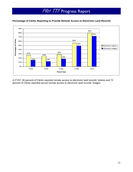

### <span id="page-23-0"></span>**Percentage of Clerks Reporting to Provide Remote Access to Electronic Land Records**

In FY07, 80 percent of Clerks reported remote access to electronic land records' indices and 72 percent of Clerks reported secure remote access to electronic land records' images.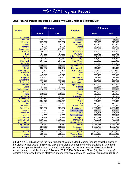### <span id="page-24-0"></span>**Land Records Images Reported by Clerks Available Onsite and through SRA**

| <b>Locality</b>             | <b>LR Images</b>    |                   | <b>Locality</b>                  | <b>LR Images</b>   |                    |
|-----------------------------|---------------------|-------------------|----------------------------------|--------------------|--------------------|
|                             | <b>Onsite</b>       | <b>SRA</b>        |                                  | <b>Onsite</b>      | <b>SRA</b>         |
| <b>Accomack</b>             | 612,000             | 612,000           | Montgomery                       | 1,505,000          | 1,505,000          |
| Albemarle                   | 2,266,972           | 2,266,972         | <b>New Kent</b>                  | 54,000             | 44,000             |
| Alleghany                   | 297,527             | 297,527           | Northampton                      | 213,000            | 213,000            |
| <b>Amelia</b>               | 215,000             | 215,000           | Nottoway                         | 192,500            | 192,500            |
| <b>Amherst</b>              | 9,354               | 9,354             | Orange                           | 813,000            | 813,000            |
| Appomattox                  | 235,400             | 235,400           | Page                             | 500,000            | 500,000            |
| Arlington                   | 2,000,000           | 2,000,000         | Pittsylvania                     | 205,000            | 205,000            |
| <b>Bath</b>                 | 24,629              | 24,629            | Powhatan                         | 575,700            | 575,700            |
| <b>Bedford</b>              | 1,515,659           | 1,515,659         | <b>Prince Edward</b>             | 332,800            | 332,800            |
| <b>Bland</b>                | 47,482              | 47,482            | <b>Prince George</b>             | 395,299            | 395,299            |
| <b>Brunswick</b>            | 364,705             | 364,705           | <b>Prince William</b><br>Pulaski | 7,500,000          | 7,500,000          |
| <b>Buchanan</b><br>Caroline | 25,000<br>1,000,000 | 25,000<br>900,000 | Rappahannock                     | 481,025<br>201,724 | 481,025<br>201,724 |
| Carroll                     | 628,937             | 628,937           | <b>Richmond Co</b>               | 210,000            | 210,000            |
| <b>Charles City Co</b>      | 3,201               | 3,201             | Rockingham                       | 1,500,0000         | 1,500,0000         |
| <b>Charlotte</b>            | 10,000              | 10,000            | <b>Russell</b>                   | 580,000            | 580,000            |
| <b>Clarke</b>               | 447,810             | 447,810           | <b>Scott</b>                     | 589,405            | 589,405            |
| Culpeper                    | 628,864             | 628,864           | Shenandoah                       | 579,338            | 579,338            |
| Cumberland                  | 121,900             | 121,900           | <b>Smyth</b>                     | 153,369            | 153,369            |
| <b>Dickenson</b>            | 18,921              | 18,921            | Southampton                      | 631,236            | 631,236            |
| <b>Dinwiddie</b>            | 4,300               | 4,300             | Spotsylvania                     | 3,800,000          | 3,800,000          |
| <b>Essex</b>                | 27,025              | 27,025            | <b>Stafford</b>                  | 397,844            | 397,844            |
| <b>Fairfax County</b>       | 33,690,287          | 33,690,287        | <b>Surry</b>                     | 365,000            | 265,000            |
| Fauquier                    | 17,772,000          | 17,772,000        | <b>Sussex</b>                    | 152,000            | 152,000            |
| <b>Floyd</b>                | 279,592             | 278,592           | <b>Warren</b>                    | 812,655            | 812,655            |
| Fluvanna                    | 582,000             | 582,000           | Washington                       | 613,650            | 613,650            |
| <b>Franklin Co</b>          | 382,150             | 382,150           | <b>Wise</b>                      | 720,507            | 720,507            |
| <b>Frederick Co</b>         | 2,236,775           | 2,236,775         | Wythe                            | 336,000            | 336,000            |
| <b>Giles</b>                | 19,440              | 19,440            | <b>Bristol</b>                   | 125,200            | 125,200            |
| Gloucester                  | 697,000             | 697,000           | <b>Buena Vista</b>               | 56,383             | 56,383             |
| Goochland                   | 267,557             | 267,557           | Chesapeake                       | 6,000,000          | 6,000,000          |
| Grayson                     | 2,874               | 2,874             | <b>Colonial Heights</b>          | 279,000            | 269,000            |
| Greensville                 | 121,428             | 121,428           | <b>Danville</b>                  | 594,481            | 594,481            |
| <b>Highland</b>             | 9,800               | 9,800             | Fredericksburg                   | 228,267            | 226,515            |
| <b>Isle of Wight</b>        | 770,676             | 770,676           | Hampton                          | 2,301,775          | 2,301,775          |
| James City Co               | 2,215,526           | 2,215,526         | <b>Martinsville</b>              | 482,631            | 482,631            |
| <b>King George</b>          | 685,000             | 685,000           | <b>Newport News</b>              | 3,560,000          | 3,560,000          |
| <b>King William</b>         | 26,212              | 26,212            | <b>Norfolk</b>                   | 4,464,781          | 4,464,781          |
| Lancaster                   | 224,019             | 128,200           | Portsmouth                       | 2,067,766          | 2,067,766          |
| Lee                         | 484,590             | 484,590           | Radford                          | 83,500             | 83,500             |
| Loudoun                     | 6,000,000           | 6,000,000         | <b>Suffolk</b>                   | 2,500,000          | 2.500.000          |
| Louisa                      | 799,563             | 799,563           | <b>Virginia Beach</b>            | 20.000.000         | 20.000.000         |
| <b>Madison</b>              | 173,700             | 173,700           | Winchester                       | 447,350            | 447,350            |

In FY07, 120 Clerks reported the total number of electronic land records' images available onsite at the Clerks' offices was 172,350,691. Only those Clerks who reported to be providing SRA to land records' images are listed above. Those 86 Clerks reported the total number of electronic land records' images available through SRA was 129,227,490. Only seven Clerks (highlighted in gray) reported a difference between electronic images available onsite and images available through SRA.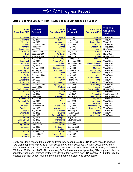### <span id="page-25-0"></span>**Clerks Reporting Date SRA First Provided or Told SRA Capable by Vendor**

| <b>Clerks</b><br><b>Providing SRA</b> | <b>Date SRA</b><br><b>Provided</b> | <b>Clerks</b><br><b>Providing SRA</b> | <b>Date SRA</b><br><b>Provided</b> | <b>Clerks Not</b><br><b>Providing SRA</b> | <b>Told SRA</b><br><b>Capable by</b><br><b>Vendor</b> |
|---------------------------------------|------------------------------------|---------------------------------------|------------------------------------|-------------------------------------------|-------------------------------------------------------|
| <b>Accomack</b>                       | <b>July 2006</b>                   | Montgomery                            | <b>July 2007</b>                   | Augusta                                   | Yes (SCV)                                             |
| Albemarle                             | <b>July 2007</b>                   | <b>New Kent</b>                       | <b>July 2006</b>                   | <b>Botetourt</b>                          | Yes (SCV)                                             |
| Alleghany                             | <b>July 2007</b>                   | Northampton                           | March 2006                         | <b>Buckingham</b>                         | Yes (ILS)                                             |
| <b>Amelia</b>                         | November 2006                      | Nottoway                              | <b>July 2006</b>                   | Campbell                                  | Yes (SCV)                                             |
| <b>Amherst</b>                        | <b>June 2007</b>                   | Orange                                | <b>July 2006</b>                   | <b>Chesterfield</b>                       | Yes (Logan)                                           |
| Appomattox                            | <b>May 2007</b>                    | Page                                  | <b>July 2006</b>                   | Craig                                     | No (SCV)                                              |
| Arlington                             | January 2000                       | Pittsylvania                          | August 2007                        | Greene                                    | Yes (Cott)                                            |
| <b>Bath</b>                           | December 2006                      | Powhatan                              | <b>July 2006</b>                   | <b>Halifax</b>                            | No (SCV)                                              |
| <b>Bedford</b>                        | November 2007                      | <b>Prince Edward</b>                  | <b>May 2007</b>                    | <b>Hanover</b>                            | No (AmCad)                                            |
| <b>Bland</b>                          | August 2007                        | <b>Prince George</b>                  | January 2006                       | Henrico                                   | Yes (ILS)                                             |
| <b>Brunswick</b>                      | <b>July 2006</b>                   | <b>Prince William</b>                 | December 2001                      | <b>Henry</b>                              | Yes (SCV)                                             |
| <b>Buchanan</b>                       | January 2007                       | Pulaski                               | September 1998                     | <b>King and Queen</b>                     | Yes (SCV)                                             |
| Caroline                              | <b>July 2006</b>                   | Rappahannock                          | <b>July 2007</b>                   | Lunenburg                                 | Yes (SCV)                                             |
| Carroll                               | February 2002                      | <b>Richmond Co</b>                    | <b>July 2006</b>                   | <b>Mathews</b>                            | Yes (SCV)                                             |
| <b>Charles City Co</b>                | February 2007                      | Rockingham                            | October 2006                       | <b>Mecklenburg</b>                        | Yes (SCV)                                             |
| Charlotte                             | January 2007                       | <b>Russell</b>                        | <b>July 2007</b>                   | <b>Middlesex</b>                          | Yes (SCV)                                             |
| <b>Clarke</b>                         | December 2005                      | <b>Scott</b>                          | <b>July 2006</b>                   | <b>Nelson</b>                             | Yes (SCV)                                             |
| <b>Culpeper</b>                       | September 2006                     | Shenandoah                            | January 2007                       | Northumberland                            | Yes (ILS)                                             |
| Cumberland                            | <b>May 2007</b>                    | <b>Smyth</b>                          | March 2006                         | <b>Patrick</b>                            | Yes (SCV)                                             |
| <b>Dickenson</b>                      | <b>July 2007</b>                   | Southampton                           | <b>June 2006</b>                   | Roanoke Co                                | Yes (SCV)                                             |
| <b>Dinwiddie</b>                      | December 2006                      | Spotsylvania                          | <b>July 2006</b>                   | Rockbridge                                | Yes (SCV)                                             |
| <b>Essex</b>                          | March 2006                         | <b>Stafford</b>                       | April 2006                         | <b>Tazewell</b>                           | Yes (SCV)                                             |
| <b>Fairfax County</b>                 | <b>May 1999</b>                    | <b>Surry</b>                          | <b>July 2006</b>                   | Westmoreland                              | No (AmCad)                                            |
| Fauquier                              | <b>July 2006</b>                   | <b>Sussex</b>                         | <b>July 2006</b>                   | York                                      | Yes (York Co)                                         |
| Floyd                                 | <b>July 2006</b>                   | Warren                                | <b>May 2004</b>                    | Alexandria                                | Yes (No Vendor)                                       |
| Fluvanna                              | <b>June 2006</b>                   | Washington                            | August 2007                        | Charlottesville                           | Yes (No Vendor)                                       |
| <b>Franklin Co</b>                    | August 2007                        | <b>Wise</b>                           | November 1998                      | <b>Hopewell</b>                           | Yes (SCV)                                             |
| <b>Frederick Co</b>                   | <b>July 2006</b>                   | Wythe                                 | April 2006                         | Lynchburg                                 | Yes (SCV)                                             |
| <b>Giles</b>                          | <b>June 2006</b>                   | <b>Bristol</b>                        | <b>July 2006</b>                   | Petersburg                                | Yes (ILS)                                             |
| <b>Gloucester</b>                     | November 2007                      | <b>Buena Vista</b>                    | <b>July 2007</b>                   | <b>Richmond City</b>                      | Yes (Cott)                                            |
| Goochland                             | <b>July 2006</b>                   | Chesapeake                            | <b>June 2007</b>                   | <b>Roanoke City</b>                       | Yes (SCV)                                             |
| Grayson                               | August 2007                        | <b>Colonial Heights</b>               | February 2007                      | <b>Salem</b>                              | Yes (SCV)                                             |
| Greensville                           | <b>July 2006</b>                   | <b>Danville</b>                       | January 2005                       | <b>Staunton</b>                           | Yes (SCV)                                             |
| Highland                              | <b>July 2007</b>                   | Fredericksburg                        | <b>July 2006</b>                   | Waynesboro                                | Yes (SCV)                                             |
| <b>Isle of Wight</b>                  | <b>July 2006</b>                   | <b>Hampton</b>                        | <b>May 2006</b>                    |                                           |                                                       |
| James City Co                         | <b>July 2006</b>                   | <b>Martinsville</b>                   | November 2002                      |                                           |                                                       |
| <b>King George</b>                    | Ju1y 2006                          | <b>Newport News</b>                   | <b>July 2000</b>                   |                                           |                                                       |
| <b>King William</b>                   | January 2007                       | <b>Norfolk</b>                        | <b>July 2005</b>                   |                                           |                                                       |
| Lancaster                             | <b>July 2006</b>                   | <b>Portsmouth</b>                     | October 2006                       |                                           |                                                       |
| Lee                                   | April 2006                         | Radford                               | <b>June 2006</b>                   |                                           |                                                       |
| Loudoun                               | February 2004                      | <b>Suffolk</b>                        | August 2006                        |                                           |                                                       |
| Louisa                                | August 2007                        | <b>Virginia Beach</b>                 | <b>July 2002</b>                   |                                           |                                                       |
| <b>Madison</b>                        | <b>July 2007</b>                   | Winchester                            | <b>July 2006</b>                   |                                           |                                                       |

Eighty-six Clerks reported the month and year they began providing SRA to land records' images. Two Clerks reported to provide SRA in 1998; one Clerk in 1999; two Clerks in 2000; one Clerk in 2001; three Clerks in 2002; no Clerks in 2003; two Clerks in 2004; three Clerks in 2005; 44 Clerks in 2006; and 28 Clerks in 2007. The remaining 34 Clerks (who are not providing SRA) reported whether or not they had been informed by their vendor that their system was SRA capable. All but four Clerks reported that their vendor had informed them that their system was SRA capable.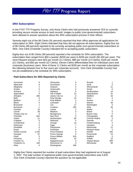### <span id="page-26-0"></span>**SRA Subscription**

In the FY07 TTF Progress Survey, only those Clerks who had previously answered YES to currently providing secure remote access to land records' images to public (non-governmental) subscribers were allowed to answer questions about the SRA subscription process in their offices.

Seventy-eight out of the 86 Clerks (91 percent) reported that their office approves all applications for subscription to SRA. Eight Clerks indicated that they did not approve all subscriptions. Eighty-five out of 86 Clerks (99 percent) reported to be currently accepting public (non-governmental) subscribers to SRA. One Clerk (Charlotte County) indicated NO to accepting public subscribers.

Eighty-four out of 85 Clerks (99 percent) reported a fee schedule for SRA subscription. The subscription fees ranged from \$50 a quarter (\$200 per year) to \$200 per month (\$2,400 per year). The most frequent answers were \$25 per month (11 Clerks), \$80 per month (13 Clerks), \$100 per month (21 Clerks), and \$50 per month (22 Clerks). Eleven Clerks differentiated fees for individual users and corporate (business) users. Nine of these 11 Clerks set \$200 per month as the corporate subscription fee (allowing between four to five users per corporate account). One Clerk (Dinwiddie County) had not yet established a fee schedule for SRA subscription.

| Accomack              | 8     | Gloucester           | 0   | Russell                 |             |
|-----------------------|-------|----------------------|-----|-------------------------|-------------|
| Albemarle             | 8     | Goochland            | 0   | Scott                   | 5           |
| Alleghany             | 2     | Grayson              | 0   | Shenandoah              | 21          |
| Amelia                | 0     | Greensville          | 0   | Smyth                   | 6           |
| Amherst               | 2     | Highland             | 0   | Southampton             | 10          |
| Appomattox            | 0     | Isle of Wight        | 13  | Spotsylvania            | 31          |
| Arlington             | 300   | James City Co        | 0   | Stafford                | 34          |
| <b>Bath</b>           | 0     | King George          | 23  | Surry                   | 0           |
| Bedford               | 0     | King William         | 0   | Sussex                  | $\Omega$    |
| <b>Bland</b>          | O     | Lancaster            | 3   | Warren                  | 38          |
| <b>Brunswick</b>      |       | Lee                  | 17  | Washington              | $\mathbf 0$ |
| Buchanan              |       | Loudoun              | 205 | Wise                    | 46          |
| Caroline              | 10    | Louisa               | 2   | Wythe                   | 7           |
| Carroll               | 38    | Madison              | 0   | <b>Bristol</b>          | 0           |
| Charles City Co       | 0     | Montgomery           |     | <b>Buena Vista</b>      | 0           |
| Charlotte             | N/A   | New Kent             | 0   | Chesapeake              | 16          |
| Clarke                | 21    | Northampton          | 80  | <b>Colonial Heights</b> | $\mathbf 0$ |
| Culpeper              | 9     | Nottoway             | 0   | Danville                | 17          |
| Cumberland            | 0     | Orange               | 15  | Fredericksburg          | 4           |
| Dickenson             | 0     | Page                 | 7   | Hampton                 | 0           |
| Dinwiddie             | 0     | Pittsylvania         | 2   | Martinsville            | 12          |
| Essex                 | 0     | Powhatan             | 0   | <b>Newport News</b>     | 3           |
| <b>Fairfax County</b> | 2,194 | <b>Prince Edward</b> | 0   | <b>Norfolk</b>          | 340         |
| Fauquier              | 22    | Prince George        | 0   | Portsmouth              | 23          |
| Floyd                 | 5     | Prince William       | 810 | Radford                 | $\Omega$    |
| Fluvanna              | 0     | Pulaski              | 10  | <b>Suffolk</b>          | 15          |
| Franklin Co           | 0     | Rappahannock         | 0   | Virginia Beach          | 900         |
| Frederick Co          | 106   | Richmond Co          | 0   | Winchester              | 60          |
| Giles                 | 0     | Rockingham           | 406 |                         |             |

#### **Paid Subscribers for SRA Reported by Clerks**

Eighty-five Clerks reported the number of paid subscribers they had registered as of August 1, 2007. The total number of registered public (non-governmental) subscribers was 5,910. One Clerk (Charlotte County) reported the question as not-applicable.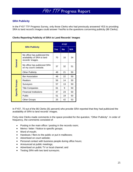### <span id="page-27-0"></span>**SRA Publicity**

In the FY07 TTF Progress Survey, only those Clerks who had previously answered YES to providing SRA to land record's images could answer Yes/No to the questions concerning publicity (86 Clerks).

**Clerks Reporting Publicity of SRA to Land Records' Images** 

|                        |                                                        |            | FY07      |     |  |  |  |
|------------------------|--------------------------------------------------------|------------|-----------|-----|--|--|--|
|                        | <b>SRA Publicity</b>                                   | <b>Yes</b> | <b>No</b> | N/A |  |  |  |
|                        | 70                                                     | 16         | 34        |     |  |  |  |
| General                | My office has publicized SRA<br>on my court's website. | 37         | 32        | 51  |  |  |  |
|                        | <b>Other Publicity</b>                                 | 49         | 21        | 50  |  |  |  |
|                        | <b>Bar Association</b>                                 | 48         | 22        | 50  |  |  |  |
|                        | <b>Realtors</b>                                        | 56         | 14        | 50  |  |  |  |
| <b>Specific Groups</b> | Surveyors                                              | 57         | 13        | 50  |  |  |  |
|                        | <b>Title Companies</b>                                 | 61         | 9         | 50  |  |  |  |
|                        | <b>Financial Institutions</b>                          | 47         | 23        | 50  |  |  |  |
|                        | Public                                                 | 51         | 19        | 50  |  |  |  |
|                        | <b>Other Groups</b>                                    | 25         | 42        | 53  |  |  |  |

In FY07, 70 out of the 86 Clerks (81 percent) who provide SRA reported that they had publicized the availability of SRA to land records' images.

Forty-nine Clerks made comments in the space provided for the question, "Other Publicity". In order of frequency, the comments consisted of:

- Posting in the main office / posting in the records room;
- Memo / letter / Notice to specific groups;
- Word of mouth;
- Handouts / fliers to the public or put in mailboxes;
- Advertised on court website;
- Personal contact with business people during office hours;
- Announced at public meetings;
- Advertised on public TV or local channel; and
- Testing SRA with two land surveyors.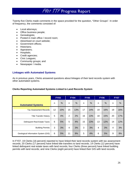<span id="page-28-0"></span>Twenty-five Clerks made comments in the space provided for the question, "Other Groups". In order of frequency, the comments consisted of:

- Local attorneys;
- Office business people;
- Genealogists;
- Posted in main office / record room;
- Advertised on court website;
- Government offices;
- Historians;
- Appraisers;
- Hospitals;
- Credit agencies;
- Civic Leagues;
- Community groups; and
- Newspaper / media.

### **Linkages with Automated Systems**

As in previous years, Clerks answered questions about linkages of their land records system with other automated systems.

#### **Clerks Reporting Automated Systems Linked to Land Records System**

|                                     |    | <b>FY03</b> |    | <b>FY04</b>   |    | <b>FY05</b>   |    | <b>FY06</b> |    | <b>FY07</b>   |
|-------------------------------------|----|-------------|----|---------------|----|---------------|----|-------------|----|---------------|
| <b>Automated Systems</b>            | n  | %           | n  | $\frac{0}{0}$ | n  | $\frac{0}{0}$ | n  | %           | n  | $\frac{0}{0}$ |
| <b>Tax Assessment Records</b>       | 12 | 10%         | 15 | 13%           | 17 | 14%           | 19 | 16%         | 19 | 16%           |
| <b>Title Transfer History</b>       | 5  | 4%          | 2  | 2%            | 16 | 13%           | 18 | 15%         | 20 | 17%           |
| <b>Delinquent Real Estate Taxes</b> | 6  | 5%          | 5  | 4%            | 15 | 13%           | 13 | 12%         | 14 | 12%           |
| <b>Building Permits</b>             | 3  | 3%          | 4  | 3%            | 3  | 3%            | 4  | 3%          | 4  | 3%            |
| Geological Information System (GIS) | 6  | 5%          | 11 | 9%            | 5  | 4%            | 6  | 5%          | 9  | 8%            |

In FY07, 19 Clerks (16 percent) reported to have linked their land records system with tax assessment records; 20 Clerks (17 percent) have linked title transfers to land records; 14 Clerks (12 percent) have linked delinquent real estate taxes with land records; four Clerks (three percent) have linked building permits with land records; and nine Clerks (eight percent) have linked their GIS with land records.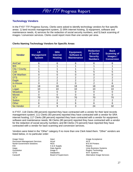### <span id="page-29-0"></span>**Technology Vendors**

In the FY07 TTF Progress Survey, Clerks were asked to identify technology vendors for five specific areas: 1) land records management system, 2) SRA internet hosting, 3) equipment, software and maintenance needs, 4) services for the redaction of social security numbers, and 5) back scanning of images / conversion services. Clerks could report more than one vendor per area.

### **Clerks Naming Technology Vendors for Specific Areas**

| <b>Vendor</b>     | <b>LR</b><br><b>Management</b><br><b>System</b> | <b>SRA</b><br><b>Internet</b><br><b>Hosting</b> | Equipment,<br><b>Software &amp;</b><br><b>Maintenance</b> | <b>Redaction</b><br>of Social<br><b>Security</b><br><b>Numbers</b> | <b>Back</b><br><b>Scanning of</b><br>Images /<br><b>Conversion</b> |
|-------------------|-------------------------------------------------|-------------------------------------------------|-----------------------------------------------------------|--------------------------------------------------------------------|--------------------------------------------------------------------|
| AmCad             | 6                                               | 6                                               | 6                                                         | 6                                                                  | 6                                                                  |
| <b>BIS</b>        |                                                 |                                                 |                                                           |                                                                    |                                                                    |
| County<br>City /  |                                                 |                                                 |                                                           |                                                                    |                                                                    |
| <b>Cott</b>       | 5                                               | 5                                               | 5                                                         | 5                                                                  | 5                                                                  |
| <b>CW Warthen</b> | 0                                               | 0                                               | 0                                                         | 0                                                                  | 0                                                                  |
| <b>DTS</b>        | $\overline{2}$                                  | $\overline{2}$                                  | $\overline{2}$                                            | 2                                                                  | $\overline{2}$                                                     |
| Eagle             | 2                                               | 2                                               | $\overline{2}$                                            | 2                                                                  | $\overline{2}$                                                     |
| In-House          | 0                                               | 0                                               | 0                                                         | $\overline{2}$                                                     | 6                                                                  |
| <b>ILS</b>        | 18                                              | 18                                              | 18                                                        | 18                                                                 | 18                                                                 |
| Logan             | 10                                              | 10                                              | 10                                                        | 10                                                                 | 10                                                                 |
| <b>Meadows</b>    | 0                                               | 0                                               | 0                                                         | 0                                                                  | 0                                                                  |
| <b>Mixnet</b>     | $\overline{0}$                                  | 0                                               | 0                                                         | 0                                                                  | 0                                                                  |
| <b>SCV</b>        | 70                                              | 70                                              | 70                                                        | 70                                                                 | 70                                                                 |
| <b>Sutton</b>     | $\overline{c}$                                  | $\overline{2}$                                  | 2                                                         | 2                                                                  | 2                                                                  |
| <b>Other</b>      | 6                                               | 6                                               | 6                                                         | 6                                                                  | 6                                                                  |
| No Vendor         | 2                                               | 9                                               | 3                                                         | 24                                                                 | 32                                                                 |

In FY07, 118 Clerks (98 percent) reported they have contracted with a vendor for their land records management system; 111 Clerks (93 percent) reported they have contracted with a vendor for SRA internet hosting; 117 Clerks (98 percent) reported they have contracted with a vendor for equipment, software and maintenance needs; 96 Clerks (80 percent) reported they have contracted with a vendor for the redaction of social security numbers; and 88 Clerks (73 percent) have reported they have contracted with a vendor for back scanning and conversion services.

Vendors were listed in the "Other" category if no more than one Clerk listed them. "Other" vendors are listed below, in no particular order:

Image Vision **Input Image Acceptance** Input Image Acceptance Document Management Services Accel Accel ACS<br>
Nortel Government Solutions MGS NGS Accel Accel ACS M & W Printers Nortel Government Solutions MGS ESI **A & E Supply Reams Reams** Inego Data Agents Covolution Covolution Covolution Covolution Covolution Covolution Covolution Covolution Covo<br>
Covolution Covolution Covolution Covolution Covolution Covolution Covolution Covolution Covolution Covolution Govolution **Image X** Image X Rogers Technology<br>GTSI Databanks CTSI W.R. Systems Carasoft **Board of Supervisors** Board of Supervisors Alternative Image Services

Databanks<br>Board of Supervisors Form Multernative Images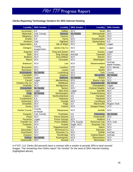### <span id="page-30-0"></span>**Clerks Reporting Technology Vendors for SRA Internet Hosting**

| <b>Locality</b>        | <b>SRA Vendor</b>      | <b>Locality</b>       | <b>SRA Vendor</b> | <b>Locality</b>           | <b>SRA Vendor</b>                 |
|------------------------|------------------------|-----------------------|-------------------|---------------------------|-----------------------------------|
| <b>Accomack</b>        | <b>ILS</b>             | <b>Halifax</b>        | SCV               | <b>Scott</b>              | <b>BIS</b>                        |
| Albemarle              | Cott, County           | Hanover               | No Vendor         | Shenandoah                | SCV                               |
| Alleghany              | SCV                    | <b>Henrico</b>        | <b>ILS</b>        | Smyth                     | SCV                               |
| Amelia                 | <b>ILS</b>             | <b>Henry</b>          | SCV               | Southampton               | SCV                               |
| Amherst                | Cott                   | <b>Highland</b>       | SCV               | Spotsylvania              | <b>ILS</b>                        |
| Appomattox             | <b>ILS</b>             | <b>Isle of Wight</b>  | SCV               | <b>Stafford</b>           | Logan                             |
| Arlington              | County,<br>ImageVision | <b>James City Co</b>  | SCV               | <b>Surry</b>              | Logan                             |
| Augusta                | SCV                    | <b>King and Queen</b> | SCV               | <b>Sussex</b>             | Logan                             |
| <b>Bath</b>            | SCV                    | <b>King George</b>    | AmCad             | <b>Tazewell</b>           | SCV                               |
| <b>Bedford</b>         | SCV                    | <b>King William</b>   | SCV               | <b>Warren</b>             | SCV                               |
| <b>Bland</b>           | SCV                    | Lancaster             | SCV               | Washington                | SCV                               |
| <b>Botetourt</b>       | SCV                    | Lee                   | SCV               | Westmoreland              | AmCad,<br><b>M&amp;W Printers</b> |
| <b>Brunswick</b>       | <b>SCV</b>             | Loudoun               | <b>DTS</b>        | <b>Wise</b>               | SCV, Mixnet                       |
| <b>Buchanan</b>        | <b>SCV</b>             | Louisa                | Cott              | Wythe                     | SCV                               |
| Buckingham             | No Vendor              | Lunenburg             | <b>SCV</b>        | <b>York</b>               | County                            |
| Campbell               | SCV                    | <b>Madison</b>        | <b>SCV</b>        | Alexandria                | No Vendor                         |
| Caroline               | Logan                  | <b>Mathews</b>        | No Vendor         | <b>Bristol</b>            | SCV                               |
| Carroll                | Logan                  | Mecklenburg           | SCV               | <b>Buena Vista</b>        | <b>SCV</b>                        |
| <b>Charles City Co</b> | SCV                    | <b>Middlesex</b>      | <b>SCV</b>        | Charlottesville           | No Vendor                         |
| <b>Charlotte</b>       | <b>SCV</b>             | Montgomery            | ILS               | Chesapeake                | Logan                             |
| Chesterfield           | No Vendor              | <b>Nelson</b>         | SCV               | <b>Colonial Heights</b>   | AmCad                             |
| <b>Clarke</b>          | Logan                  | <b>New Kent</b>       | Logan             | <b>Danville</b>           | SCV                               |
| Craig                  | No Vendor              | Northampton           | SCV               | Fredericksburg            | <b>SCV</b>                        |
| <b>Culpeper</b>        | SCV                    | Northumberland        | ILS               | Hampton                   | <b>SCV</b>                        |
| Cumberland             | <b>ILS</b>             | Nottoway              | ILS               | <b>Hopewell</b>           | <b>SCV</b>                        |
| <b>Dickenson</b>       | SCV                    | Orange                | <b>SCV</b>        | Lynchburg                 | <b>SCV</b>                        |
| <b>Dinwiddie</b>       | <b>SCV</b>             | Page                  | ILS               | <b>Martinsville</b>       | Rogers Tech                       |
| <b>Essex</b>           | <b>SCV</b>             | <b>Patrick</b>        | <b>SCV</b>        | <b>Newport News</b>       | SCV                               |
| <b>Fairfax County</b>  | County,<br>In-House    | Pittsylvania          | SCV               | <b>Norfolk</b>            | SCV                               |
| Fauquier               | Cott, County           | Powhatan              | <b>ILS</b>        | Petersburg                | No Vendor                         |
| Floyd                  | SCV                    | <b>Prince Edward</b>  | ILS               | Portsmouth                | SCV                               |
| Fluvanna               | Logan                  | <b>Prince George</b>  | SCV               | Radford                   | <b>ILS</b>                        |
| <b>Franklin Co</b>     | SCV                    | <b>Prince William</b> | DTS, County       | Richmond City   SCV, Cott |                                   |
| <b>Frederick</b>       | SCV                    | Pulaski               | Eagle, SCV        | <b>Roanoke City</b>       | SCV                               |
| <b>Giles</b>           | <b>ILS</b>             | Rappahannock          | SCV               | <b>Salem</b>              | SCV                               |
| Gloucester             | SCV                    | <b>Richmond Co</b>    | <b>ILS</b>        | Staunton                  | SCV                               |
| <b>Goochland</b>       | SCV                    | Roanoke Co            | SCV               | <b>Suffolk</b>            | AmCad                             |
| Grayson                | SCV                    | Rockbridge            | SCV               | <b>Virginia Beach</b>     | AmCad                             |
| Greene                 | No Vendor              | Rockingham            | <b>ACS</b>        | Waynesboro                | SCV                               |
| Greensville            | SCV                    | <b>Russell</b>        | <b>ILS</b>        | Winchester                | <b>SCV</b>                        |

In FY07, 111 Clerks (93 percent) have a contract with a vendor to provide SRA to land records' images. The remaining nine Clerks report "No Vendor" for the area of SRA Internet Hosting (highlighted above).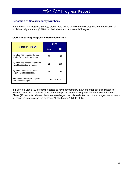### <span id="page-31-0"></span>**Redaction of Social Security Numbers**

In the FY07 TTF Progress Survey, Clerks were asked to indicate their progress in the redaction of social security numbers (SSN) from their electronic land records' images.

### **Clerks Reporting Progress in Redaction of SSN**

|                                                                   | FY07 |              |  |  |
|-------------------------------------------------------------------|------|--------------|--|--|
| <b>Redaction of SSN</b>                                           | Yes  | No           |  |  |
| My office has contracted with a<br>vendor for back-file redaction | 64   | 56           |  |  |
| My office has decided to perform<br>back-file redaction in-house. | 11   | 109          |  |  |
| My vendor / office staff have<br>begun back-file redaction.       | 21   | 99           |  |  |
| Average reported span of years<br>for redacted images.            |      | 1970 to 2007 |  |  |

In FY07, 64 Clerks (53 percent) reported to have contracted with a vendor for back-file (historical) redaction services; 11 Clerks (nine percent) reported to performing back-file redaction in-house; 21 Clerks (18 percent) indicated that they have begun back-file redaction; and the average span of years for redacted images reported by those 21 Clerks was 1970 to 2007.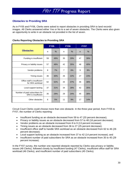### <span id="page-32-0"></span>**Obstacles to Providing SRA**

As in FY05 and FY06, Clerks were asked to report obstacles in providing SRA to land records' images. All Clerks answered either Yes or No to a set of seven obstacles. The Clerks were also given an opportunity to write in an obstacle not provided in the list of seven.

|                                                              |    | <b>FY05</b> | <b>FY06</b>    |      | <b>FY07</b>  |      |
|--------------------------------------------------------------|----|-------------|----------------|------|--------------|------|
| <b>Obstacles</b>                                             | n  | $\%$        | n              | $\%$ | $\mathsf{n}$ | $\%$ |
| Funding is insufficient                                      | 59 | 49%         | 35             | 29%  | 47           | 39%  |
| Privacy or liability issues                                  | 57 | 48%         | 42             | 35%  | 48           | 40%  |
| Vendor problems                                              | 8  | 7%          | $\overline{7}$ | 6%   | 9            | 8%   |
| Timing issues                                                | 36 | 30%         | 26             | 22%  | 27           | 23%  |
| Office staff is insufficient<br>for SRA workload             | 62 | 52%         | 44             | 37%  | 46           | 38%  |
| Local support lacking                                        | 37 | 31%         | 34             | 28%  | 42           | 35%  |
| Number of paid subscribers for<br><b>SRA</b> is insufficient | 35 | 29%         | 29             | 24%  | 45           | 38%  |
| Other obstacles                                              | 6  | 5%          | 11             | 9%   | 17           | 14%  |

### **Clerks Reporting Obstacles to Providing SRA**

Circuit Court Clerks could choose more than one obstacle. In the three-year period, from FY05 to FY07, the number of Clerks reporting:

- Insufficent funding as an obstacle decreased from 59 to 47 (20 percent decrease);
- Privacy or liability issues as an obstacle decreased from 57 to 48 (16 percent decrease);
- Vendor problems as an obstacle increased from 8 to 9 (13 percent increase);
- Timing issues as an obstacle decreased from 36 to 27 (25 percent decrease);
- Insufficient office staff to handle SRA workload as an obstacle decreased from 62 to 46 (26 percent decrease);
- Local support lacking as an obstacle increased from 37 to 42 (14 percent increase); and
- Insufficient number of paid subscribers for SRA as an obstacle increased from 35 to 45 (29) percent increase).

In the FY07 survey, the number one reported obstacle reported by Clerks was privacy or liability issues (48 Clerks), followed closely by insufficient funding (47 Clerks), insufficient office staff for SRA workload (46 Clerks), and insufficient number of paid subscribers (45 Clerks).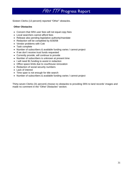Sixteen Clerks (13 percent) reported "Other" obstacles.

### **Other Obstacles**

- Concern that SRA user fees will not equal copy fees
- Local searchers cannot afford fees
- Release also pending legislative authority/mandate
- Redaction will be completed by 6/30/08
- Vendor problems with Cott
- Task complete
- Number of subscribers & available funding varies / cannot project
- If we don't receive trust funds requested
- Currently provide, will continue to provide
- Number of subscribers is unknown at present time
- I will need \$1 funding to assist in redaction
- Office space limits due to courthouse renovation
- Redaction of social security numbers
- Lack of interest
- Time span is not enough for title search
- Number of subscribers & available funding varies / cannot project

Thirty-seven Clerks (31 percent) choose no obstacles to providing SRA to land records' images and made no comment in the "Other Obstacles" section.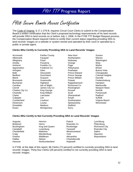### <span id="page-34-0"></span>FY08 Secure Remote Access Certification

The Code of Virginia, § 17.1-279 B, requires Circuit Court Clerks to submit to the Compensation Board a written certification that the Clerk's proposed technology improvements of his land records will provide SRA to land records on or before July 1, 2008. In the FY08 TTF Budget Request process, the Compensation Board required Clerks to certify their current status regarding providing SRA to land records' images on a website or system owned and operated by their court or operated by a public or private agent.

#### **Clerks Who Certify to Currently Providing SRA to Land Records' Images**

Essex Montgomery Surry

Dinwiddie Madison Stafford

Accomack **Fairfax County New Kent** Sussex Albemarle Fauquier Northampton Warren Alleghany **Floyd** Floyd Nottoway Washington Amelia Fluvanna Orange Wise Amherst **Franklin Co** Page Page Wythe Appomattox **Frederick Co** Pittsylvania Bristol Arlington Giles Giles Powhatan Buena Vista Bath Gloucester Prince Edward Chesapeake Bland Grayson Prince William Danville Brunswick Greensville **Pulaski** Pulaski Fredericksburg Buchanan **Highland** Rappahannock Hampton Caroline **Isle of Wight Richmond Co** Martinsville Carroll **Carroll** James City Co **Rockingham** Newport News Charles City Co **King George** Russell **Russell** Norfolk Charlotte **King William** Scott Scott **Portsmouth** Clarke Lancaster Shenandoah Radford Culpeper Lee Smyth Suffolk Cumberland Loudoun Southampton Virginia Beach Dickenson Louisa Spotsylvania Winchester

Bedford **Goochland Contact Prince George** Colonial Heights

#### **Clerks Who Certify to Not Currently Providing SRA to Land Records' Images**

| Augusta           | Henrico        | <b>Patrick</b>  | Lynchburg            |
|-------------------|----------------|-----------------|----------------------|
| <b>Botetourt</b>  | Henry          | Roanoke Co      | Petersburg           |
| <b>Buckingham</b> | King and Queen | Rockbridge      | <b>Richmond City</b> |
| Campbell          | Lunenburg      | Tazewell        | Roanoke City         |
| Chesterfield      | <b>Mathews</b> | Westmoreland    | Salem                |
| Craig             | Mecklenburg    | York            | Staunton             |
| Greene            | Middlesex      | Alexandria      | Waynesboro           |
| Halifax           | <b>Nelson</b>  | Charlottesville |                      |
| Hanover           | Northumberland | Hopewell        |                      |

In FY08, at the date of this report, 86 Clerks (72 percent) certified to currently providing SRA to land records' images. Thirty-four Clerks (28 percent) certified to not currently providing SRA to land records' images.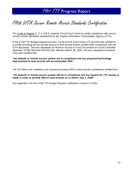## <span id="page-35-0"></span>FY08 VITA Secure Remote Access Standards Certification

The Code of Virginia, § 17.1-279 D, requires Circuit Court Clerks to certify compliance with secure remote access standards established by the Virginia Information Technologies Agency (VITA).

In the FY08 TTF Budget Request process, the 86 Circuit Court Clerks (72 percent) that certified to currently providing secure remote access to land records further certified their compliance with the VITA document, "Security Standards for Remote Access to Court Documents on Court-Controlled Websites" (ITRM Standrad SEC503-02), effective March 28, 2005, and any subsequent revisions. They also certified that:

#### *"my website or remote access system are in compliance and any proposed technology improvement to land records will accommodate SRA."*

The 34 Clerks who certified to not currently providing SRA to land records nonetheless certified that:

#### *"my website or remote access system will be in compliance and my request for TTF monies is made in order to provide SRA to land records on or before July 1, 2008".*

See Appendix 4 for the FY08 TTF Budget Request certification screens in COIN.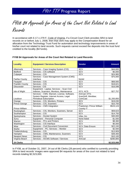# FY08 \$4 Approvals for Areas of the Court Not Related to Land Records

In accordance with § 17.1-279 F, Code of Virginia, if a Circuit Court Clerk provides SRA to land records on or before July 1, 2008, then that clerk may apply to the Compensation Board for an allocation from the Technology Trust Fund for automation and technology improvements in areas of his/her court not related to land records. Such requests cannot exceed the deposits into the trust fund credited to the locality (\$4 funds).

| <b>Locality</b>        | <b>Equipment / Services Description</b>     | <b>Vendor</b>              | <b>Amount</b>         |
|------------------------|---------------------------------------------|----------------------------|-----------------------|
| Albemarle              | Services - Case Imaging System (CIS)        | SCV                        | \$44,600              |
| <b>Bedford</b>         | Services - CIS software                     | SCV                        | \$5,000               |
| Culpeper               | Services - CIS                              | <b>SCV</b>                 | \$24,965              |
|                        | Services - Case Management System (CMS)     |                            | \$75,000              |
| <b>Fairfax County</b>  | Interface                                   | Nortel                     |                       |
| Fauquier               | Services - CIS                              | <b>SCV</b>                 | \$68,565              |
| <b>Franklin County</b> | Services - CIS                              | SCV                        | \$18,621              |
| Gloucester             | Services - CIS                              | <b>SCV</b>                 | \$16,596              |
|                        | Equipment - Laptop; Services - Scan Civil   |                            |                       |
| Isle of Wight          | Indexes, Scanners, Monitors, Maintenance    | SCV; ACS                   | \$27,757              |
|                        | Services - CMS, Warrant, License, Software, | AmCad; DTS;                |                       |
|                        | System Register, Internet Access, Legal     | ScanSoft; Westlaw;         |                       |
| Loudoun                | <b>Periodical Subscription</b>              | ComCast                    | \$1,200,850           |
| Orange                 | Services - CIS, Monitors, Printers          | SCV                        | \$19,030              |
| Prince George          | Services - CIS, Scanners                    | SCV                        | \$10,700              |
|                        | Services - CMS Integration                  | Praetorian; Prince William | \$523,124             |
| Prince William         |                                             | County IT                  |                       |
| Rockingham             | Services - CIS, Monitors, Scanners, Server  | SCV                        | \$59,623              |
| Southampton            | Services - CIS                              | SCV                        | \$14,750              |
| Spotsylvania           | Services - Docket System                    | Infax, Inc.                | \$30,000              |
| Surry                  | Equipment - Personal Computer               | None listed                | \$1,500               |
| Warren                 | Services – PCs and Printers                 | SCV                        | \$8,360               |
| Washington             | Services - CIS Interface                    | SCV                        | \$5,000               |
| Wise                   | Services - Civil Document Conversion        | SCV; Data Ensure           | \$22,245              |
| Wythe                  | Equipment - PC; Services - Monitor          | SCV                        | \$2,500               |
| Fredericksburg         | Services - CIS                              | <b>SCV</b>                 | \$13,909              |
| Hampton                | Services - CMS, Maintenance, Scanners       | SCV                        | \$39,400              |
| <b>Newport News</b>    | Services - CIS                              | <b>SCV</b>                 | \$10,100              |
| Virginia Beach         | Services - AICMS Software / Services        | AmCad                      | $\overline{$}280,805$ |
| 24 Clerks              |                                             |                            | \$2,523,000           |

### **FY08 \$4 Approvals for Areas of the Court Not Related to Land Records**

In FY08, as of October 31, 2007, 24 out of 86 Clerks (28 percent) who certified to currently providing SRA to land records' images were approved \$4 requests for areas of the court not related to land records totaling \$2,523,000.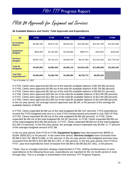FY08 \$4 Approvals for Equipment and Services

**\$4 Available Balance and Clerks' Total Approvals and Expenditures** 

| \$4                                      | <b>FY03</b> | <b>FY04</b> | <b>FY05</b> | <b>FY06</b>  | <b>FY07</b>  | <b>FY08*</b> |
|------------------------------------------|-------------|-------------|-------------|--------------|--------------|--------------|
| \$4 Available<br><b>Balance</b>          | \$5,280,784 | \$5,674,725 | \$9,923,541 | \$10,230,355 | \$13,437,799 | \$14,501,993 |
| <b>Equipment</b><br><b>Budgets</b>       | \$655,855   | \$1,160,091 | \$1,500,884 | \$893,571    | \$192,843    | \$105,034    |
| <b>Services</b><br><b>Budgets</b>        | \$3,847,210 | \$3,722,214 | \$3,565,234 | \$9,107,464  | \$11,613,105 | \$12,719,218 |
| <b>Total \$4</b><br><b>Budgeted</b>      | \$4,503,065 | \$4,882,305 | \$5,066,118 | \$10,001,035 | \$11,805,948 | \$12,824,252 |
| <b>Year-End</b><br><b>Expenditures**</b> | \$4,802,609 | \$3,384,769 | \$4,385,883 | \$6,755,772  | \$8,630,100  |              |

\* As of October 31, 2007.

In FY03, Clerks were approved \$4.5M out of the total \$4 available balance of \$5.3M (85 percent). In FY04, Clerks were approved \$4.9M out of the total \$4 available balance of \$5.7M (86 percent). In FY05, Clerks were approved \$5.1M out of the total \$4 available balance of \$9.9M (51 percent). In FY06, Clerks were approved \$10.0M out of the total \$4 available balance of \$10.2M (98 percent). In FY07, Clerks were approved \$11.8M out of the total \$4 available balance of \$13.4M (88 percent). In FY08, Clerks were approved \$12.8M out of the total \$4 available balance of \$14.5M (88 percent). In the six-year period, the average amount approved was \$8.2M, or 84 percent of the average \$4 available balance of \$9.8M.

In FY03, Clerks expended \$4.8M out of the total budgeted \$4.5M (107 percent). FY03 expenditures exceed the FY03 budgeted total due to a June FY02 reimbursement processed in July 2002 (FY03). In FY04, Clerks expended \$3.4M out of the total budgeted \$4.9M (69 percent). In FY05, Clerks expended \$4.4M out of the total budgeted \$5.1M (87 percent). In FY06, Clerks expended \$6.8M out of the total budgeted \$10.0M (68 percent). In FY07, Clerks expended \$8.6M out of the total budgeted \$11.8M (73 percent). In the five-year period, the average amount expended was \$5.6M, or 77 percent of the average budgeted amount of \$7.3M.

In the six-year period, from FY03 to FY08, **Equipment budgets** have decreased from \$655K to \$105K (\$550,821) or 84 percent. In the same time period, **Services budgets** have increased from \$3.8M to \$12.7M (\$8,872,008), or 231 percent. In the six-year period, total budgeted amounts have increased from \$4.5M to \$12.8M (\$8,321,187), or 185 percent. In the five-year period, from FY03 to FY07, year-end expenditures have increased from \$4.8M to \$8.6M (\$3,827,491), or 80 percent.

\*\*Note: Due to a budget reduction strategy implemented in FY02, shifting reimbursement of June expenditures to the following fiscal year, expenditures are reported for the 12-month period of June through May. This is a change in presentation from previous TTF Progress Reports.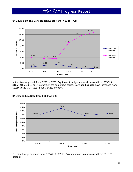



In the six-year period, from FY03 to FY08, **Equipment budgets** have decreased from \$655K to \$105K (\$550,821), or 84 percent. In the same time period, **Services budgets** have increased from \$3.8M to \$12.7M (\$8,872,008), or 231 percent.



### **\$4 Expenditure Rate from FY04 to FY07**

Over the four-year period, from FY04 to FY07, the \$4 expenditure rate increased from 69 to 73 percent.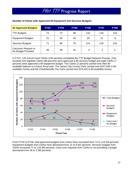| \$4 Approved Budgets                       | <b>FY03</b> | <b>FY04</b> | <b>FY05</b> | <b>FY06</b> | <b>FY07</b> | <b>FY08</b> |
|--------------------------------------------|-------------|-------------|-------------|-------------|-------------|-------------|
| <b>TTF Budgets</b>                         | 74          | 72          | 89          | 116         | 118         | 118         |
| <b>Equipment Budgets</b>                   | 21          | 30          | 40          | 20          | 12          | 8           |
| <b>Services Budgets</b>                    | 71          | 68          | 75          | 114         | 118         | 118         |
| Carryover Request or<br>No Budget Provided | 46          | 48          | 31          | 4           | 2           | 2           |

### **Number of Clerks with Approved \$4 Equipment and Services Budgets**

In FY07, 120 Circuit Court Clerks (100 percent) completed the TTF Budget Request Process. One hundred and eighteen Clerks (98 percent) were approved a \$4 services budget and eight Clerks (7 percent) were approved a \$4 equipment budget. Two Clerks (2 percent) carried-over their \$4 available balance to a future fiscal year. The James City County Clerk carried-over \$147,830 in \$4 available money and the Charlottesville City Clerk carried-over \$74,422 in \$4 available money.



From FY03 to FY08, total approved budgets from Clerks have increased from 74 to 118 (59 percent). Equipment budgets from Clerks have decreased from 21 to 8 (62 percent). Services budgets from Clerks increased 71 to 118 (66 percent). Carry-over requests from Clerks or not providing a budget decreased from 46 to 2 (96 percent).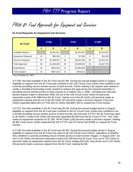FY08 \$1 Fund Approvals for Equipment and Services

| \$1 Fund                  | <b>FY06</b> |             | <b>FY07</b> |             | <b>FY08*</b> |             |
|---------------------------|-------------|-------------|-------------|-------------|--------------|-------------|
|                           | #           | \$          | #           | \$          | #            | \$          |
| Available Balance         |             | \$1,961,821 |             | \$3,164,943 |              | \$2,543,602 |
| <b>Equipment Requests</b> | 12          | \$95,058    | 1           | \$7,394     | 4            | \$15,282    |
| Services Requests         | 64          | \$1,388,207 | 60          | \$2,842,259 | 63           | \$1,612,447 |
| <b>Total Approved</b>     | 66          | \$1,483,265 | 60          | \$2,849,653 | 63           | \$1,627,729 |
| Expenditures              | 44          | \$816,002   | 47          | \$2,080,638 |              |             |
| <b>Total Unspent</b>      | 31          | \$667,263   | 31          | \$769,014   |              |             |

### **\$1 Fund Requests for Equipment and Services**

\* As of October 31, 2007.

In FY06, the total available in the \$1 Fund was \$1.9M. During the annual budget period in August, eligibility to request from the \$1 Fund was confined to the 105 Circuit Court Clerks who certified to not currently providing secure remote access to land records. Clerks making a \$1 request were asked to certify a shortfall of technology funds needed to achieve the goal set by the General Assembly of providing secure remote access to land records on or before July 1, 2006. Including one mid-year docket request made in November 2005, 66 out of the 105 Circuit Court Clerks (63 percent) requested a total of \$1.48M from the \$1 Fund. Twelve out of the 66 Clerks (18 percent) made an equipment request and 64 out of the 66 Clerks (97 percent) made a services request. Forty-four Clerks expended \$816,002 in FY06 and 31 Clerks had \$667,263 in unspent \$1 Fund monies.

In FY07, the total available in the \$1 Fund was \$3.2M. During the annual budget period in August, eligibility to request from the \$1 Fund was confined to the 61 Circuit Court Clerks who certified to not currently providing secure remote access to land records, but mid-year in FY07 the \$1 Fund was open to all Clerks. A total of 60 Clerks (50 percent) requested \$2.9M from the \$1 Fund in FY07. One Clerk made an equipment requests for \$7,394. All 60 Clerks (100 percent) made a services request, totaling \$2.8M. Forty-seven Clerks expended \$2.1M in FY07 and 32 Clerks had \$769K in unspent \$1 Fund monies.

In FY08, the total available in the \$1 Fund was \$2.5M. During the annual budget period in August, eligibility to request from the \$1 Fund was open to all 120 Circuit Court Clerks, regardless of whether they certified to currently providing secure remote access to land records' images. In August 2007, 63 out of 120 Clerks (53 percent) requested a total of \$1.6M from the \$1 Fund. Four out of 120 Clerks (3 percent) made an equipment request from the \$1 Fund, totaling \$15,282. Sixty-three out of 120 Clerks (53 percent) made a services request from the \$1 Fund, totaling \$1.6M.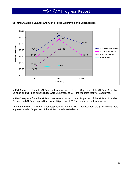

### **\$1 Fund Available Balance and Clerks' Total Approvals and Expenditures**

In FY06, requests from the \$1 Fund that were approved totaled 76 percent of the \$1 Fund Available Balance and \$1 Fund expenditures were 55 percent of \$1 Fund requests that were approved.

In FY07, requests from the \$1 Fund that were approved totaled 90 percent of the \$1 Fund Available Balance and \$1 Fund expenditures were 73 percent of \$1 Fund requests that were approved.

During the FY08 TTF Budget Request process in August 2007, requests from the \$1 Fund that were approved totaled 64 percent of the \$1 Fund Available Balance.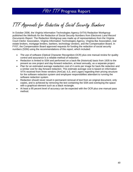TTF Approvals for Redaction of Social Security Numbers

In October 2006, the Virginia Information Technologies Agency (VITA) Redaction Workgroup published the *Methods for the Redaction of Social Security Numbers from Electronic Land Record Documents Report*. The Redaction Workgroup was made up of representatives from the Virginia Court Clerks' Association, Virginia Information Technologies Agency, Virginia Bar Association, real estate brokers, mortgage lenders, bankers, technology vendors, and the Compensation Board. In FY07, the Compensation Board approved requests for funding the redaction of social security numbers (SSN) using the recommendations of this report, which included:

- The use of software (Optical Character Recognition-OCR) plus one manual review for quality control and assurance is a reliable method of redaction.
- Redaction is limited to SSN and performed on a back-file (historical) basis from 1935 to the present as one project and day-forward redaction, at least annually, as a separate project.
- Plan for an estimated average readaction cost of 4 cents per image for back-file redaction and a similar cost for day-forward redaction. This estimate average cost is based on information VITA received from three vendors (AmCad, ILS, and Logan) regarding their pricing structure for the software redaction system and employee responsibilties attendant to running the software redaction system.
- Redaction should never result in permanent removal of text from an original document, only copies, and is achieved by removing the text containing the SSN and overlaying the space with a graphical element such as a black rectangle.
- At least a 95 pecent level of accuracy can be expected with the OCR plus one manual pass method.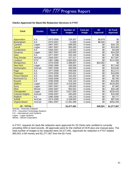### **Clerks Approved for Back-file Redaction Services in FY07**

| <b>Clerk</b>            | <b>Vendor</b>    | <b>Span of</b><br><b>Years</b> | <b>Number of</b><br><b>Images</b> | <b>Cost per</b><br><b>Image</b> | \$4<br><b>Approval</b> | \$1 Fund<br><b>Approval</b> |
|-------------------------|------------------|--------------------------------|-----------------------------------|---------------------------------|------------------------|-----------------------------|
|                         |                  |                                |                                   |                                 |                        |                             |
| Appomattox              | <b>ILS</b>       | 1973-2006                      | 229,307                           | 3 cents                         | \$6,879                | \$0                         |
| <b>Buckingham</b>       | <b>ILS</b>       | 1973-2007                      | 21,800                            | 3 cents                         | \$6,540                | $\overline{50}$             |
| <b>Caroline</b>         | Logan            | 1967-2007                      | 668,000                           | 4 cents                         | \$0                    | \$26,720                    |
| Carroll                 | Logan            | 1967-2007                      | 585,000                           | 4 cents                         | \$0                    | \$23,400                    |
| <b>Cumberland</b>       | <b>ILS</b>       | 1993-2007                      | 116,920                           | 3 cents                         | $\sqrt{6}$             | \$3,508                     |
| <b>Fluvanna</b>         | Logan            | 1967-2007                      | 605,000                           | 4 cents                         | $\sqrt[6]{}$           | \$24,200                    |
| <b>Giles</b>            | <b>ILS</b>       | 1977-2007                      | 253,194                           | 3 cents                         | $\sqrt[6]{}$           | \$7,596                     |
| <b>King George</b>      | AmCad            | 1930-2007                      | 427,417                           | 4 cents                         | \$0                    | \$17,097                    |
| Loudoun                 | <b>DTS</b>       | 1967-1988                      | 2,800,000                         | 4 cents                         | $\sqrt{6}$             | \$112,000                   |
| Montgomery              | <b>ILS</b>       | 1976-2006                      | 1,388,857                         | 3 cents                         | \$32,082               | \$0                         |
| <b>New Kent</b>         | Logan            | 1935-1966                      | 436,000                           | 4 cents                         | \$0                    | \$17,440                    |
| Northampton             | AmCad            | 1997-2008                      | 490,909                           | 4 cents                         | \$0                    | \$19,636                    |
| Page                    | <b>ILS</b>       | 1977-2006                      | 459,039                           | 3 cents                         | $\sqrt[6]{}$           | \$12,271                    |
| Powhatan                | <b>ILS</b>       | 1976-2006                      | 553,631                           | 3 cents                         | $\sqrt[6]{}$           | \$16,609                    |
| <b>Prince Edward</b>    | <b>ILS</b>       | 1941-2006                      | 324,452                           | 3 cents                         | $\sqrt{6}$             | \$9,734                     |
| <b>Richmond Co</b>      | $\overline{ILS}$ | 1935-2006                      | 192,823                           | 3 cents                         | $\sqrt{6}$             | \$5,785                     |
| <b>Russell</b>          | <b>ILS</b>       | 1935-2006                      | 516,134                           | 3 cents                         | \$0                    | \$15,484                    |
| <b>Stafford</b>         | Logan            | 1935-2007                      | 3,418,000                         | 4 cents                         | $\sqrt{6}$             | \$134,093                   |
| <b>Surry</b>            | Logan            | 1967-2007                      | 189,000                           | 4 cents                         | $\sqrt[6]{3}$          | \$7,560                     |
| <b>Wise</b>             | Mixnet           | 1945-2007                      | 854,501                           | 4 cents                         | \$0                    | \$34,180                    |
| Chesapeake              | Logan            | 1935-2007                      | 5,817,000                         | 4 cents                         | $\sqrt[6]{3}$          | \$226,425                   |
| <b>Colonial Heights</b> | AmCad            | 1948-2007                      | 400,000                           | 4 cents                         | $\sqrt{6}$             | \$16,000                    |
| <b>Radford</b>          | <b>ILS</b>       | 1985-2006                      | 159,219                           | 3 cents                         | \$0                    | \$4,777                     |
| <b>Suffolk</b>          | AmCad            | 1974-2006                      | 2,189,820                         | 4 cents                         | $\sqrt[6]{}$           | \$87,593                    |
| <b>Virginia Beach</b>   | AmCad            | 1981-2007                      | 11,381,468                        | 4 cents                         | \$0                    | \$455,259                   |
| 25 - TOTAL              |                  |                                | 34,477,491                        |                                 | \$45,501               | \$1,277,367                 |

AmCad – Amercian Cadastre DTS – Document Technology Systems ILS – International Land Systems

Logan – Logan Systems

Mixnet – Mixnet Corporation

In FY07, requests for back-file redaction were approved for 25 Clerks who certified to currently providing SRA to land records. All approvals were for the method of OCR plus one manual pass. The total number of images to be redacted were 34,477,491. Approvals for redaction in FY07 totaled \$45,501 in \$4 money and \$1,277,367 from the \$1 Fund.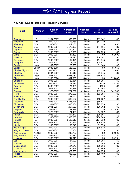### **FY08 Approvals for Back-file Redaction Services**

| <b>Clerk</b>           | <b>Vendor</b> | <b>Span of</b><br><b>Years</b> | <b>Number of</b><br><b>Images</b> | <b>Cost per</b><br><b>Image</b> | \$4<br><b>Approval</b> | \$1 Fund<br><b>Approval</b> |
|------------------------|---------------|--------------------------------|-----------------------------------|---------------------------------|------------------------|-----------------------------|
|                        |               |                                |                                   |                                 |                        |                             |
| <b>Accomack</b>        | <b>ILS</b>    | 1984-2007                      | 638,050                           | 3 cents                         | \$19,142               | \$0                         |
| Albemarle              | Cott          | 1959-2002                      | 1,193,255                         | 4 cents                         | \$47,730               | \$0                         |
| Alleghany              | SCV           | 1980-2007                      | 322,163                           | 4 cents                         | ,\$0                   | \$12,887                    |
| Augusta                | <b>SCV</b>    | 1992-2007                      | 1,179,022                         | 4 cents                         | \$47,161               | \$0                         |
| Augusta                | Logan         | 1935-1992                      | 599,400                           | 4 cents                         | \$0                    | \$23,976                    |
| <b>Bedford</b>         | SCV           | 1993-2007                      | 1,515,659                         | 4 cents                         | \$60,626               | \$0                         |
| <b>Bland</b>           | SCV           | 2000-2007                      | 47,482                            | 4 cents                         | \$0                    | \$1,900                     |
| <b>Botetourt</b>       | SCV           | 2000-2007                      | 409,520                           | 4 cents                         | \$16,381               | \$0                         |
| <b>Brunswick</b>       | SCV           | 1945-2007                      | 167,471                           | 4 cents                         | \$14,545               | \$0                         |
| Campbell               | SCV           | 1972-2007                      | 713,024                           | 4 cents                         | \$28,521               | \$0                         |
| <b>Caroline</b>        | Logan         | 1987-2007                      | 28,500                            | 4 cents                         | \$1,140                | \$0                         |
| Carroll                | Logan         | 1935-1965                      | 126,500                           | 4 cents                         | \$0                    | \$5,059                     |
| <b>Charles City Co</b> | SCV           | 2000-2007                      | 35,113                            | 4 cents                         | \$0                    | \$1,405                     |
| <b>Charlotte</b>       | SCV           | 2004-2007                      | 38,615                            | 4 cents                         | \$1,545                | \$0                         |
| <b>Chesterfield</b>    | Logan         | 1935-2007                      | 8,936,050                         | 4 cents                         | \$346,538              | $\sqrt[6]{}$                |
| <b>Clarke</b>          | Logan         | 1935-2008                      | 391,000                           | 4 cents                         | \$0                    | \$15,640                    |
| <b>Culpeper</b>        | SCV           | 1996-2007                      | 628,864                           | 4 cents                         | \$25,155               | \$0                         |
| <b>Dickenson</b>       | SCV           | 2000-2007                      | 102,615                           | 4 cents                         | \$320                  | \$3,785                     |
| <b>Dinwiddie</b>       | SCV           | 2006-2007                      | 24,963                            | 4 cents                         | \$999                  | \$0                         |
| <b>Essex</b>           | SCV           | 2006-2007                      | 32,574                            | 4 cents                         | \$1,303                | $\sqrt[6]{}$                |
| Fauquier               | Cott          | 1976-2007                      | 1,771,737                         | 3.25 cents                      | \$15,033               | \$42,548                    |
| Floyd                  | <b>SCV</b>    | 1983-2007                      | 279,592                           | 4 cents                         | \$11,184               | \$0                         |
| Fluvanna               | Logan         | 1935-1966                      | 43,750                            | 4 cents                         | \$0                    | \$1,750                     |
| <b>Franklin Co</b>     | SCV           | 1993-2007                      | 382,167                           | 4 cents                         | \$15,287               | \$0                         |
| <b>Frederick</b>       | SCV           | 1983-2007                      | 2,236,775                         | 4 cents                         | \$89,471               | \$0                         |
| <b>Gloucester</b>      | SCV           | 1994-2007                      | 696,964                           | 4 cents                         | \$27,879               | \$0                         |
| Goochland              | SCV           | 2001-2007                      | 267,557                           | 4 cents                         | \$10,702               | $\sqrt{6}$                  |
| Grayson                | SCV           | 1984-2007                      | 287,439                           | 4 cents                         | \$0                    | \$11,497                    |
| Greensville            | SCV           | 1975-2007                      | 121,428                           | 4 cents                         | \$4,857                | \$0                         |
| <b>Halifax</b>         | SCV           | 1985-2007                      | 397,447                           | 4 cents                         | \$15,897               | \$0                         |
| Hanover                | AmCad         | 1935-2007                      | 2,500,000                         | 4 cents                         | \$100,000              | \$0                         |
| <b>Henrico</b>         | <b>ILS</b>    | 1935-2007                      | 8,123,613                         | 3 cents                         | \$184,713              | \$0                         |
| <b>Henry</b>           | <b>SCV</b>    | 2001-2007                      | 390,629                           | 4 cents                         | \$15,626               | $\sqrt{6}$                  |
| <b>Highland</b>        | SCV           | 1993-2007                      | 39,249                            | 4 cents                         | \$1,570                | \$0                         |
| <b>Isle of Wight</b>   | SCV           | 1970-2007                      | 770,676                           | 4 cents                         | \$30,828               | \$0                         |
| <b>King and Queen</b>  | SCV           | 2005-2007                      | 25,964                            | 4 cents                         | \$1,039                | \$0                         |
| <b>King George</b>     | AmCad         | 1930-2007                      | 247,700                           | 4 cents                         | \$0                    | \$9,908                     |
| <b>King William</b>    | SCV           | 1999-2007                      | 26,212                            | 4 cents                         | \$1,048                | \$0                         |
| Lancaster              | SCV           | 1989-2007                      | 244,019                           | 4 cents                         | \$0                    | \$9,761                     |
| Lee                    | <b>SCV</b>    | 1969-2007                      | 484,590                           | 4 cents                         | \$19,384               | \$0                         |
| <b>Madison</b>         | SCV           | 1993-2007                      | 168,040                           | 4 cents                         | \$1,483                | \$5,263                     |
| Mecklenburg            | SCV           | 1993-2007                      | 524,148                           | 4 cents                         | \$20,966               | \$0                         |
| <b>Middlesex</b>       | SCV           | 2006-2007                      | 40,226                            | 4 cents                         | \$1,609                | \$0                         |
| <b>Montgomery</b>      | <b>ILS</b>    | 1976-2006                      | 1,622,500                         | 3 cents                         | \$48,675               | \$0                         |
| <b>Nelson</b>          | SCV           | 1992-2007                      | 386,509                           | 4 cents                         | \$15,460               | \$0                         |
| <b>New Kent</b>        | Logan         | 1935-1966                      | 48,000                            | 4 cents                         | \$0                    | \$1,920                     |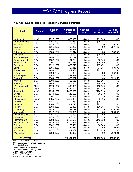### **FY08 Approvals for Back-file Redaction Services, continued**

| <b>Clerk</b>         | <b>Vendor</b>           | Span of<br>Years | <b>Number of</b><br><b>Images</b> | <b>Cost per</b><br><b>Image</b> | \$4<br><b>Approval</b> | \$1 Fund<br><b>Approval</b> |
|----------------------|-------------------------|------------------|-----------------------------------|---------------------------------|------------------------|-----------------------------|
|                      |                         |                  |                                   |                                 |                        |                             |
| Northampton          | AmCad                   | 1997-2008        | 490,909                           | 4 cents                         | \$19,636               | \$0                         |
| Northumberland       | <b>ILS</b>              | 1987-2007        | 337,460                           | 3 cents                         | \$10,124               | \$0                         |
| <b>Nottoway</b>      | $\overline{\text{ILS}}$ | 1975-2007        | 208,700                           | 3 cents                         | \$0                    | \$6,261                     |
| Orange               | <b>SCV</b>              | 1961-2007        | 808,233                           | 4 cents                         | $\overline{30}$        | \$37,740                    |
| <b>Patrick</b>       | SCV                     | 1999-2007        | 163,278                           | 4 cents                         | \$6,531                | \$0                         |
| Pittsylvania         | <b>SCV</b>              | 2004-2007        | 156,314                           | 4 cents                         | \$0                    | \$6,253                     |
| Powhatan             | $\overline{\text{ILS}}$ | 1976-2007        | 605,000                           | 3 cents                         | \$18,150               | \$0                         |
| <b>Prince George</b> | <b>SCV</b>              | 1996-2007        | 395,299                           | 4 cents                         | \$15,812               | $\sqrt{6}$                  |
| Rappahannock         | <b>SCV</b>              | 1987-2007        | 201,724                           | 4 cents                         | \$8,069                | $\sqrt{6}$                  |
| <b>Roanoke Co</b>    | SCV                     | 2001-2007        | 1,019,239                         | 4 cents                         | \$40,769               | $\sqrt[6]{}$                |
| Rockbridge           | <b>SCV</b>              | 1992-2007        | 436,773                           | 4 cents                         | \$17,471               | $\overline{60}$             |
| <b>Scott</b>         | $\overline{B}$          | 1985-2007        | 527,815                           | 3 cents                         | \$7,535                | \$8,300                     |
| Shenandoah           | <b>SCV</b>              | 1999-2007        | 579,338                           | 4 cents                         | \$23,174               | \$0                         |
| Smyth                | SCV                     | 1990-2007        | 153,369                           | 4 cents                         | \$0                    | \$6,135                     |
| Southampton          | SCV                     | 1953-2007        | 631,236                           | 4 cents                         | \$0                    | \$25,249                    |
| <b>Tazewell</b>      | <b>SCV</b>              | 1984-2007        | 808,892                           | 4 cents                         | $\overline{50}$        | \$32,355                    |
| <b>Warren</b>        | SCV                     | 1994-2007        | 812,655                           | 4 cents                         | \$32,507               | \$0                         |
| Washington           | <b>SCV</b>              | 1983-2007        | 613,650                           | 4 cents                         | \$24,546               | $\sqrt[6]{}$                |
| Westmoreland         | M&W                     | 1970-2007        | 390,000                           | 4 cents                         | \$15,600               | $\sqrt{6}$                  |
| York                 | Logan                   | 1935-2007        | 2,230,000                         | 4 cents                         | \$87,970               | $\overline{50}$             |
| Alexandria           | AmCad                   | 1935-2007        | 4,400,687                         | 4 cents                         | \$176,028              | $\sqrt[6]{3}$               |
| <b>Bristol</b>       | <b>SCV</b>              | 1974-2007        | 146,198                           | 4 cents                         | \$5,848                | $\sqrt{6}$                  |
| <b>Buena Vista</b>   | <b>SCV</b>              | 2001-2007        | 55,226                            | 4 cents                         | \$0                    | \$2,209                     |
| Chesapeake           | Logan                   | 1935-2007        | 5,817,000                         | 4 cents                         | \$226,425              | $\sqrt[6]{}$                |
| <b>Danville</b>      | SCV                     | 1981-2007        | 594,481                           | 4 cents                         | \$29,271               | $\sqrt{6}$                  |
| Hampton              | <b>SCV</b>              | 2003-2007        | 2,301,775                         | 4 cents                         | \$92,071               | $\overline{50}$             |
| Hopewell             | <b>SCV</b>              | 1984-2007        | 416,366                           | 4 cents                         | \$16,655               | $\overline{50}$             |
| Lynchburg            | SCV                     | 1985-2007        | 1,288,718                         | 4 cents                         | \$41,280               | \$10,269                    |
| <b>Martinsville</b>  | City                    | 1942-2007        | 757,331                           | 4 cents                         | \$0                    | \$30,293                    |
| <b>Newport News</b>  | SCV                     | 1985-2007        | 550,000                           | 4 cents                         | \$22,000               | \$0                         |
| Petersburg           | $\overline{ILS}$        | 1970-2007        | 528,240                           | 3 cents                         | \$15,895               | \$648                       |
| <b>Richmond City</b> | SCV                     | 1993-2007        | 3,580,688                         | 4 cents                         | \$143,228              | \$0                         |
| <b>Richmond City</b> | Cott                    | 1935-1993        | 2,214,555                         | 3.25 cents                      | \$71,973               | $\sqrt[6]{}$                |
| <b>Salem</b>         | <b>SCV</b>              | 2002-2007        | 223,481                           | 4 cents                         | \$8,940                | $\overline{30}$             |
| Staunton             | <b>SCV</b>              | 1954-2007        | 577,318                           | 4 cents                         | \$0                    | \$23,093                    |
| Waynesboro           | <b>SCV</b>              | 1977-2007        | 311,882                           | 4 cents                         | \$12,475               | \$0                         |
| Winchester           | <b>SCV</b>              | 1983-2007        | 447,355                           | 4cents                          | \$0                    | \$17,894                    |
| 81 - TOTAL           |                         |                  | 75,037,956                        |                                 | \$2,433,800            | \$353,998                   |

AmCad – American Cadestre BIS – Busniness Information Systems Cott – Cott Systems

City – Locality of Martinsville City

ILS – International Land Systems

Logan – Logan Systems M&W – M&W Printers

SCV – Supreme Court of Virginia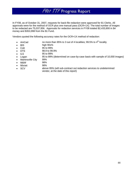In FY08, as of October 31, 2007, requests for back-file redaction were approved for 81 Clerks. All approvals were for the method of OCR plus one manual pass (OCR+1X). The total number of images to be redacted are 75,037,956. Approvals for redaction services in FY08 totaled \$2,433,800 in \$4 money and \$353,998 from the \$1 Fund.

Vendors quoted the following accuracy rates for the OCR+1X method of redaction:

- AmCad no more than 95% to 3 out of 4 localities; 99.5% to  $4<sup>th</sup>$  locality
- BIS high 90s%
- Cott 95 to 99%
- DTS 98.9 to 99.9%
- ILS 95 to 99%
- Logan 95 to 99% (determined on case-by-case basis with sample of 10,000 images)
- Martinsville City 99%
- M&W 98%
- Mixnet 98%
- SCV above 95% (will sub-contract out redaction services to undetermined vendor, at the date of this report)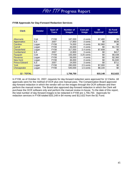| <b>Clerk</b>         | <b>Vendor</b> | Span of<br>Years | <b>Number of</b><br><b>Images</b> | <b>Cost per</b><br>Image | \$4<br><b>Approval</b> | \$1 Fund<br><b>Approval</b> |
|----------------------|---------------|------------------|-----------------------------------|--------------------------|------------------------|-----------------------------|
|                      |               |                  |                                   |                          |                        |                             |
| <b>Albemarle</b>     | Cott          | <b>FY08</b>      | 187,000                           | 4 cents                  | \$7,480                | \$0                         |
| Appomattox           | <b>ILS</b>    | 2007             | 17.850                            | 3 cents                  | \$0                    | \$536                       |
| Caroline             | Logan         | <b>FY08</b>      | 74,000                            | 4 cents                  | \$2,960                | \$0                         |
| Carroll              | Logan         | <b>FY08</b>      | 43,000                            | 4 cents                  | \$0                    | \$1,720                     |
| <b>Chesterfield</b>  | Logan         | <b>FY08</b>      | 317,000                           | 2.4 cents                | \$7,608                | \$0                         |
| <b>Cumberland</b>    | <b>ILS</b>    | 2007             | 13.900                            | 3 cents                  | \$0                    | \$417                       |
| Fauguier             | Cott          | <b>FY08</b>      | 155.000                           | 3.25 cents               | \$0                    | \$5,038                     |
| <b>Fluvanna</b>      | Logan         | FY08             | 59,000                            | 4 cents                  | \$0                    | \$2,360                     |
| New Kent             | Logan         | <b>FY08</b>      | 46,000                            | 4 cents                  | \$0                    | \$1,840                     |
| <b>Prince Edward</b> | <b>ILS</b>    | 2007             | 24,000                            | 3 cents                  | \$0                    | \$711                       |
| York                 | Logan         | <b>FY08</b>      | 280,000                           | 2.5 cents                | \$7,000                | \$0                         |
| Chesapeake           | Logan         | <b>FY08</b>      | 540,000                           | 1.5 cents                | \$8,100                | \$0                         |
|                      |               |                  |                                   |                          |                        |                             |
| <b>12 - TOTAL</b>    |               |                  | 1,756,750                         |                          | \$33,148               | \$12,622                    |

### **FY08 Approvals for Day-Forward Redaction Services**

In FY08, as of October 31, 2007, requests for day-forward redaction were approved for 12 Clerks. All approvals were for the method of OCR plus one manual pass. The Compensation Board approved day-forward redaction in which the vendor will run the images through the OCR software and then perform the manual review. The Board also approved day-forward redaction in which the Clerk will purchase the OCR software only and perform the manual review in-house. To the date of this report, the total number of day-forward images to be redacted in FY08 are 1,756,750. Approvals for redaction services in FY08 totaled \$33,148 in \$4 money and \$12,622 from the \$1 Fund.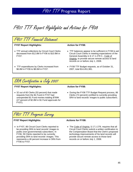FY07 TTF Report Highlights and Actions for FY08

# FY07 TTF Financial Statement

### **FY07 Report Highlights: Action for FY08:**

• TTF annual collections by Circuit Court Clerks decreased from \$12.8M in FY06 to \$10.9M in FY07.

- TTF balances appear to be sufficient in FY08 to aid Circuit Court Clerks in meeting expectations of the General Assembly in § 17.1-279 C., Code of Virginia, to provide secure remote access to land records on or before July 1, 2008.
- TTF expenditures by Clerks increased from \$6.8M in FY06 to \$8.6M in FY07.
- FY08 TTF Budget requests, as of October 31, 2007, total \$14,451,981.

## SRA Certification in July 2007

### **FY07 Report Highlights: Action for FY08:**

• 32 out of 60 Clerks (53 percent) that made requests from the \$1 Fund in FY07 had unexpended \$1 Fund monies totaling \$769K (27 percent of \$2.8M in \$1 Fund approvals for

• During the FY08 TTF Budget Request process, 86 Clerks (72 percent) certified to currently providing SRA to land records' images to public subscribers.

# FY07 TTF Progress Survey

### **FY07 Report Highlights:** Actions for FY08:

FY07).

• In FY07, 86 Circuit Court Clerks reported to be providing SRA to land records' images to public (non-governmental) subscribers. In FY06, 59 Clerks reported to be currently providing SRA to land records' images. This represents a 46 percent increase in SRA from FY06 to FY07.

• The Code of Virginia, § 17.1-279, requires that all Circuit Court Clerks submit a written certification to the Compensation Board that the Clerk's proposed technology improvements of his land records will provide secure remote access to those land records on or before July 1, 2008.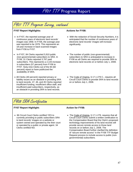# FY07 TTF Progress Survey, continued

### **FY07 Report Highlights:** Actions for FY08:

- In FY07, the reported average year of continuous years of electronic land records' images was 1958. In FY06, the average year was reported to be 1976. This represents an 18-year increase in back-scanned images from FY06 to FY07.
- In FY07, 84 Clerks reported 5,910 public (non-governmental) subscribers to SRA. In FY06, 31 Clerks reported 3,767 paid subscribers. This represents a 2,143 increase in subscribers (57 percent) from FY06 to FY07. Sixty-nine Clerks out of the 84 (82 percent) report to have publicized the availability of SRA.
- 48 Clerks (40 percent) reported privacy or liability issues as an obstacle in providing SRA to land records. 47, 46, and 45 Clerks reported insufficient funding, insufficient office staff, and insufficient paid subscribers, respectively, as an obstacle in providing SRA to land records.

- With the redaction of Social Security Numbers, it is anticipated that the number of continuous years of electronic land records' images will increase significantly.
- The number of public (non-governmental) subscribers to SRA is anticipated to increase in FY08 as all Clerks are required to provide SRA to electronic land records on or before July 1, 2008.
- The Code of Virginia, § 17.1-279 C., requires all Circuit Court Clerks to provide SRA to land records on or before July 1, 2008.

## FY08 SRA Certification

### **FY07 Report Highlight:** Action for FY08:

• 86 Circuit Court Clerks certified YES to currently providing to public subscribers SRA to land records' images on a website or system owned and operated by the their court or operated by a public or private agent. 34 Clerks certified NO.

• The Code of Virginia, § 17.1-279, requires that all Circuit Court Clerks submit a written certification to the Compensation Board that the Clerk's proposed technology improvements of his land records will provide secure remote access to those land records on or before July 1, 2008. The Compensation Board further clarified the definition of "secure remote access" in the FY08 TTF Budget Request process to include access to public (nongovernmental) subscribers.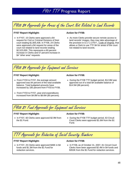# FY08 \$4 Approvals for Areas of the Court Not Related to Land Records

### **FY07 Report Highlight:** Action for FY08:

• In FY07, 15 Clerks were approved a \$4 request for Civil or Criminal Divisions of their court totaling \$1,605,438. In FY08, 24 Clerks were approved a \$4 request for areas of the court not related to land records totaling \$2,523,000. This represents a 60 percent increase in Clerks and 57 percent increase in \$4 "other area" requests.

• As more Clerks provide secure remote access to land records' images, they may take advantage of the provision in § 17.1-279 F., Code of Virginia, that allows a Clerk to use TTF \$4 for areas of the court not related to land records.

## FY08 \$4 Approvals for Equipment and Services **FY07 Report Highlight:** Action for FY08: • From FY03 to FY07, the average amount approved was 84 percent of the total available balance. Total budgeted amounts have increased by 185 percent from FY03 to FY08. • During the FY08 TTF budget period, \$12.8M was approved out of a total \$4 available balance of \$14.5M (88 percent). • From FY03 to FY07, year-end expenditures increased from \$4.8M to \$8.6M (80 percent). FY08 \$1 Fund Approvals for Equipment and Services **FY07 Report Highlight:** Action for FY08:

• In FY07, 60 Clerks were approved \$2.9M from the \$1 Fund.

### • During the FY08 TTF budget period, 63 Circuit Court Clerks were approved \$1.6M from the \$1 Fund.



### **FY07 Report Highlight:** Action for FY08:

• In FY07, 25 Clerks were approved \$46K in \$4 funds and \$1.3M from the \$1 Fund for redaction services.

• In FY08, as of October 31, 2007, 81 Circuit Court Clerks have been approved \$2.4M in \$4 funds and \$353K from the \$1 Fund for redaction services.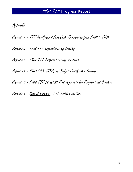Appendix

Appendix 1 – TTF Non-General Fund Cash Transactions from FY97 to FY07

Appendix 2 – Total TTF Expenditures by Locality

Appendix 3 – FY07 TTF Progress Survey Questions

Appendix 4 – FY08 SRA, VITA, and Budget Certification Screens

Appendix 5 - F408 TTF \$4 and \$1 Fund Approvals for Equipment and Services

Appendix 6 – Code of Virginia – TTF Related Sections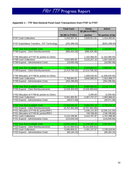### **Appendix 1 – TTF Non-General Fund Cash Transactions from FY97 to FY07**

|                                               | <b>Total Cash</b>  | <b>Clerks</b>      | <b>Admin</b>       |
|-----------------------------------------------|--------------------|--------------------|--------------------|
|                                               |                    | $$2 ($4 in FY05+)$ |                    |
|                                               | \$3 (\$5 in FY05+) | portion            | \$1 portion of fee |
| <b>FY97 Cash Collections</b>                  | 4,243,367.42       | 2,828,911.61       | 1,414,455.81       |
|                                               |                    |                    |                    |
| FY97 Expenditure Transfers - DIT Technology   | (252, 388.00)      |                    | (\$252,388.00)     |
| <b>FY97 Year-End Available Cash</b>           | 3,990,979.42       | 2,828,911.61       | 1,162,067.81       |
| FY98 Expend - Clerk Reimbursements            | (886, 404.38)      | (886, 404.38)      |                    |
|                                               |                    |                    |                    |
| FY98 Allocation of FY97 \$1 portion to Clerks |                    | 1,162,066.00       | (1, 162, 066.00)   |
| <b>FY98 Cash Collections</b>                  | 4,822,885.65       | 3,215,257.10       | 1,607,628.55       |
| FY98 Expend - Administrative Costs            | (18,082.58)        |                    | (18,082.58)        |
|                                               |                    |                    |                    |
| <b>FY98 Year-End Available Cash</b>           | 7,909,378.11       | 6,319,830.33       | 1,589,547.78       |
| FY99 Expend - Clerk Reimbursements            | (2,214,766.32)     | (2,214,766.32)     |                    |
|                                               |                    |                    |                    |
| FY99 Allocation of FY98 \$1 portion to Clerks |                    | 1,009,530.00       | (1,009,530.00)     |
| <b>FY99 Cash Collections</b>                  | 5,768,994.81       | 3,845,996.54       | 1,922,998.27       |
| FY99 Expend - Administrative Costs            | (354, 296.85)      |                    | (354, 296.85)      |
| <b>FY99 Year-End Available Cash</b>           | 11,109,309.75      | 8,960,590.55       |                    |
|                                               |                    |                    | 2,148,719.20       |
| FY00 Expend - Clerk Reimbursements            | (2,526,303.63)     | (2,526,303.63)     |                    |
| FY00 Allocation of FY99 \$1 portion to Clerks |                    | 2,000.00           | (2,000.00)         |
| FY00 Cash Collections                         | 5,051,605.90       | 3,367,737.27       | 1,683,868.63       |
| FY00 Expend - Administrative Costs            | (40, 571.58)       |                    | (40, 571.58)       |
|                                               |                    |                    |                    |
| <b>FY00 Year-End Available Cash</b>           | 13,594,040.44      | 9,804,024.19       | 3,790,016.25       |
| FY01 Expend - Clerk Reimbursements            | (4,757,461.69)     | (4,757,461.69)     |                    |
| FY01 Allocation of FY00 \$1 portion/RIF1      |                    | 2,035,121.00       | (2,035,121.00)     |
| FY01 Allocation of FY00 \$1 portion/RIF2      |                    | 749,799.69         | (749, 799.69)      |
| <b>FY01 Cash Collections</b>                  | 5,122,196.96       | 3,414,797.97       | 1,707,398.99       |
| FY01 Expend - Administrative Costs            | (124, 640.50)      |                    | (124, 640.50)      |
|                                               |                    |                    |                    |
| <b>FY01 Year-End Available Cash</b>           | 13,834,135.21      | 11,246,281.16      | 2,587,854.05       |
| FY02 Expend - Clerk Reimbursements            | (5, 141, 600.61)   | (5, 141, 600.61)   |                    |
| <b>FY02 Cash Collections</b>                  | 6,586,856.51       | 4,391,237.67       | 2,195,618.84       |
| FY02 Expend - Administrative Costs            | (69, 184.15)       |                    | (69, 184.15)       |
|                                               |                    |                    |                    |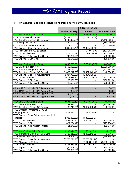### **TTF Non-General Fund Cash Transactions from FY97 to FY07, continued**

|                                           |                    | $$2 ($4 in FY05+)$       |                    |
|-------------------------------------------|--------------------|--------------------------|--------------------|
|                                           | \$3 (\$5 in FY05+) | portion                  | \$1 portion of fee |
| FY02 Year-End Available Cash              | 15,210,206.96      | 10,495,918.22            | 4,714,288.74       |
| FY02 Cash Reversion to GF                 | (3,732,050.00)     | (3,732,050.00)           |                    |
| FY03 Transfer to Clerks' GF Operating     | (4,449,998.84)     |                          | (4,449,998.84)     |
| FY03 Budget Reduction                     | (550,000.00)       |                          | (550,000.00)       |
| FY03 10/15/02 Budget Reduction            | (462, 640.00)      |                          | (462, 640.00)      |
| FY03 Expend - Clerk Reimbursements        | (4,802,609.45)     | (4,802,609.45)           |                    |
| FY03 Allocation of FY03 \$1 portion       |                    | 133,861.00               | (133, 861.00)      |
| <b>FY03 Cash Collections</b>              | 7,921,175.89       | 5,280,783.93             | 2,640,391.96       |
| FY03 Expend - Administrative Costs        | (45, 200.23)       |                          | (45, 200.23)       |
| FY03 Expend - COIN Costs                  | (25, 175.50)       |                          | (25, 175.50)       |
|                                           |                    |                          |                    |
| FY03 Year-End Available Cash              | 9,063,708.83       | 7,375,903.70             | 1,687,805.13       |
| FY03 Cash Reversion to GF                 | (3,500,000.00)     |                          | (3,500,000.00)     |
| FY04 10/15/02 Budget Reduction            | (462, 787.00)      |                          | (462, 787.00)      |
| FY04 Transfer to Clerks' GF Operating     | (1,489,212.73)     | (1,487,142.46)           | (2,070.27)         |
| FY04 Expend - Clerk Reimbursements        | (3,384,769.22)     | (3,384,769.22)           |                    |
| <b>FY04 Cash Collections</b>              | 8,512,088.24       | 5,674,725.49             | 2,837,362.75       |
| FY04 Expend - COIN Costs                  | (130, 901.00)      |                          | (130, 901.00)      |
| FY04 Expend - Administrative Costs        | (23, 504.69)       | $\overline{\phantom{0}}$ | (23,504.69)        |
|                                           |                    |                          |                    |
| Adj to CARS cash bal - DPB Appropr Xfers  | (74.97)            | ۰                        | (74.97)            |
| Adj to CARS cash bal - DPB Appropr Xfers  | (83.00)            | ۰                        | (83.00)            |
| Adj to CARS cash bal - DPB Appropr Xfers  | (2,082.00)         |                          | (2,082.00)         |
| Adj to CARS cash bal - DPB Appropr Xfers  | (669.00)           |                          | (669.00)           |
|                                           |                    |                          |                    |
| FY04 Year-End Available Cash              | 8,584,622.43       | 8,178,717.51             | 405,904.92         |
| FY05 Bud Red/Transfer to GF               | (231, 393.00)      |                          | (231, 393.00)      |
| FY05 Transfer to Clerks' GF Operating     | (1,489,213.00)     | (1,487,142.73)           | (2,070.27)         |
| FY05 Offset of Transfer to GF w/GF        |                    |                          |                    |
| Reappropriation                           | 543,385.00         | 543,385.00               |                    |
| FY05 Expend - Clerk Reimbursements (incl. |                    |                          |                    |
| Reapprop)                                 | (4,385,882.67)     | (4,385,882.67)           |                    |
| FY05 Cash Collections                     | 12,404,426.50      | 9,923,541.20             | 2,480,885.30       |
| FY05 Expend - COIN                        | (427, 254.47)      |                          | (427, 254.47)      |
| FY05 Expend - Administrative Costs        | (31, 846.09)       |                          | (31, 846.09)       |
|                                           |                    |                          |                    |
| <b>FY05 Year-End Available Cash</b>       | 14,966,844.70      | 12,772,618.31            | 2,194,226.39       |
| FY06 Transfer to Clerks' GF Operating     | (1,489,213.00)     | (1,487,142.73)           | (2,070.27)         |
| FY06 Bud Red/Transfer to GF               | (115, 696.00)      |                          | (115, 696.00)      |
| FY06 Expend - Clerk Reimbursements        | (6,755,771.76)     | (6,755,771.76)           |                    |
| FY06 Allocation of \$1 Fee                |                    | 1,233,845.83             | (1, 233, 845.83)   |
| <b>FY06 Cash Collections</b>              | 12,787,943.26      | 10,230,354.61            | 2,557,588.65       |
| FY06 Expend - COIN                        | (80, 669.47)       |                          | (80, 669.47)       |
| FY06 Expend - Administrative Costs        | (34, 399.23)       |                          | (34, 399.23)       |
|                                           |                    |                          |                    |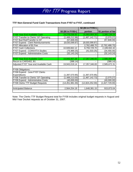### **TTF Non-General Fund Cash Transactions from FY97 to FY07, continued**

|                                       |                    | $$2 ($4 in FY05+)$ |                    |
|---------------------------------------|--------------------|--------------------|--------------------|
|                                       | \$3 (\$5 in FY05+) | portion            | \$1 portion of fee |
| FY06 Year-End Available Cash          | 19,279,038.50      | 15,993,904.26      | 3,285,134.24       |
| FY07 Transfer to Clerks' GF Operating | (1,489,212.98)     | (1,487,142.71)     | (2,070.27)         |
| FY07 Bud Red/Transfer to GF           | (57, 848.00)       |                    | (57, 848.00)       |
| FY07 Expend - Clerk Reimbursements    | (8,630,099.87)     | (8,630,099.87)     |                    |
| FY07 Allocation of \$1 Fee            |                    | 2,762,488.70       | (2,762,488.70)     |
| <b>FY07 Cash Collections</b>          | 10,949,662.12      | 8,759,729.70       | 2,189,932.42       |
| FY07 Expend - COIN/VITA Studies       | (75,989.25)        | (41, 533.25)       | (34, 456.00)       |
| FY07 Expend - Administrative Costs    | (32, 143.24)       |                    | (32, 143.24)       |
|                                       |                    |                    |                    |
| <b>FY07 Year-End Available Cash</b>   | 19,943,407.28      | 17,357,346.83      | 2,586,060.45       |
| Recon to CARS402, B1                  | (388.14)           |                    | (388.14)           |
| Adjusted FY07 Year-end Available Cash | 19,943,019.14      | 17,357,346.83      | 2,585,672.31       |
|                                       |                    |                    |                    |
| FY08 Obligations:                     |                    |                    |                    |
| FY08 Expend - June FY07 Clerks        |                    |                    |                    |
| Expenditures                          | (1,397,570.95)     | (1,397,570.95)     |                    |
| FY08 Transfer to Clerks' GF Operating | (1,489,213.00)     | (1,487,142.73)     | (2,070.27)         |
| FY08 Expend - Administrative Costs    | (40,000.00)        |                    | (40,000.00)        |
| FY08 Clerks TTF Budget Requests       | (14, 451, 981.00)  | (12,824,252.00)    | (1,627,729.00)     |
|                                       |                    |                    |                    |
| <b>Anticipated Balance</b>            | 2,564,254.19       | 1,648,381.15       | 915,873.04         |
|                                       |                    |                    |                    |

Note: The Clerks TTF Budget Request total for FY08 includes original budget requests in August and Mid-Year Docket requests as of October 31, 2007.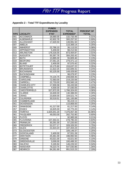## **Appendix 2 – Total TTF Expenditures by Locality**

|                  |                     | <b>FUNDS</b>    |                  |                   |
|------------------|---------------------|-----------------|------------------|-------------------|
|                  |                     | <b>EXPENDED</b> | <b>TOTAL</b>     | <b>PERCENT OF</b> |
| <b>FIPS</b>      | <b>LOCALITY</b>     | <b>FY07</b>     | <b>EXPENDED*</b> | <b>TOTAL</b>      |
| 001              | <b>ACCOMACK</b>     | 18,680.00       | 132,733.49       | 0.31%             |
| 003              | <b>ALBEMARLE</b>    | 42,602.78       | 300,257.52       | 0.69%             |
| 005              | <b>ALLEGHANY</b>    | 17,620.50       | 139,991.50       | 0.32%             |
| 007              | <b>AMELIA</b>       |                 | 110,369.14       | 0.25%             |
| 009              | <b>AMHERST</b>      | 22,786.10       | 36,113.53        | 0.08%             |
| 011              | <b>APPOMATTOX</b>   | 5,459.00        | 98,212.94        | 0.23%             |
| $\overline{013}$ | <b>ARLINGTON</b>    | 178,316.00      | 873,464.87       | 2.01%             |
| 015              | <b>AUGUSTA</b>      | 50,397.76       | 304,263.42       | 0.70%             |
| 017              | <b>BATH</b>         | 13,885.00       | 55,809.46        | 0.13%             |
| 019              | <b>BEDFORD</b>      | 27,061.25       | 279,371.12       | 0.64%             |
| 021              | <b>BLAND</b>        | 2,400.00        | 97,570.42        | 0.22%             |
| 023              | <b>BOTETOURT</b>    | 18,175.80       | 153,637.22       | 0.35%             |
| 025              | <b>BRUNSWICK</b>    | 11,622.25       | 102,849.31       | 0.24%             |
| 027              | <b>BUCHANAN</b>     | 63,125.00       | 149,429.60       | 0.34%             |
| 029              | <b>BUCKINGHAM</b>   |                 | 98,079.97        | 0.23%             |
| 031              | <b>CAMPBELL</b>     | 74,134.75       | 248,659.45       | 0.57%             |
| 033              | <b>CAROLINE</b>     | 72,583.00       | 219,220.06       | 0.50%             |
| $\overline{035}$ | <b>CARROLL</b>      | 22,733.00       | 203,560.18       | 0.47%             |
| 036              | <b>CHARLES CITY</b> | 17,930.58       | 93,433.58        | 0.21%             |
| 037              | <b>CHARLOTTE</b>    | 4,500.00        | 37,030.05        | 0.09%             |
| 041              | <b>CHESTERFIELD</b> | 527,872.05      | 1,766,324.63     | 4.06%             |
| 043              | <b>CLARKE</b>       | 16,600.00       | 130,388.00       | 0.30%             |
| 045              | <b>CRAIG</b>        | 23,600.00       | 104,521.74       | 0.24%             |
| 047              | <b>CULPEPER</b>     | 30,519.51       | 181,100.89       | 0.42%             |
| 049              | <b>CUMBERLAND</b>   |                 | 95,419.11        | 0.22%             |
| 051              | <b>DICKENSON</b>    |                 | 110,858.00       | 0.25%             |
| 053              | <b>DINWIDDIE</b>    | 41,217.00       | 61,217.00        | 0.14%             |
| 057              | <b>ESSEX</b>        | 16,825.00       | 62,775.20        | 0.14%             |
| 059              | <b>FAIRFAX</b>      | 1,625,641.20    | 7,376,057.36     | 16.96%            |
| 061              | <b>FAUQUIER</b>     | 49,053.00       | 262,752.80       | 0.60%             |
| 063              | <b>FLOYD</b>        |                 | 92,985.58        | 0.21%             |
| 065              | <b>FLUVANNA</b>     | 107,353.31      | 278,790.33       | 0.64%             |
| 067              | <b>FRANKLIN</b>     | 30,291.00       | 57,220.00        | 0.13%             |
| 069              | <b>FREDERICK</b>    | 52,077.17       | 328,326.55       | 0.75%             |
| 071              | <b>GILES</b>        | 21,623.24       | 107,404.24       | 0.25%             |
| 073              | <b>GLOUCESTER</b>   |                 | 109,149.37       | 0.25%             |
| 075              | <b>GOOCHLAND</b>    | 2,400.00        | 97,551.28        | 0.22%             |
| 077              | <b>GRAYSON</b>      | 25,361.00       | 198,992.56       | 0.46%             |
| 079              | <b>GREENE</b>       | 43,021.00       | 43,021.00        | 0.10%             |
| 081              | <b>GREENSVILLE</b>  | 3,000.00        | 100,489.32       | 0.23%             |
| 083              | <b>HALIFAX</b>      | 5,165.94        | 146,226.52       | 0.34%             |
| 085              | <b>HANOVER</b>      | 78,223.75       | 547,030.86       | 1.26%             |
| 087              | <b>HENRICO</b>      | 84,281.69       | 951,515.23       | 2.19%             |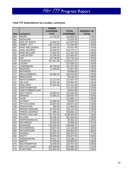## **Total TTF Expenditures by Locality, continued**

|             |                      | <b>FUNDS</b>           |                  |                   |  |
|-------------|----------------------|------------------------|------------------|-------------------|--|
|             |                      | <b>EXPENDED</b>        | <b>TOTAL</b>     | <b>PERCENT OF</b> |  |
| <b>FIPS</b> | <b>LOCALITY</b>      | <b>FY07</b>            | <b>EXPENDED*</b> | <b>TOTAL</b>      |  |
| 089         | <b>HENRY</b>         | 12,726.00              | 153,895.65       | 0.35%             |  |
| 091         | <b>HIGHLAND</b>      |                        | 41,924.00        | 0.10%             |  |
| 093         | <b>ISLE OF WIGHT</b> | 14,016.53              | 141,970.45       | 0.33%             |  |
| 095         | <b>JAMES CITY</b>    | 135,173.00             | 710,294.60       | 1.63%             |  |
| 097         | KING AND QUEEN       | 10,406.20              | 63,467.48        | 0.15%             |  |
| 099         | <b>KING GEORGE</b>   | 40,000.00              | 214,273.11       | 0.49%             |  |
| 101         | <b>KING WILLIAM</b>  | 27,652.00              | 127,444.16       | 0.29%             |  |
| 103         | <b>LANCASTER</b>     | 13,259.00              | 122,083.87       | 0.28%             |  |
| 105         | <b>LEE</b>           | 33,748.00              | 141,716.18       | 0.33%             |  |
| 107         | <b>LOUDOUN</b>       | 167,011.96             | 1,105,441.67     | 2.54%             |  |
| 109         | <b>LOUISA</b>        |                        | 137,630.22       | 0.32%             |  |
| 111         | <b>LUNENBURG</b>     | 36,769.00              | 187,207.00       | 0.43%             |  |
| 113         | <b>MADISON</b>       | 11,038.00              | 97,827.05        | 0.22%             |  |
| 115         | <b>MATHEWS</b>       |                        | 39,068.00        | 0.09%             |  |
| 117         | <b>MECKLENBURG</b>   | $50,558.\overline{42}$ | 185,019.96       | 0.43%             |  |
| 119         | <b>MIDDLESEX</b>     |                        | 39,549.45        | 0.09%             |  |
| 121         | <b>MONTGOMERY</b>    | 13,112.00              | 215,487.50       | 0.50%             |  |
| 125         | <b>NELSON</b>        | 59,301.69              | 150,994.95       | 0.35%             |  |
| 127         | <b>NEW KENT</b>      | 57,597.00              | 167,512.26       | 0.39%             |  |
| 131         | <b>NORTHAMPTON</b>   |                        | 137,107.58       | 0.32%             |  |
| 133         | NORTHUMBERLAND       |                        | 89,953.88        | 0.21%             |  |
| 135         | <b>NOTTOWAY</b>      | 18,603.02              | 103,260.83       | 0.24%             |  |
| 137         | ORANGE               | 24,050.14              | 228,934.79       | 0.53%             |  |
| 139         | <b>PAGE</b>          |                        | 151,950.71       | 0.35%             |  |
| 141         | <b>PATRICK</b>       | 10,506.00              | 59,083.74        | 0.14%             |  |
| 143         | PITTSYLVANIA         | 22,847.50              | 148,971.50       | 0.34%             |  |
| 145         | <b>POWHATAN</b>      | 500.00                 | 121,894.55       | 0.28%             |  |
| 147         | PRINCE EDWARD        | 20,764.00              | 126,143.33       | 0.29%             |  |
| 149         | PRINCE GEORGE        | 17,495.01              | 158,864.15       | 0.37%             |  |
| 153         | PRINCE WILLIAM       | 722,751.00             | 3,296,403.80     | 7.58%             |  |
| 155         | <b>PULASKI</b>       | 65,406.76              | 251,834.54       | 0.58%             |  |
| 157         | <b>RAPPAHANNOCK</b>  | 19,256.91              | 85,391.34        | 0.20%             |  |
| 159         | <b>RICHMOND</b>      | 15,542.00              | 76,089.18        | 0.17%             |  |
| 161         | <b>ROANOKE</b>       | 115,555.00             | 438,808.74       | 1.01%             |  |
| 163         | <b>ROCKBRIDGE</b>    | 28,627.00              | 112,143.85       | 0.26%             |  |
| 165         | <b>ROCKINGHAM</b>    | 94,391.43              | 346,864.93       | 0.80%             |  |
| 167         | <b>RUSSELL</b>       | 93,597.00              | 336,487.81       | 0.77%             |  |
| 169         | <b>SCOTT</b>         | 98,095.00              | 293,847.55       | 0.68%             |  |
| 171         | SHENANDOAH           | 36,912.75              | 313,168.11       | 0.72%             |  |
| 173         | <b>SMYTH</b>         | 74,878.00              | 218,903.87       | 0.50%             |  |
| 175         | SOUTHAMPTON          | 42,005.00              | 152,757.30       | 0.35%             |  |
| 177         | SPOTSYLVANIA         | 226,858.66             | 922,980.09       | 2.12%             |  |
| 179         | <b>STAFFORD</b>      | 324,052.00             | 948,990.56       | 2.18%             |  |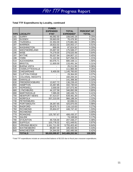### **Total TTF Expenditures by Locality, continued**

|                  |                         | <b>FUNDS</b>    |                  |                   |
|------------------|-------------------------|-----------------|------------------|-------------------|
|                  |                         | <b>EXPENDED</b> | <b>TOTAL</b>     | <b>PERCENT OF</b> |
| <b>FIPS</b>      | <b>LOCALITY</b>         | <b>FY07</b>     | <b>EXPENDED*</b> | <b>TOTAL</b>      |
| 181              | <b>SURRY</b>            | 46,092.50       | 108,545.19       | 0.25%             |
| 183              | <b>SUSSEX</b>           | 29,663.00       | 76,476.30        | 0.18%             |
| 185              | <b>TAZEWELL</b>         | 22,354.00       | 170,881.66       | 0.39%             |
| 187              | <b>WARREN</b>           | 18,622.02       | 220,002.17       | 0.51%             |
| 191              | <b>WASHINGTON</b>       | 899.95          | 87,824.92        | 0.20%             |
| 193              | <b>WESTMORELAND</b>     | 25,697.00       | 175,588.27       | 0.40%             |
| 195              | <b>WISE</b>             | 74,279.00       | 279,020.49       | 0.64%             |
| 197              | <b>WYTHE</b>            | 35,027.94       | 194,807.12       | 0.45%             |
| 199              | <b>YORK</b>             | 71,122.50       | 527,258.23       | 1.21%             |
| $\overline{510}$ | <b>ALEXANDRIA</b>       | 83,076.71       | 680,168.11       | 1.56%             |
| 520              | <b>BRISTOL</b>          | 11,600.00       | 133,491.34       | 0.31%             |
| 530              | <b>BUENA VISTA</b>      |                 | 25,211.95        | 0.06%             |
| 540              | <b>CHARLOTTESVILLE</b>  |                 | 111,966.48       | 0.26%             |
| 550              | <b>CHESAPEAKE</b>       | 6,400.00        | 1,145,760.83     | 2.63%             |
| 560              | <b>CLIFTON FORGE</b>    |                 | 29,364.00        | 0.07%             |
| 570              | <b>COLONIAL HEIGHTS</b> |                 | 160,200.34       | 0.37%             |
| 590              | <b>DANVILLE</b>         |                 | 141,398.36       | 0.33%             |
| 630              | <b>FREDERICKSBURG</b>   | 13,927.72       | 136,239.43       | 0.31%             |
| 650              | <b>HAMPTON</b>          | 15,467.85       | 432,730.54       | 1.00%             |
| 670              | <b>HOPEWELL</b>         | 2,000.00        | 107,073.46       | 0.25%             |
| 680              | <b>LYNCHBURG</b>        | 44,137.58       | 346,892.08       | 0.80%             |
| 690              | <b>MARTINSVILLE</b>     | 7,065.00        | 180,446.71       | 0.41%             |
| 700              | <b>NEWPORT NEWS</b>     | 67,414.07       | 639,481.30       | 1.47%             |
| $\overline{710}$ | <b>NORFOLK</b>          | 207,210.00      | 966,188.34       | 2.22%             |
| 730              | <b>PETERSBURG</b>       |                 | 82,696.01        | 0.19%             |
| 740              | PORTSMOUTH              | 28,357.65       | 425,870.05       | 0.98%             |
| 750              | <b>RADFORD</b>          | 35,675.71       | 116,110.63       | 0.27%             |
| 760              | <b>RICHMOND</b>         | 25,604.07       | 446,747.42       | 1.03%             |
| 764              | <b>RICHMOND</b>         |                 |                  | 0.00%             |
| 770              | <b>ROANOKE</b>          | 125,787.67      | 406,430.37       | 0.93%             |
| $\overline{775}$ | <b>SALEM</b>            |                 | 74,168.66        | 0.17%             |
| 790              | <b>STAUNTON</b>         | 49,726.00       | 207,438.27       | 0.48%             |
| 800              | <b>SUFFOLK</b>          | 103,778.32      | 421,449.91       | 0.97%             |
| 810              | <b>VIRGINIA BEACH</b>   | 1,161,711.00    | 3,755,403.40     | 8.64%             |
| 820              | <b>WAYNESBORO</b>       | 89,857.00       | 185,555.95       | 0.43%             |
| 840              | <b>WINCHESTER</b>       | 24,344.00       | 182,495.58       | 0.42%             |
|                  | <b>TOTALS</b>           | \$8,630,099.87  | \$43,489,202.56  | 100.00%           |

\*Total TTF expenditures include an unreconciled balance of \$3,533 due to fiscal year crossover expenditures.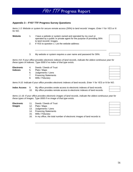## **Appendix 3 – FY07 TTF Progress Survey Questions**

*Items 1-3: Website or system for secure remote access (SRA) to land records' images. Enter Y for YES or N for NO.* 

FY07 TTF Progress Report

- **Website** 1. I have a website or system owned and operated by my court or operated by a public or private agent for the purpose of providing SRA to land records' images.
	- 2. If YES to question 1: List the website address:
	- 3. My website or system requires a user name and password for SRA.

\_\_\_\_\_\_\_\_\_\_\_\_\_\_\_\_\_\_\_\_\_\_\_\_\_\_\_\_\_\_\_\_\_\_\_\_\_\_\_\_\_\_\_\_\_\_\_\_\_\_\_\_\_\_\_\_\_\_\_

*Items 4-8: If your office provides electronic indexes of land records, indicate the oldest continuous year for these types of indexes. Type 0000 if no index of that type exists.* 

- **Electronic** 4. Deeds / Deeds of Trust
- **Indexes** 5. Plats / Maps
	- 6. Judgements / Liens
	- 7. Financing Statements
	- 8. Wills / Fiduciary

*Items 9-10: Indicate if your office provides electronic indexes of land records. Enter Y for YES or N for NO.* 

- **Index Access** 9. My office provides onsite access to electronic indexes of land records.
	- 10. My office provides remote access to electronic indexes of land records.

*Items 11-16: If your office provides electronic images of land records, indicate the oldest continuous year for these types of images. Type 0000 if no image of that type exists.* 

- **Electronic** 11. Deeds / Deeds of Trust
- **Images 12.** Plats / Maps
	- 13. Judgements / Liens
	- 14. Financing Statements
	- 15. Wills / Fiduciary
	- 16. In my office, the total number of electronic images of land records is:

\_\_\_\_\_\_\_\_\_\_\_\_\_\_\_\_\_\_\_\_\_\_\_\_\_\_\_\_\_\_\_\_\_\_\_\_\_\_\_\_\_\_\_\_\_\_\_\_\_\_\_\_\_\_\_\_\_\_



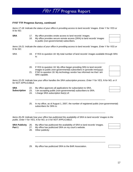### **FY07 TTF Progress Survey, continued**

*Items 17-18: Indicate the status of your office in providing access to land records' images. Enter Y for YES or N for NO.* 

- 
- **SRA** 17. My office provides onsite access to land records' images.
	- 18. My office provides secure remote access (SRA) to land records' images to public (non-governmental) subscribers.

*Items 19-21: Indicate the status of your office in providing access to land records' images. Enter Y for YES or N for NO.* 

SRA 19. If YES to question 18: My total number of land records' images available through SRA is:

\_\_\_\_\_\_\_\_\_\_\_\_\_\_\_\_\_\_\_\_\_\_\_\_\_\_\_\_\_\_\_\_\_\_\_\_\_\_\_\_\_\_\_\_\_\_\_\_\_\_\_\_\_\_\_\_\_\_

- 20. If YES to question 18: My office began providing SRA to land records' images to public (non-governmental) subscribers in (provide mm/yyyy):
- 21. If NO to question 18: My technology vendor has informed me that I am SRA capable.

*Items 22-25: Indicate how your office handles the SRA subscription process. Enter Y for YES, N for NO, or X for NOT APPLICABLE.* 

| SRA<br>Subscription | 22.<br>23.<br>24. | My office approves all applications for subscription to SRA.<br>I am accepting public (non-governmental) subscribers to SRA.<br>I charge SRA subscription fee(s) of: |  |  |  |  |  |
|---------------------|-------------------|----------------------------------------------------------------------------------------------------------------------------------------------------------------------|--|--|--|--|--|
|                     | 25.               | In my office, as of August 1, 2007, the number of registered public (non-governmental)<br>subscribers for SRA is:                                                    |  |  |  |  |  |
|                     |                   | Items 26-29: Indicate how your office has publicized the availability of SRA to land records' images to the                                                          |  |  |  |  |  |

\_\_\_\_\_\_\_\_\_\_\_\_\_\_\_\_\_\_\_\_\_\_\_\_\_\_\_\_\_\_\_\_\_\_\_\_\_\_\_\_\_\_\_\_\_\_\_\_\_\_\_\_\_\_\_\_\_\_

\_\_\_\_\_\_\_\_\_\_\_\_\_\_\_\_\_\_\_\_\_\_\_\_\_\_\_\_\_\_\_\_\_\_\_\_\_\_\_\_\_\_\_\_\_\_\_\_\_\_\_\_\_\_\_\_\_\_

*Items 26-29: Indicate how your office has publicized the availability of SRA to land records' images to the public. Enter Y for YES, N for NO, or X for NOT APPLICABLE.* 

**SRA Publicity** 26. My office has publicized the availability of SRA to land records' images. **Part 1** 27. My office has publicized SRA on my court's website.

28. Other publicity:

29. My office has publicized SRA to the BAR Association.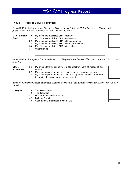### **FY07 TTF Progress Survey, continued**

*Items 30-35: Indicate how your office has publicized the availability of SRA to land records' images to the public. Enter Y for YES, N for NO, or X for NOT APPLICABLE.* 

- **SRA Publicity** 30. My office has publicized SRA to realtors.
- 

**Office Procedures** 

- Part 2 31. My office has publicized SRA to surveyors.
	- 32. My office has publicized SRA to title companies.
	- 33. My office has publicized SRA to financial institutions.
	- 34. My office has publicized SRA to the public.
	- 35. Other groups:

*Items 36-38: Indicate your office procedures in providing electronic images of land records. Enter Y for YES or N for NO.* 

\_\_\_\_\_\_\_\_\_\_\_\_\_\_\_\_\_\_\_\_\_\_\_\_\_\_\_\_\_\_\_\_\_\_\_\_\_\_\_\_\_\_\_\_\_\_\_\_\_\_\_\_\_\_\_\_\_\_

36. My office offers the capability to e-file (electronically file) images of land records.

- 37. My office requires the use of a cover sheet on electronic images.
- 38. My office requires the use of a unique PIN (parcel identification number) to identify electronic images of land records.

*Items 39-43: Indicate if these automated systems are linked to your land records system. Enter Y for YES or N for NO.* 

- **Linkages** 39. Tax Assessments
	- 40. Title Transfers
	- 41. Delinquent Real Estate Taxes
	- 42. Building Permits
	- 43. Geographical Information System (GIS)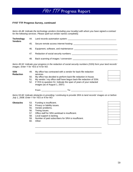### **FY07 TTF Progress Survey, continued**

*Items 44-48: Indicate the technology vendors (including your locality) with whom you have signed a contract for the following services. Please spell out vendor names completely.* 

44. Land records automation system: \_\_\_\_\_\_\_\_\_\_\_\_\_\_\_\_\_\_\_\_\_\_\_\_\_\_\_\_\_\_\_\_\_\_\_\_\_\_\_\_ **Technology Vendors** 

45. Secure remote access internet hosting: \_\_\_\_\_\_\_\_\_\_\_\_\_\_\_\_\_\_\_\_\_\_\_\_\_\_\_\_\_\_\_\_\_\_\_\_

- 46. Equipment, software, and maintenance: \_\_\_\_\_\_\_\_\_\_\_\_\_\_\_\_\_\_\_\_\_\_\_\_\_\_\_\_\_\_\_\_\_\_\_\_
- 47. Redaction of social security numbers: \_\_\_\_\_\_\_\_\_\_\_\_\_\_\_\_\_\_\_\_\_\_\_\_\_\_\_\_\_\_\_\_\_\_\_\_\_\_
- 48. Back scanning of images / conversion:

*Items 49-52: Indicate your progress in the redaction of social security numbers (SSN) form your land records' images. Enter Y for YES or N for NO.* 

| <b>SSN</b><br><b>Redaction</b> | 49. | My office has contracted with a vendor for back-file redaction<br>services.                              |  |
|--------------------------------|-----|----------------------------------------------------------------------------------------------------------|--|
|                                | 50. | My office has decided to perform back-file redaction in-house.                                           |  |
|                                | 51. | My vendor / my office staff have begun back-file redaction of SSN.                                       |  |
|                                |     | 52. If YES to question 51: Indicate the span of years of your redacted<br>images (as of August 1, 2007): |  |

From: \_\_\_\_\_\_\_\_\_\_\_\_\_\_\_\_\_\_\_\_\_ To: \_\_\_\_\_\_\_\_\_\_\_\_\_\_\_\_\_\_\_\_\_\_\_\_\_\_

\_\_\_\_\_\_\_\_\_\_\_\_\_\_\_\_\_\_\_\_\_\_\_\_\_\_\_\_\_\_\_\_\_\_\_\_\_\_\_\_\_\_\_\_\_\_\_\_\_\_\_\_\_\_\_

\_\_\_\_\_\_\_\_\_\_\_\_\_\_\_\_\_\_\_\_\_\_\_\_\_\_\_\_\_\_\_\_\_\_\_\_\_\_\_\_\_\_\_\_\_\_\_\_\_\_\_\_\_\_\_

*Items 53-60: Indicate obstacles in providing / continuing to provide SRA to land records' images on or before July 1, 2008. Enter Y for YES or N for NO.* 

### **Obstacles** 53. Funding is insufficient.

- 54. Privacy or liability issues.
- 55. Vendor problems.
- 56. Timing issues.
- 57. Office staff for SRA workload is insufficient.
- 58. Local support is lacking.
- 59. Number of paid subscribers for SRA is insufficient.
- 60. Other: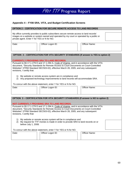### **Appendix 4 – FY08 SRA, VITA, and Budget Certification Screens**

| <b>OPTION 2 - CERTIFICATION FOR SECURE REMOTE ACCESS TO LAND RECORDS</b>                                                                                                                                                           |  |                   |  |                      |  |  |  |  |
|------------------------------------------------------------------------------------------------------------------------------------------------------------------------------------------------------------------------------------|--|-------------------|--|----------------------|--|--|--|--|
| My office currently provides to public subscribers secure remote access to land records'<br>images on a website or system owned and operated by my court or operated by a public or<br>private agent. Enter Y for YES or N for NO. |  |                   |  |                      |  |  |  |  |
| Date:                                                                                                                                                                                                                              |  | Officer Logon ID: |  | <b>Officer Name:</b> |  |  |  |  |

### **OPTION 3 – CERTIFICATION FOR VITA SECURITY STANDARDS (If answer is YES to option 2)**

### **CURRENTLY PROVIDING SRA TO LAND RECORDS.**

Pursuant to §§ 17.1-279 D and 17.1-294 A, Code of Virginia, and in accordance with the VITA document, "Security Standards for Remote Access to Court Documents on Court-Controlled Websites" (ITRM Standard SEC503-02), effective March 28, 2005, and any subsequent revisions, I certify that:

1) My website or remote access system are in compliance and

2) Any proposed technology improvements to land records will accommodate SRA.

To concur with the above statement, enter Y for YES or N for NO.

| Date: |  | Officer Logon ID: | Officer Name: |  |  |  |
|-------|--|-------------------|---------------|--|--|--|
|       |  |                   |               |  |  |  |

| OPTION 3 - CERTIFICATION FOR VITA SECURITY STANDARDS (If answer is NO to option 2)                                                                                                   |                                                                                                                                                                                                                                                                            |               |  |  |  |  |  |  |  |
|--------------------------------------------------------------------------------------------------------------------------------------------------------------------------------------|----------------------------------------------------------------------------------------------------------------------------------------------------------------------------------------------------------------------------------------------------------------------------|---------------|--|--|--|--|--|--|--|
|                                                                                                                                                                                      | <b>NOT CURRENTLY PROVIDING SRA TO LAND RECORDS.</b>                                                                                                                                                                                                                        |               |  |  |  |  |  |  |  |
| revisions, I certify that:                                                                                                                                                           | Pursuant to §§ 17.1-279 D and 17.1-294 A, Code of Virginia, and in accordance with the VITA<br>document, "Security Standards for Remote Access to Court Documents on Court-Controlled<br>Websites" (ITRM Standard SEC503-02), effective March 28, 2005, and any subsequent |               |  |  |  |  |  |  |  |
| My website or remote access system will be in compliance and<br>1)<br>My request for TTF monies is made in order to provide SRA to land records on or<br>(2)<br>before July 1, 2008. |                                                                                                                                                                                                                                                                            |               |  |  |  |  |  |  |  |
| To concur with the above statement, enter Y for YES or N for NO.                                                                                                                     |                                                                                                                                                                                                                                                                            |               |  |  |  |  |  |  |  |
| Date:                                                                                                                                                                                | Officer Logon ID:                                                                                                                                                                                                                                                          | Officer Name: |  |  |  |  |  |  |  |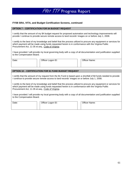### **FY08 SRA, VITA, and Budget Certification Screens, continued**

### **OPTION 7 – CERTIFICATION FOR \$4 BUDGET REQUEST**

I certify that the amount of my \$4 budget request for proposed automation and technology improvements will provide / continue to provide secure remote access to land records' images on or before July 1, 2008.

I certify to the best of my knowledge and belief that the process utilized to procure any equipment or services for which payment will be made using funds requested herein is in conformance with the Virginia Public Procurement Act, 11-35 et.seq., Code of Virginia.

I have provided / will provide my local governing body with a copy of all documentation and justification supplied to the Compensation Board.

Date: Officer Logon ID: Officer Name:

### **OPTION 10 – CERTIFICATION FOR \$1 FUND BUDGET REQUEST**

I certify that the amount of my request from the \$1 Fund is based upon a shortfall of \$4 funds needed to provide / continue to provide secure remote access to land records' images on or before July 1, 2008.

I certify to the best of my knowledge and belief that the process utilized to procure any equipment or services for which payment will be made using funds requested herein is in conformance with the Virginia Public Procurement Act, 11-35 et.seq., Code of Virginia.

I have provided / will provide my local governing body with a copy of all documentation and justification supplied to the Compensation Board.

| Date: |  | Officer Logon ID: |  | Officer Name: |  |  |
|-------|--|-------------------|--|---------------|--|--|
|       |  |                   |  |               |  |  |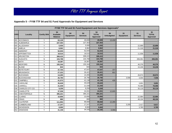### **Appendix 5 – FY08 TTF \$4 and \$1 Fund Approvals for Equipment and Services**

|             | FY08 TTF \$4 and \$1 Fund Equipment and Services Approvals* |                    |                                           |                         |                        |                                 |                          |                         |                        |                                 |  |
|-------------|-------------------------------------------------------------|--------------------|-------------------------------------------|-------------------------|------------------------|---------------------------------|--------------------------|-------------------------|------------------------|---------------------------------|--|
| <b>FIPS</b> | Locality                                                    | <b>Certify SRA</b> | \$4<br><b>Available</b><br><b>Balance</b> | \$4<br><b>Equipment</b> | \$4<br><b>Services</b> | \$4<br><b>TOTAL</b><br>Approved | \$4<br><b>Unbudgeted</b> | \$1<br><b>Equipment</b> | \$1<br><b>Services</b> | \$1<br><b>TOTAL</b><br>Approved |  |
| 001         | <b>ACCOMACK</b>                                             | Y                  | 63,129                                    |                         | 49.699                 | 49,699                          | 13,430                   |                         |                        |                                 |  |
| 003         | <b>ALBEMARLE</b>                                            | Y                  | 227,454                                   |                         | 227,454                | 227,454                         |                          |                         |                        |                                 |  |
| 005         | <b>ALLEGHANY</b>                                            | Υ                  | 5,930                                     |                         | 5,930                  | 5,930                           |                          |                         | 22,889                 | 22,889                          |  |
| 007         | <b>AMELIA</b>                                               | Y                  | 8,962                                     |                         | 8,962                  | 8,962                           |                          |                         | 21,318                 | 21,318                          |  |
| 009         | <b>AMHERST</b>                                              | Y                  | 52,044                                    |                         | 52,044                 | 52,044                          |                          |                         |                        |                                 |  |
| 011         | <b>APPOMATTOX</b>                                           | Y                  | 18,515                                    |                         | 18,515                 | 18,515                          |                          |                         | 11,936                 | 11,936                          |  |
|             | 013 ARLINGTON                                               | Y                  | 308,415                                   |                         | 308,415                | 308,415                         |                          |                         |                        |                                 |  |
|             | 015 AUGUSTA                                                 | N                  | 104,788                                   |                         | 104,788                | 104,788                         |                          |                         | 206,091                | 206,091                         |  |
| 017         | <b>BATH</b>                                                 | Y                  | 19,387                                    |                         | 19,387                 | 19,387                          |                          |                         |                        |                                 |  |
| 019         | <b>BEDFORD</b>                                              | N                  | 155,344                                   |                         | 155,344                | 155,344                         |                          |                         | 46,376                 | 46,376                          |  |
| 021         | <b>BLAND</b>                                                | Y                  | 843                                       |                         | 843                    | 843                             |                          |                         | 15,246                 | 15,246                          |  |
| 023         | <b>BOTETOURT</b>                                            | N                  | 47,704                                    |                         | 47,547                 | 47,547                          | 157                      |                         |                        |                                 |  |
| 025         | <b>BRUNSWICK</b>                                            | Y                  | 27,222                                    |                         | 26,421                 | 26,421                          | 801                      |                         |                        |                                 |  |
| 027         | <b>BUCHANAN</b>                                             | Y                  | 14,265                                    |                         | 14,265                 | 14,265                          |                          |                         | 26,974                 | 26,974                          |  |
| 029         | <b>BUCKINGHAM</b>                                           | N                  | 26,790                                    |                         | 26,790                 | 26,790                          |                          | 3,556                   | 4,000                  | 7,556                           |  |
| 031         | <b>CAMPBELL</b>                                             | N                  | 41,573                                    |                         | 41,138                 | 41,138                          | 435                      |                         |                        |                                 |  |
| 033         | <b>CAROLINE</b>                                             | Y                  | 35,628                                    |                         | 35,628                 | 35,628                          |                          |                         | 3,691                  | 3,691                           |  |
| 035         | <b>CARROLL</b>                                              | Y                  | 21,039                                    |                         | 21,039                 | 21,039                          |                          |                         | 76,086                 | 76,086                          |  |
|             | 036 CHARLES CITY CO                                         | Y                  | 9,259                                     |                         | 9,259                  | 9,259                           |                          |                         | 35,119                 | 35,119                          |  |
| 037         | <b>CHARLOTTE</b>                                            | Y                  | 37,536                                    |                         | 24,931                 | 24,931                          | 12,605                   |                         |                        |                                 |  |
| 041         | <b>CHESTERFIELD</b>                                         | N                  | 395,221                                   |                         | 395,221                | 395,221                         |                          |                         |                        |                                 |  |
| 043         | <b>CLARKE</b>                                               | Y                  | 10,856                                    |                         | 10,856                 | 10,856                          |                          |                         | 22,984                 | 22,984                          |  |
| 045         | <b>CRAIG</b>                                                | N                  | 880                                       |                         | 880                    | 880                             |                          |                         | 48,104                 | 48,104                          |  |
| 047         | <b>CULPEPER</b>                                             | Y                  | 111,953                                   |                         | 99,668                 | 99,668                          | 12,285                   |                         |                        |                                 |  |
| 049         | <b>CUMBERLAND</b>                                           | Y                  | 17,247                                    |                         | 17,247                 | 17,247                          |                          | 3,200                   | 2,417                  | 5,617                           |  |
| 051         | <b>DICKENSON</b>                                            | Y                  | 8,900                                     |                         | 8,900                  | 8,900                           |                          |                         | 3,785                  | 3,785                           |  |
|             | 053 DINWIDDIE                                               | Y                  | 41,158                                    |                         | 34,192                 | 34,192                          | 6,966                    |                         |                        |                                 |  |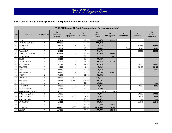### **FY08 TTF \$4 and \$1 Fund Approvals for Equipment and Services, continued**

|             | FY08 TTF \$4 and \$1 Fund Equipment and Services Approvals* |                    |                                           |                         |                        |                                        |                          |                         |                        |                                 |  |
|-------------|-------------------------------------------------------------|--------------------|-------------------------------------------|-------------------------|------------------------|----------------------------------------|--------------------------|-------------------------|------------------------|---------------------------------|--|
| <b>FIPS</b> | Locality                                                    | <b>Certify SRA</b> | \$4<br><b>Available</b><br><b>Balance</b> | \$4<br><b>Equipment</b> | \$4<br><b>Services</b> | \$4<br><b>TOTAL</b><br><b>Approved</b> | \$4<br><b>Unbudgeted</b> | \$1<br><b>Equipment</b> | \$1<br><b>Services</b> | \$1<br><b>TOTAL</b><br>Approved |  |
| 057         | <b>ESSEX</b>                                                | Y                  | 61,231                                    |                         | 41,676                 | 41,676                                 | 19,555                   |                         |                        |                                 |  |
|             | 059 FAIRFAX COUNTY                                          | Y                  | 988,959                                   |                         | 988,959                | 988,959                                |                          |                         |                        |                                 |  |
| 061         | <b>FAUQUIER</b>                                             | Y                  | 120,126                                   |                         | 120,126                | 120,126                                |                          |                         | 47,586                 | 47,586                          |  |
|             | 063 FLOYD                                                   | Y                  | 19,961                                    |                         | 19,961                 | 19,961                                 |                          | 2,800                   | 4,129                  | 6,929                           |  |
|             | 065 FLUVANNA                                                | Y                  | 24.581                                    |                         | 24,581                 | 24,581                                 |                          |                         | 42,005                 | 42,005                          |  |
| 067         | <b>FRANKLIN COUNTY</b>                                      | Y                  | 262,585                                   |                         | 197,920                | 197,920                                | 64,665                   |                         |                        |                                 |  |
|             | 069 FREDERICK                                               | Y                  | 221,972                                   |                         | 191,127                | 191,127                                | 30,845                   |                         |                        |                                 |  |
| 071         | <b>GILES</b>                                                | Y                  | 65,527                                    |                         | 65,527                 | 65,527                                 |                          |                         |                        |                                 |  |
| 073         | <b>GLOUCESTER</b>                                           | N                  | 115,123                                   |                         | 95,875                 | 95,875                                 | 19,248                   |                         |                        |                                 |  |
|             | 075 GOOCHLAND                                               | Y                  | 47,423                                    |                         | 47,423                 | 47,423                                 |                          |                         | 10,000                 | 10,000                          |  |
| 077         | <b>GRAYSON</b>                                              | Y                  | 9,516                                     |                         | 9,516                  | 9,516                                  |                          |                         | 20,429                 | 20,429                          |  |
|             | 079 GREENE                                                  | N                  | 39,419                                    |                         | 39,419                 | 39,419                                 |                          |                         | 6,117                  | 6,117                           |  |
| 081         | <b>GREENSVILLE</b>                                          | Y                  | 56,380                                    |                         | 18,733                 | 18,733                                 | 37,647                   |                         |                        |                                 |  |
|             | 083 HALIFAX                                                 | N                  | 71,682                                    |                         | 71,682                 | 71,682                                 |                          |                         |                        |                                 |  |
|             | 085 HANOVER                                                 | N                  | 178,566                                   | 8,422                   | 170,144                | 178,566                                |                          |                         |                        |                                 |  |
| 087         | <b>HENRICO</b>                                              | N                  | 740,782                                   | 31,226                  | 709,556                | 740,782                                |                          |                         |                        |                                 |  |
|             | 089 HENRY                                                   | N                  | 67,530                                    |                         | 67,530                 | 67,530                                 |                          |                         | 7,500                  | 7,500                           |  |
| 091         | <b>HIGHLAND</b>                                             | Y                  | 40,357                                    |                         | 40,357                 | 40,357                                 |                          |                         | 7,297                  | 7,297                           |  |
| 093         | <b>ISLE OF WIGHT</b>                                        | Y                  | 78,295                                    | 1,500                   | 76,795                 | 78,295                                 |                          |                         |                        |                                 |  |
| 095         | <b>JAMES CITY COUNTY</b>                                    | Y                  | 147,830                                   |                         |                        |                                        | CARRYOVER                |                         |                        |                                 |  |
| 097         | <b>KING AND QUEEN</b>                                       | N                  | 18.975                                    |                         | 18,975                 | 18,975                                 |                          |                         | 17.888                 | 17,888                          |  |
|             | 099 KING GEORGE                                             | Y                  | 38,034                                    | 30,000                  | 8,034                  | 38,034                                 |                          |                         | 9,908                  | 9,908                           |  |
| 101         | <b>KING WILLIAM</b>                                         | Y                  | 29,372                                    |                         | 29,372                 | 29,372                                 |                          |                         | 7,777                  | 7,777                           |  |
| 103         | LANCASTER                                                   | Y                  | 10,810                                    |                         | 10,810                 | 10,810                                 |                          |                         | 11,941                 | 11,941                          |  |
| 105 LEE     |                                                             | Y                  | 55,200                                    |                         | 32,260                 | 32,260                                 | 22,940                   |                         |                        |                                 |  |
| 107         | <b>LOUDOUN</b>                                              | Y                  | 1,699,796                                 | 3,000                   | 1,671,850              | 1,674,850                              | 24,946                   |                         |                        |                                 |  |
|             | 109 LOUISA                                                  | Y                  | 119,335                                   |                         | 55,092                 | 55,092                                 | 64,243                   |                         |                        |                                 |  |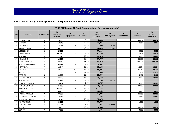### **FY08 TTF \$4 and \$1 Fund Approvals for Equipment and Services, continued**

|             | FY08 TTF \$4 and \$1 Fund Equipment and Services Approvals* |                    |                                           |                         |                        |                                        |                          |                         |                        |                                        |  |
|-------------|-------------------------------------------------------------|--------------------|-------------------------------------------|-------------------------|------------------------|----------------------------------------|--------------------------|-------------------------|------------------------|----------------------------------------|--|
| <b>FIPS</b> | Locality                                                    | <b>Certify SRA</b> | \$4<br><b>Available</b><br><b>Balance</b> | \$4<br><b>Equipment</b> | \$4<br><b>Services</b> | \$4<br><b>TOTAL</b><br><b>Approved</b> | \$4<br><b>Unbudgeted</b> | \$1<br><b>Equipment</b> | \$1<br><b>Services</b> | \$1<br><b>TOTAL</b><br><b>Approved</b> |  |
| 111         | <b>LUNENBURG</b>                                            | N                  | 5,068                                     |                         | 5,068                  | 5,068                                  |                          |                         | 44,412                 | 44,412                                 |  |
|             | 113 MADISON                                                 | Y                  | 12,846                                    |                         | 12,846                 | 12,846                                 |                          |                         | 6,914                  | 6,914                                  |  |
|             | 115 MATHEWS                                                 | N                  | 14,786                                    |                         | 11,400                 | 11,400                                 | 3,386                    |                         |                        |                                        |  |
| 117         | <b>MECKLENBURG</b>                                          | N                  | 43,856                                    |                         | 40,613                 | 40,613                                 | 3,243                    |                         |                        |                                        |  |
|             | 119 MIDDLESEX                                               | N                  | 26,115                                    |                         | 26,115                 | 26,115                                 |                          |                         | 5,687                  | 5,687                                  |  |
| 121         | <b>MONTGOMERY</b>                                           | Y                  | 201,150                                   |                         | 201,150                | 201,150                                |                          |                         | 15,435                 | 15,435                                 |  |
|             | 125 NELSON                                                  | N                  | 22,676                                    |                         | 22,676                 | 22,676                                 |                          |                         | 15,660                 | 15,660                                 |  |
| 127         | <b>NEW KENT</b>                                             | Y                  | 16,967                                    |                         | 16,967                 | 16,967                                 |                          |                         | 63,115                 | 63,115                                 |  |
| 131         | <b>NORTHAMPTON</b>                                          | Y                  | 48,610                                    |                         | 48,610                 | 48,610                                 |                          |                         | 120,708                | 120,708                                |  |
|             | 133 NORTHUMBERLAND                                          | N                  | 54,391                                    |                         | 54,391                 | 54,391                                 |                          |                         |                        |                                        |  |
|             | 135 NOTTOWAY                                                | Y                  | 12,144                                    |                         | 12,144                 | 12,144                                 |                          |                         | 16,604                 | 16,604                                 |  |
| 137         | <b>ORANGE</b>                                               | Y                  | 68,395                                    | 4,250                   | 64,145                 | 68,395                                 |                          |                         | 37,740                 | 37,740                                 |  |
| 139         | <b>PAGE</b>                                                 | Y                  | 17,000                                    |                         | 17,000                 | 17,000                                 |                          |                         | 11,413                 | 11,413                                 |  |
| 141         | <b>PATRICK</b>                                              | N                  | 22,300                                    |                         | 22,300                 | 22,300                                 |                          |                         | 5,137                  | 5,137                                  |  |
|             | 143 PITTSYLVANIA                                            | Y                  | 46,573                                    |                         | 46,573                 | 46,573                                 |                          |                         | 17,180                 | 17,180                                 |  |
|             | 145 POWHATAN                                                | Y                  | 82,925                                    |                         | 37,200                 | 37,200                                 | 45,725                   |                         |                        |                                        |  |
| 147         | <b>PRINCE EDWARD</b>                                        | Y                  | 9,757                                     |                         | 9,757                  | 9,757                                  |                          |                         | 14,765                 | 14,765                                 |  |
|             | 149 PRINCE GEORGE                                           | Y                  | 45,668                                    |                         | 45,668                 | 45,668                                 |                          |                         | 37,000                 | 37,000                                 |  |
|             | 153 PRINCE WILLIAM                                          | Y                  | 523,124                                   |                         | 523,124                | 523,124                                |                          |                         |                        |                                        |  |
|             | 155 PULASKI                                                 | Y                  | 40,250                                    |                         | 40,250                 | 40,250                                 |                          |                         | 5,270                  | 5,270                                  |  |
| 157         | RAPPAHANNOCK                                                | Y                  | 37,897                                    |                         | 37,897                 | 37,897                                 |                          |                         | 34,011                 | 34,011                                 |  |
|             | 159 RICHMOND COUNTY                                         | Y                  | 2,354                                     |                         | 2,354                  | 2,354                                  |                          |                         | 16,583                 | 16,583                                 |  |
| 161         | ROANOKE COUNTY                                              | N                  | 75,679                                    |                         | 75,674                 | 75,674                                 | 5                        |                         |                        |                                        |  |
|             | 163 ROCKBRIDGE                                              | N                  | 30,770                                    |                         | 30,770                 | 30,770                                 |                          |                         | 1,267                  | 1,267                                  |  |
|             | 165 ROCKINGHAM                                              | Y                  | 617,981                                   |                         | 123,023                | 123,023                                | 494,958                  |                         |                        |                                        |  |
|             | 167 RUSSELL                                                 | Y                  | 10,483                                    |                         | 10,483                 | 10,483                                 |                          |                         | 38,817                 | 38,817                                 |  |
|             | 169 SCOTT                                                   | Y                  | 7,535                                     |                         | 7,535                  | 7,535                                  |                          |                         | 8,300                  | 8,300                                  |  |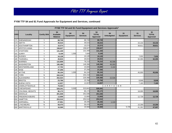### **FY08 TTF \$4 and \$1 Fund Approvals for Equipment and Services, continued**

|             | FY08 TTF \$4 and \$1 Fund Equipment and Services Approvals* |                    |                                           |                         |                        |                                 |                          |                         |                        |                                        |
|-------------|-------------------------------------------------------------|--------------------|-------------------------------------------|-------------------------|------------------------|---------------------------------|--------------------------|-------------------------|------------------------|----------------------------------------|
| <b>FIPS</b> | Locality                                                    | <b>Certify SRA</b> | \$4<br><b>Available</b><br><b>Balance</b> | \$4<br><b>Equipment</b> | \$4<br><b>Services</b> | \$4<br><b>TOTAL</b><br>Approved | \$4<br><b>Unbudgeted</b> | \$1<br><b>Equipment</b> | \$1<br><b>Services</b> | \$1<br><b>TOTAL</b><br><b>Approved</b> |
| 171         | SHENANDOAH                                                  | Y                  | 68,749                                    |                         | 68,749                 | 68,749                          |                          |                         |                        |                                        |
|             | 173 SMYTH                                                   | Y                  | 35,515                                    |                         | 35,515                 | 35,515                          |                          |                         | 15,132                 | 15,132                                 |
|             | 175 SOUTHAMPTON                                             | Υ                  | 15,574                                    |                         | 15,574                 | 15,574                          |                          |                         | 39,811                 | 39,811                                 |
| 177         | <b>SPOTSYLVANIA</b>                                         | Y                  | 158,627                                   |                         | 158,627                | 158,627                         |                          |                         |                        |                                        |
| 179         | <b>STAFFORD</b>                                             | Y                  | 131,449                                   |                         | 131,449                | 131,449                         |                          |                         |                        |                                        |
|             | 181 SURRY                                                   | Y                  | 9,109                                     | 1,500                   | 7,609                  | 9,109                           |                          |                         |                        |                                        |
|             | 183 SUSSEX                                                  | Y                  | 10,128                                    |                         | 10,128                 | 10,128                          |                          |                         | 7,032                  | 7,032                                  |
|             | 185 TAZEWELL                                                | N                  | 20,815                                    |                         | 20,815                 | 20,815                          |                          |                         | 32,355                 | 32,355                                 |
| 187         | <b>WARREN</b>                                               | Y                  | 122,808                                   |                         | 76,210                 | 76,210                          | 46,598                   |                         |                        |                                        |
| 191         | <b>WASHINGTON</b>                                           | Y                  | 195,489                                   |                         | 149,396                | 149,396                         | 46,093                   |                         |                        |                                        |
|             | 193 WESTMORELAND                                            | N                  | 17,702                                    |                         | 15,600                 | 15,600                          | 2,102                    |                         |                        |                                        |
|             | 195 WISE                                                    | Y                  | 37,256                                    |                         | 37,256                 | 37,256                          |                          |                         |                        |                                        |
| 197         | <b>WYTHE</b>                                                | Y                  | 85,104                                    | 1,000                   | 84,104                 | 85,104                          |                          |                         | 45,000                 | 45,000                                 |
| 199         | <b>YORK</b>                                                 | N                  | 242,218                                   |                         | 242,218                | 242,218                         |                          |                         |                        |                                        |
| 510         | ALEXANDRIA                                                  | N                  | 252,024                                   |                         | 229,488                | 229,488                         | 22,536                   |                         |                        |                                        |
| 520         | BRISTOL                                                     | Y                  | 23,768                                    |                         | 23,768                 | 23,768                          |                          |                         | 8,848                  | 8,848                                  |
| 530         | <b>BUENA VISTA</b>                                          | Y                  | 12.837                                    |                         | 12,837                 | 12,837                          |                          |                         | 7,185                  | 7,185                                  |
|             | 540 CHARLOTTESVILLE                                         | N                  | 74,422                                    |                         |                        |                                 | CARRYOVER                |                         |                        |                                        |
|             | 550 CHESAPEAKE                                              | Y                  | 529,341                                   | 5,500                   | 523,841                | 529,341                         |                          |                         |                        |                                        |
| 570         | COLONIAL HEIGHTS                                            | Y                  | 85,173                                    |                         | 85,173                 | 85,173                          |                          |                         | 18,000                 | 18,000                                 |
| 590         | DANVILLE                                                    | Y                  | 201,636                                   |                         | 201,636                | 201,636                         |                          |                         |                        |                                        |
| 630         | FREDERICKSBURG                                              | Y                  | 13,909                                    |                         | 13,909                 | 13,909                          |                          |                         | 12,728                 | 12,728                                 |
| 650         | <b>HAMPTON</b>                                              | Y                  | 253,510                                   |                         | 253,510                | 253,510                         |                          |                         |                        |                                        |
| 670         | <b>HOPEWELL</b>                                             | N                  | 27,551                                    |                         | 26,435                 | 26,435                          | 1,116                    |                         |                        |                                        |
|             | 680 LYNCHBURG                                               | Ν                  | 59,470                                    |                         | 59,470                 | 59,470                          |                          |                         | 10,269                 | 10,269                                 |
|             | 690 MARTINSVILLE                                            | Y                  | 16,569                                    |                         | 16,569                 | 16,569                          |                          | 5,726                   | 41,281                 | 47,007                                 |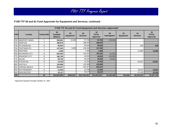### **FY08 TTF \$4 and \$1 Fund Approvals for Equipment and Services, continued**

|             | FY08 TTF \$4 and \$1 Fund Equipment and Services Approvals* |                    |                                    |                         |                        |                                        |                          |                         |                        |                                        |  |  |
|-------------|-------------------------------------------------------------|--------------------|------------------------------------|-------------------------|------------------------|----------------------------------------|--------------------------|-------------------------|------------------------|----------------------------------------|--|--|
| <b>FIPS</b> | Locality                                                    | <b>Certify SRA</b> | \$4<br>Available<br><b>Balance</b> | \$4<br><b>Equipment</b> | \$4<br><b>Services</b> | \$4<br><b>TOTAL</b><br><b>Approved</b> | \$4<br><b>Unbudgeted</b> | \$1<br><b>Equipment</b> | \$1<br><b>Services</b> | \$1<br><b>TOTAL</b><br><b>Approved</b> |  |  |
|             | 700 NEWPORT NEWS                                            | $\checkmark$       | 359,901                            | 12,000                  | 75,700                 | 87,700                                 | 272,201                  |                         |                        |                                        |  |  |
|             | 710 NORFOLK                                                 | $\checkmark$       | 188,876                            |                         | 188,876                | 188,876                                |                          |                         |                        |                                        |  |  |
|             | 730   PETERSBURG                                            | N                  | 80,693                             |                         | 80,693                 | 80,693                                 |                          |                         | 648                    | 648                                    |  |  |
|             | 740   PORTSMOUTH                                            | Y                  | 147,040                            | 6,636                   | 140,404                | 147,040                                |                          |                         |                        | $\blacksquare$                         |  |  |
|             | 750 RADFORD                                                 | Y                  | 2,468                              |                         | 2,468                  | 2,468                                  |                          |                         | 12,990                 | 12,990                                 |  |  |
|             | 760 RICHMOND CITY                                           | N                  | 825,553                            |                         | 764,201                | 764,201                                | 61,352                   |                         |                        | ۰.                                     |  |  |
|             | 770 ROANOKE CITY                                            | N                  | 196,759                            |                         | 94,834                 | 94,834                                 | 101,925                  |                         |                        |                                        |  |  |
|             | 775 SALEM                                                   | N                  | 69,765                             |                         | 46,284                 | 46,284                                 | 23,481                   |                         |                        |                                        |  |  |
|             | 790 STAUNTON                                                | N                  | 14,518                             |                         | 14,518                 | 14,518                                 |                          |                         | 64,837                 | 64,837                                 |  |  |
|             | 800 SUFFOLK                                                 | $\checkmark$       | 120,968                            |                         | 120,968                | 120,968                                |                          |                         |                        |                                        |  |  |
| 810         | <b>VIRGINIA BEACH</b>                                       | Υ                  | 525,327                            |                         | 525,327                | 525,327                                |                          |                         |                        |                                        |  |  |
|             | 820 WAYNESBORO                                              | N                  | 12,536                             |                         | 12,536                 | 12,536                                 |                          |                         | 18,524                 | 18,524                                 |  |  |
|             | 840 WINCHESTER                                              | Y                  | 18,127                             |                         | 18,127                 | 18,127                                 |                          |                         | 22,196                 | 22,196                                 |  |  |
| 122         |                                                             | 84                 | \$14,501,993                       | \$105,034               | \$12,719,218           | \$12,824,252                           | \$1,455,489              | \$15,282                | \$1,612,447            | \$1,627,729                            |  |  |

\*Approved requests through October 31, 2007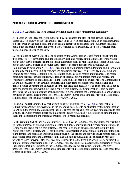### **Appendix 6 – Code of Virginia – TTF Related Sections**

§ [17.1-279.](http://leg1.state.va.us/cgi-bin/legp504.exe?000+cod+17.1-279) Additional fee to be assessed by circuit court clerks for information technology.

A. In addition to the fees otherwise authorized by this chapter, the clerk of each circuit court shall assess a \$5 fee, known as the "Technology Trust Fund Fee," in each civil action, upon each instrument to be recorded in the deed books, and upon each judgment to be docketed in the judgment lien docket book. Such fee shall be deposited by the State Treasurer into a trust fund. The State Treasurer shall maintain a record of such deposits.

B. Four dollars of every \$5 fee shall be allocated by the Compensation Board from the trust fund for the purposes of: (i) developing and updating individual land records automation plans for individual circuit court clerks' offices; (ii) implementing automation plans to modernize land records in individual circuit court clerks' offices and provide secure remote access to land records throughout the Commonwealth pursuant to  $\S 17.1-294$ ; (iii) obtaining and updating office automation and information technology equipment including software and conversion services; (iv) preserving, maintaining and enhancing court records, including, but not limited to, the costs of repairs, maintenance, land records, consulting services, service contracts, redaction of social security numbers from land records, and system replacements or upgrades; and (v) improving public access to court records. The Compensation Board in consultation with circuit court clerks and other users of court records shall develop and update policies governing the allocation of funds for these purposes. However, such funds shall not be used for personnel costs within the circuit court clerks' offices. The Compensation Board policies governing the allocation of funds shall require that a clerk submit to the Compensation Board a written certification that the clerk's proposed technology improvements of his land records will provide secure remote access to those land records on or before July 1, 2008.

The annual budget submitted by each circuit court clerk pursuant to § [15.2-1636.7](http://leg1.state.va.us/cgi-bin/legp504.exe?000+cod+15.2-1636.7) may include a request for technology improvements in the upcoming fiscal year to be allocated by the Compensation Board from the trust fund. Such request shall not exceed the deposits into the trust fund credited to that locality. The Compensation Board shall allocate the funds requested by the clerks in an amount not to exceed the deposits into the trust fund credited to their respective localities.

C. The remaining \$1 of each such fee may be allocated by the Compensation Board from the trust fund (i) for the purposes of funding studies to develop and update individual land-records automation plans for individual circuit court clerks' offices, at the request of and in consultation with the individual circuit court clerk's offices, and (ii) for the purposes enumerated in subsection B to implement the plan to modernize land records in individual circuit court clerks' offices and provide secure remote access to land records throughout the Commonwealth. The allocations pursuant to this subsection may give priority to those individual clerks' offices whose deposits into the trust fund would not be sufficient to implement its modernization plan. The Compensation Board policies governing the allocation of funds shall require that a clerk submit to the Compensation Board a written certification that the clerk's proposed technology improvements of his land records will provide secure remote access to those land records on or before July 1, 2008.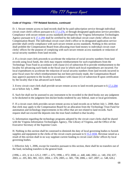### **Code of Virginia – TTF Related Sections, continued**

D. 1. Secure remote access to land records shall be by paid subscription service through individual circuit court clerk's offices pursuant to § [17.1-276](http://leg1.state.va.us/cgi-bin/legp504.exe?000+cod+17.1-276), or through designated application service providers. Compliance with secure remote access standards developed by the Virginia Information Technologies Agency pursuant to § [17.1-294](http://leg1.state.va.us/cgi-bin/legp504.exe?000+cod+17.1-294) shall be certified by the individual circuit court clerks' offices to the Compensation Board. The individual circuit court clerk's office or its designated application service provider shall certify compliance with such secure remote access standards. Nothing in this section shall prohibit the Compensation Board from allocating trust fund money to individual circuit court clerks' offices for the purpose of complying with such secure remote access standards or redaction of social security numbers from land records.

2. If a circuit court clerk proceeds to accelerate the redaction of social security numbers from land records using local funds, the clerk may request reimbursement for such expenditures from the Technology Trust Fund in accordance with clause (iv) of subsection B to provide reimbursement to the locality for advancing such funds in the fiscal year in which such local expenditures are incurred. For local expenditures to accelerate the redaction of social security numbers from land records incurred in prior fiscal years for which reimbursement has not been previously made, the Compensation Board may approve payment to the locality in accordance with clause (iv) of subsection B upon certification by the locality that it has advanced such funds.

3. Every circuit court clerk shall provide secure remote access to land records pursuant to § [17.1-294](http://leg1.state.va.us/cgi-bin/legp504.exe?000+cod+17.1-294) on or before July 1, 2008.

E. Such fee shall not be assessed to any instrument to be recorded in the deed books nor any judgment to be docketed in the judgment lien docket books tendered by any federal, state or local government.

F. If a circuit court clerk provides secure remote access to land records on or before July 1, 2008, then that clerk may apply to the Compensation Board for an allocation from the Technology Trust Fund for automation and technology improvements in his office that are not related to land records. Such request shall not exceed the deposits into the trust fund credited to that locality.

G. Information regarding the technology programs adopted by the circuit court clerks shall be shared with the Virginia Information Technologies Agency, The Library of Virginia, and the Office of the Executive Secretary of the Supreme Court.

H. Nothing in this section shall be construed to diminish the duty of local governing bodies to furnish supplies and equipment to the clerks of the circuit courts pursuant to  $\S 15.2$ -1656. Revenue raised as a result of this section shall in no way supplant current funding to circuit court clerks' offices by local governing bodies.

I. Effective July 1, 2006, except for transfers pursuant to this section, there shall be no transfers out of the fund, including transfers to the general fund.

(1996, c. 431, § 14.1-125.2; 1997, c. 675; 1998, c. 872; 2000, cc. 440, 446; 2002, cc. 140, 250, 637; 2003, cc. 205, 865, 981, 1021; 2004, c. 676; 2005, cc. 681, 738; 2006, c. 647; 2007, cc. 548, 626.)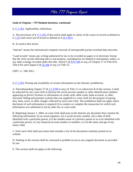### **Code of Virginia – TTF Related Sections, continued**

§ [17.1-292.](http://leg1.state.va.us/cgi-bin/legp504.exe?000+cod+17.1-292) Applicability; definitions.

A. The provisions of § [17.1-293](http://leg1.state.va.us/cgi-bin/legp504.exe?000+cod+17.1-293) of this article shall apply to clerks of the courts of record as defined in § [1-212](http://leg1.state.va.us/cgi-bin/legp504.exe?000+cod+1-212) and courts not of record as defined in § [16.1-69.5](http://leg1.state.va.us/cgi-bin/legp504.exe?000+cod+16.1-69.5).

B. As used in this article:

"Internet" means the international computer network of interoperable packet-switched data networks.

"Land records" means any writing authorized by law to be recorded on paper or in electronic format that the clerk records affecting title to real property, including but not limited to instruments, orders, or any other writings recorded under this title, Article 5 (§ [8.01-446](http://leg1.state.va.us/cgi-bin/legp504.exe?000+cod+8.01-446) et seq.) of Chapter 17 of Title 8.01, Title 8.9A and Chapter 6  $(\S 55-106$  $(\S 55-106$  et seq.) of Title 55.

(2007, cc. 548, 626.)

§ [17.1-293.](http://leg1.state.va.us/cgi-bin/legp504.exe?000+cod+17.1-293) Posting and availability of certain information on the Internet; prohibitions.

A. Notwithstanding Chapter 37 (§ [2.2-3700](http://leg1.state.va.us/cgi-bin/legp504.exe?000+cod+2.2-3700) et seq.) of Title 2.2 or subsection B of this section, it shall be unlawful for any court clerk to disclose the social security number or other identification numbers appearing on driver's licenses or information on credit cards, debit cards, bank accounts, or other electronic billing and payment systems that was supplied to a court clerk for the purpose of paying fees, fines, taxes, or other charges collected by such court clerk. The prohibition shall not apply where disclosure of such information is required (i) to conduct or complete the transaction for which such information was submitted or (ii) by other law or court order.

B. Beginning January 1, 2004, no court clerk shall post on the Internet any document that contains the following information: (i) an actual signature, (ii) a social security number, (iii) a date of birth identified with a particular person, (iv) the maiden name of a person's parent so as to be identified with a particular person, (v) any financial account number or numbers, or (vi) the name and age of any minor child.

C. Each such clerk shall post notice that includes a list of the documents routinely posted on its website.

D. Nothing in this section shall be construed to prohibit access to any original document as provided by law.

E. This section shall not apply to the following: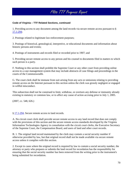# FY06 TTF Progress Report

#### **Code of Virginia – TTF Related Sections, continued**

1. Providing access to any document among the land records via secure remote access pursuant to § [17.1-294;](http://leg1.state.va.us/cgi-bin/legp504.exe?000+cod+17.1-294)

2. Postings related to legitimate law-enforcement purposes;

3. Postings of historical, genealogical, interpretive, or educational documents and information about historic persons and events;

4. Postings of instruments and records filed or recorded prior to 1907; and

5. Providing secure remote access to any person and his counsel to documents filed in matters to which such person is a party.

F. Nothing in this section shall prohibit the Supreme Court or any other court from providing online access to a case management system that may include abstracts of case filings and proceedings in the courts of the Commonwealth.

G. The court clerk shall be immune from suit arising from any acts or omissions relating to providing remote access on the Internet pursuant to this section unless the clerk was grossly negligent or engaged in willful misconduct.

This subsection shall not be construed to limit, withdraw, or overturn any defense or immunity already existing in statutory or common law, or to affect any cause of action accruing prior to July 1, 2005.

(2007, cc. 548, 626.)

§ [17.1-294.](http://leg1.state.va.us/cgi-bin/legp504.exe?000+cod+17.1-294) Secure remote access to land records.

A. No circuit court clerk shall provide secure remote access to any land record that does not comply with the provisions of this section and the secure remote access standards developed by the Virginia Information Technologies Agency in consultation with the circuit court clerks, the Executive Secretary of the Supreme Court, the Compensation Board, and users of land and other court records.

B. 1. The original land record maintained by the clerk may contain a social security number if otherwise provided by law, but that original record shall not be made available via secure remote access unless it complies with this section.

2. Except in cases where the original record is required by law to contain a social security number, the attorney or party who prepares or submits the land record for recordation has the responsibility for ensuring that the social security number has been removed from the writing prior to the instrument's being submitted for recordation.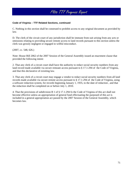## FY06 TTF Progress Report

#### **Code of Virginia – TTF Related Sections, continued**

C. Nothing in this section shall be construed to prohibit access to any original document as provided by law.

D. The clerk of the circuit court of any jurisdiction shall be immune from suit arising from any acts or omissions relating to providing secure remote access to land records pursuant to this section unless the clerk was grossly negligent or engaged in willful misconduct.

(2007, cc. 548, 626.)

Note: House Bill 2062 of the 2007 Session of the General Assembly issued an enactment clause that provided the following intent:

2. That any clerk of a circuit court shall have the authority to redact social security numbers from any land record made available via secure remoate access pursuant to § 17.1-294 of the Code of Virginia, and that this declarative of exisiting law.

3. That any clerk of a circuit court may engage a vendor to redact social security numbers from all land records made available via secure remote access pursuant to § 17.1-294 of the Code of Virginia, using a software redaction system, for records beginning January 1, 1935, to the date of redaction , and that the redaction shall be completed on or before July 1, 2010.

4. That the provisions of subdivision B 1 of § 17.1-294 fo the Code of Virginia of this act shall not become effective unless an appropriation of general fund effectuating the purposed of this act is included in a general appropriation act passed by the 2007 Session of the General Assembly, which becomes law.